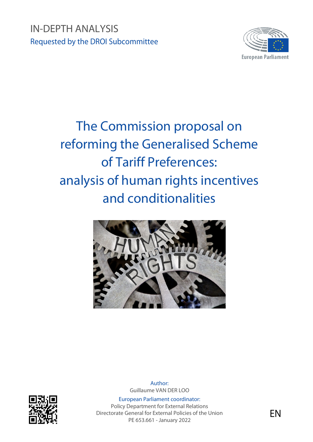

# The Commission proposal on reforming the Generalised Scheme of Tariff Preferences: analysis of human rights incentives and conditionalities





Author: Guillaume VAN DER LOO

European Parliament coordinator: Policy Department for External Relations Directorate General for External Policies of the Union PE 653.661 - January 2022

EN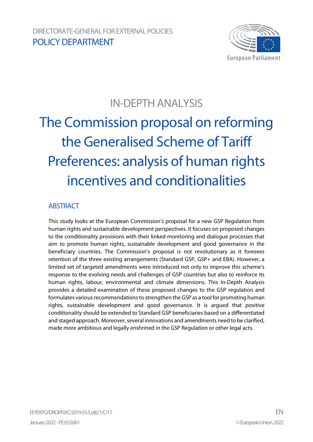

# IN-DEPTH ANALYSIS

# The Commission proposal on reforming the Generalised Scheme of Tariff Preferences: analysis of human rights incentives and conditionalities

#### **ABSTRACT**

This study looks at the European Commission's proposal for a new GSP Regulation from human rights and sustainable development perspectives. It focuses on proposed changes to the conditionality provisions with their linked monitoring and dialogue processes that aim to promote human rights, sustainable development and good governance in the beneficiary countries. The Commission's proposal is not revolutionary as it foresees retention of the three existing arrangements (Standard GSP, GSP+ and EBA). However, a limited set of targeted amendments were introduced not only to improve this scheme's response to the evolving needs and challenges of GSP countries but also to reinforce its human rights, labour, environmental and climate dimensions. This In-Depth Analysis provides a detailed examination of these proposed changes to the GSP regulation and formulates various recommendations to strengthen the GSP as a tool for promoting human rights, sustainable development and good governance. It is argued that positive conditionality should be extended to Standard GSP beneficiaries based on a differentiated and staged approach. Moreover, several innovations and amendments need to be clarified, made more ambitious and legally enshrined in the GSP Regulation or other legal acts.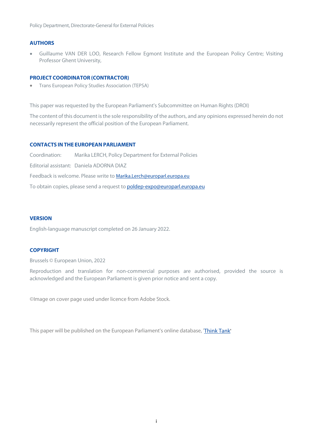Policy Department, Directorate-General for External Policies

#### **AUTHORS**

• Guillaume VAN DER LOO, Research Fellow Egmont Institute and the European Policy Centre; Visiting Professor Ghent University,

#### **PROJECT COORDINATOR (CONTRACTOR)**

• Trans European Policy Studies Association (TEPSA)

This paper was requested by the European Parliament's Subcommittee on Human Rights (DROI)

The content of this document is the sole responsibility of the authors, and any opinions expressed herein do not necessarily represent the official position of the European Parliament.

#### **CONTACTS INTHE EUROPEANPARLIAMENT**

Coordination: Marika LERCH, Policy Department for External Policies Editorial assistant: Daniela ADORNA DIAZ Feedback is welcome. Please write to [Marika.Lerch@europarl.europa.eu](mailto:Marika.Lerch@europarl.europa.eu) To obtain copies, please send a request to **[poldep-expo@europarl.europa.eu](mailto:poldep-expo@europarl.europa.eu)** 

#### **VERSION**

English-language manuscript completed on 26 January 2022.

#### **COPYRIGHT**

Brussels © European Union, 2022

Reproduction and translation for non-commercial purposes are authorised, provided the source is acknowledged and the European Parliament is given prior notice and sent a copy.

©Image on cover page used under licence from Adobe Stock.

This paper will be published on the European Parliament's online database, ['Think Tank'](http://www.europarl.europa.eu/thinktank/en/home.html)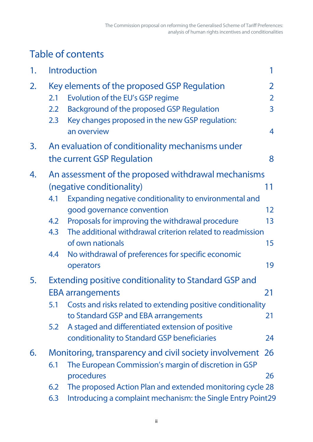# Table of contents

| 1. |                          | <b>Introduction</b>                                                                                                                                                                                                                                                                                                                                                               |                                            |
|----|--------------------------|-----------------------------------------------------------------------------------------------------------------------------------------------------------------------------------------------------------------------------------------------------------------------------------------------------------------------------------------------------------------------------------|--------------------------------------------|
| 2. | 2.1<br>2.2<br>2.3        | Key elements of the proposed GSP Regulation<br>Evolution of the EU's GSP regime<br>Background of the proposed GSP Regulation<br>Key changes proposed in the new GSP regulation:<br>an overview                                                                                                                                                                                    | 2<br>$\overline{2}$<br>$\overline{3}$<br>4 |
| 3. |                          | An evaluation of conditionality mechanisms under<br>the current GSP Regulation                                                                                                                                                                                                                                                                                                    | 8                                          |
| 4. | 4.1<br>4.2<br>4.3<br>4.4 | An assessment of the proposed withdrawal mechanisms<br>(negative conditionality)<br>Expanding negative conditionality to environmental and<br>good governance convention<br>Proposals for improving the withdrawal procedure<br>The additional withdrawal criterion related to readmission<br>of own nationals<br>No withdrawal of preferences for specific economic<br>operators | 11<br>12 <sup>2</sup><br>13<br>15<br>19    |
| 5. | 5.1<br>5.2               | <b>Extending positive conditionality to Standard GSP and</b><br><b>EBA arrangements</b><br>Costs and risks related to extending positive conditionality<br>to Standard GSP and EBA arrangements<br>A staged and differentiated extension of positive<br>conditionality to Standard GSP beneficiaries                                                                              | 21<br>21<br>24                             |
| 6. | 6.1<br>6.2<br>6.3        | Monitoring, transparency and civil society involvement<br>The European Commission's margin of discretion in GSP<br>procedures<br>The proposed Action Plan and extended monitoring cycle 28<br>Introducing a complaint mechanism: the Single Entry Point29                                                                                                                         | <b>26</b><br>26                            |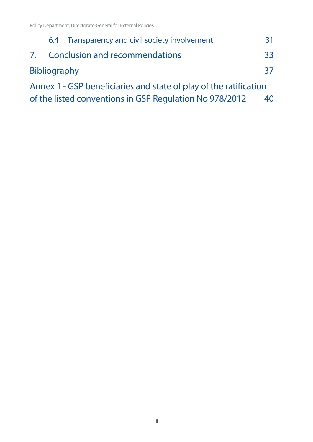|                     | 6.4 Transparency and civil society involvement                    | 31 |
|---------------------|-------------------------------------------------------------------|----|
|                     | 7. Conclusion and recommendations                                 | 33 |
| <b>Bibliography</b> |                                                                   | 37 |
|                     | Annex 1 - GSP beneficiaries and state of play of the ratification |    |
|                     | of the listed conventions in GSP Regulation No 978/2012           | 40 |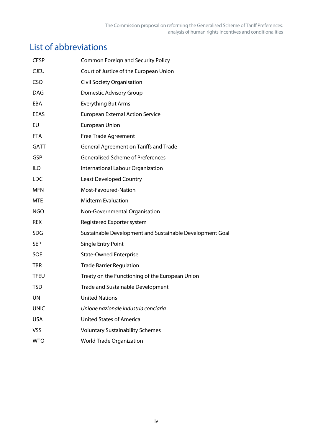# List of abbreviations

| <b>CFSP</b> | <b>Common Foreign and Security Policy</b>                |
|-------------|----------------------------------------------------------|
| <b>CJEU</b> | Court of Justice of the European Union                   |
| <b>CSO</b>  | Civil Society Organisation                               |
| <b>DAG</b>  | Domestic Advisory Group                                  |
| EBA         | <b>Everything But Arms</b>                               |
| <b>EEAS</b> | <b>European External Action Service</b>                  |
| EU          | <b>European Union</b>                                    |
| <b>FTA</b>  | <b>Free Trade Agreement</b>                              |
| <b>GATT</b> | General Agreement on Tariffs and Trade                   |
| GSP         | <b>Generalised Scheme of Preferences</b>                 |
| <b>ILO</b>  | International Labour Organization                        |
| <b>LDC</b>  | <b>Least Developed Country</b>                           |
| <b>MFN</b>  | Most-Favoured-Nation                                     |
| <b>MTE</b>  | <b>Midterm Evaluation</b>                                |
| <b>NGO</b>  | Non-Governmental Organisation                            |
| <b>REX</b>  | Registered Exporter system                               |
| <b>SDG</b>  | Sustainable Development and Sustainable Development Goal |
| <b>SEP</b>  | Single Entry Point                                       |
| <b>SOE</b>  | <b>State-Owned Enterprise</b>                            |
| TBR         | <b>Trade Barrier Regulation</b>                          |
| <b>TFEU</b> | Treaty on the Functioning of the European Union          |
| <b>TSD</b>  | <b>Trade and Sustainable Development</b>                 |
| <b>UN</b>   | <b>United Nations</b>                                    |
| <b>UNIC</b> | Unione nazionale industria conciaria                     |
| <b>USA</b>  | <b>United States of America</b>                          |
| VSS         | <b>Voluntary Sustainability Schemes</b>                  |
| <b>WTO</b>  | <b>World Trade Organization</b>                          |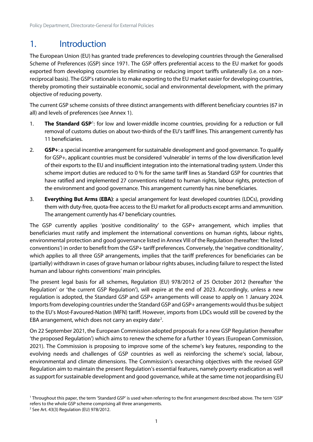# <span id="page-6-0"></span>1. Introduction

The European Union (EU) has granted trade preferences to developing countries through the Generalised Scheme of Preferences (GSP) since 1971. The GSP offers preferential access to the EU market for goods exported from developing countries by eliminating or reducing import tariffs unilaterally (i.e. on a nonreciprocal basis). The GSP's rationale is to make exporting to the EU market easier for developing countries, thereby promoting their sustainable economic, social and environmental development, with the primary objective of reducing poverty.

The current GSP scheme consists of three distinct arrangements with different beneficiary countries (67 in all) and levels of preferences (see Annex 1).

- [1](#page-6-1). The Standard GSP<sup>1</sup>: for low and lower-middle income countries, providing for a reduction or full removal of customs duties on about two-thirds of the EU's tariff lines. This arrangement currently has 11 beneficiaries.
- 2. **GSP+**: a special incentive arrangement for sustainable development and good governance. To qualify for GSP+, applicant countries must be considered 'vulnerable' in terms of the low diversification level of their exports to the EU and insufficient integration into the international trading system. Under this scheme import duties are reduced to 0 % for the same tariff lines as Standard GSP for countries that have ratified and implemented 27 conventions related to human rights, labour rights, protection of the environment and good governance. This arrangement currently has nine beneficiaries.
- 3. **Everything But Arms (EBA)**: a special arrangement for least developed countries (LDCs), providing them with duty-free, quota-free access to the EU market for all products except arms and ammunition. The arrangement currently has 47 beneficiary countries.

The GSP currently applies 'positive conditionality' to the GSP+ arrangement, which implies that beneficiaries must ratify and implement the international conventions on human rights, labour rights, environmental protection and good governance listed in Annex VIII of the Regulation (hereafter: 'the listed conventions') in order to benefit from the GSP+ tariff preferences. Conversely, the 'negative conditionality', which applies to all three GSP arrangements, implies that the tariff preferences for beneficiaries can be (partially) withdrawn in cases of grave human or labour rights abuses, including failure to respect the listed human and labour rights conventions' main principles.

The present legal basis for all schemes, Regulation (EU) 978/2012 of 25 October 2012 (hereafter 'the Regulation' or 'the current GSP Regulation'), will expire at the end of 2023. Accordingly, unless a new regulation is adopted, the Standard GSP and GSP+ arrangements will cease to apply on 1 January 2024. Imports from developing countries under the Standard GSP and GSP+ arrangements would thus be subject to the EU's Most-Favoured-Nation (MFN) tariff. However, imports from LDCs would still be covered by the EBA arrangement, which does not carry an expiry date<sup>[2](#page-6-2)</sup>.

On 22 September 2021, the European Commission adopted proposalsfor a new GSP Regulation (hereafter 'the proposed Regulation') which aims to renew the scheme for a further 10 years (European Commission, 2021). The Commission is proposing to improve some of the scheme's key features, responding to the evolving needs and challenges of GSP countries as well as reinforcing the scheme's social, labour, environmental and climate dimensions. The Commission's overarching objectives with the revised GSP Regulation aim to maintain the present Regulation's essential features, namely poverty eradication as well as support for sustainable development and good governance, while at the same time not jeopardising EU

<span id="page-6-1"></span><sup>1</sup> Throughout this paper, the term 'Standard GSP' is used when referring to the first arrangement described above. The term 'GSP' refers to the whole GSP scheme comprising all three arrangements.

<span id="page-6-2"></span><sup>2</sup> See Art. 43(3) Regulation (EU) 978/2012.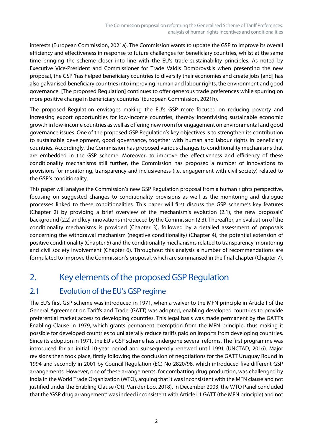interests (European Commission, 2021a). The Commission wants to update the GSP to improve its overall efficiency and effectiveness in response to future challenges for beneficiary countries, whilst at the same time bringing the scheme closer into line with the EU's trade sustainability principles. As noted by Executive Vice-President and Commissioner for Trade Valdis Dombrovskis when presenting the new proposal, the GSP 'has helped beneficiary countries to diversify their economies and create jobs [and] has also galvanised beneficiary countries into improving human and labour rights, the environment and good governance. [The proposed Regulation] continues to offer generous trade preferences while spurring on more positive change in beneficiary countries' (European Commission, 2021h).

The proposed Regulation envisages making the EU's GSP more focused on reducing poverty and increasing export opportunities for low-income countries, thereby incentivising sustainable economic growth in low-income countries as well as offering new room for engagement on environmental and good governance issues. One of the proposed GSP Regulation's key objectives is to strengthen its contribution to sustainable development, good governance, together with human and labour rights in beneficiary countries. Accordingly, the Commission has proposed various changes to conditionality mechanisms that are embedded in the GSP scheme. Moreover, to improve the effectiveness and efficiency of these conditionality mechanisms still further, the Commission has proposed a number of innovations to provisions for monitoring, transparency and inclusiveness (i.e. engagement with civil society) related to the GSP's conditionality.

This paper will analyse the Commission's new GSP Regulation proposal from a human rights perspective, focusing on suggested changes to conditionality provisions as well as the monitoring and dialogue processes linked to these conditionalities. This paper will first discuss the GSP scheme's key features (Chapter 2) by providing a brief overview of the mechanism's evolution (2.1), the new proposals' background (2.2) and key innovations introduced by the Commission (2.3). Thereafter, an evaluation of the conditionality mechanisms is provided (Chapter 3), followed by a detailed assessment of proposals concerning the withdrawal mechanism (negative conditionality) (Chapter 4), the potential extension of positive conditionality (Chapter 5) and the conditionality mechanisms related to transparency, monitoring and civil society involvement (Chapter 6). Throughout this analysis a number of recommendations are formulated to improve the Commission's proposal, which are summarised in the final chapter (Chapter 7).

# <span id="page-7-0"></span>2. Key elements of the proposed GSP Regulation

# <span id="page-7-1"></span>2.1 Evolution of the EU's GSP regime

The EU's first GSP scheme was introduced in 1971, when a waiver to the MFN principle in Article I of the General Agreement on Tariffs and Trade (GATT) was adopted, enabling developed countries to provide preferential market access to developing countries. This legal basis was made permanent by the GATT's Enabling Clause in 1979, which grants permanent exemption from the MFN principle, thus making it possible for developed countries to unilaterally reduce tariffs paid on imports from developing countries. Since its adoption in 1971, the EU's GSP scheme has undergone several reforms. The first programme was introduced for an initial 10-year period and subsequently renewed until 1991 (UNCTAD, 2016). Major revisions then took place, firstly following the conclusion of negotiations for the GATT Uruguay Round in 1994 and secondly in 2001 by Council Regulation (EC) No 2820/98, which introduced five different GSP arrangements. However, one of these arrangements, for combatting drug production, was challenged by India in the World Trade Organization (WTO), arguing that it was inconsistent with the MFN clause and not justified under the Enabling Clause (Ott, Van der Loo, 2018). In December 2003, the WTO Panel concluded that the 'GSP drug arrangement' was indeed inconsistent with Article I:1 GATT (the MFN principle) and not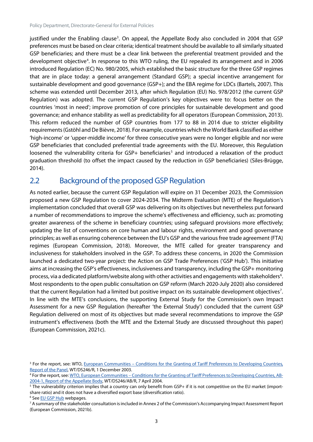justified under the Enabling clause<sup>[3](#page-8-1)</sup>. On appeal, the Appellate Body also concluded in 2004 that GSP preferences must be based on clear criteria; identical treatment should be available to all similarly situated GSP beneficiaries; and there must be a clear link between the preferential treatment provided and the development objective<sup>[4](#page-8-2)</sup>. In response to this WTO ruling, the EU repealed its arrangement and in 2006 introduced Regulation (EC) No. 980/2005, which established the basic structure for the three GSP regimes that are in place today: a general arrangement (Standard GSP); a special incentive arrangement for sustainable development and good governance (GSP+); and the EBA regime for LDCs (Bartels, 2007). This scheme was extended until December 2013, after which Regulation (EU) No. 978/2012 (the current GSP Regulation) was adopted. The current GSP Regulation's key objectives were to: focus better on the countries 'most in need'; improve promotion of core principles for sustainable development and good governance; and enhance stability as well as predictability for all operators (European Commission, 2013). This reform reduced the number of GSP countries from 177 to 88 in 2014 due to stricter eligibility requirements (Gstöhl andDe Bièvre, 2018). For example, countries which the World Bank classified as either 'high-income' or 'upper-middle income' for three consecutive years were no longer eligible and nor were GSP beneficiaries that concluded preferential trade agreements with the EU. Moreover, this Regulation loosened the vulnerability criteria for GSP+ beneficiaries<sup>[5](#page-8-3)</sup> and introduced a relaxation of the product graduation threshold (to offset the impact caused by the reduction in GSP beneficiaries) (Siles-Brügge, 2014).

### <span id="page-8-0"></span>2.2 Background of the proposed GSP Regulation

As noted earlier, because the current GSP Regulation will expire on 31 December 2023, the Commission proposed a new GSP Regulation to cover 2024-2034. The Midterm Evaluation (MTE) of the Regulation's implementation concluded that overall GSP was delivering on its objectives but nevertheless put forward a number of recommendations to improve the scheme's effectiveness and efficiency, such as: promoting greater awareness of the scheme in beneficiary countries; using safeguard provisions more effectively; updating the list of conventions on core human and labour rights, environment and good governance principles; as well as ensuring coherence between the EU's GSP and the various free trade agreement (FTA) regimes (European Commission, 2018). Moreover, the MTE called for greater transparency and inclusiveness for stakeholders involved in the GSP. To address these concerns, in 2020 the Commission launched a dedicated two-year project: the Action on GSP Trade Preferences ('GSP Hub'). This initiative aims at increasing the GSP's effectiveness, inclusiveness and transparency, including the GSP+ monitoring process, via a dedicated platform/website along with other activities and engagements with stakeholders<sup>[6](#page-8-4)</sup>. Most respondents to the open public consultation on GSP reform (March 2020-July 2020) also considered that the current Regulation had a limited but positive impact on its sustainable development objectives<sup>[7](#page-8-5)</sup>. In line with the MTE's conclusions, the supporting External Study for the Commission's own Impact Assessment for a new GSP Regulation (hereafter 'the External Study') concluded that the current GSP Regulation delivered on most of its objectives but made several recommendations to improve the GSP instrument's effectiveness (both the MTE and the External Study are discussed throughout this paper) (European Commission, 2021c).

<span id="page-8-1"></span><sup>&</sup>lt;sup>3</sup> For the report, see: WTO, **European Communities – Conditions for the Granting of Tariff Preferences to Developing Countries,** [Report of the Panel,](https://www.wto.org/english/tratop_e/dispu_e/cases_e/ds246_e.htm) WT/DS246/R, 1 December 2003.

<span id="page-8-2"></span><sup>4</sup> For the report, see: WTO, European Communities – [Conditions for the Granting of Tariff Preferences to Developing Countries, AB-](https://www.wto.org/english/tratop_e/dispu_e/cases_e/ds246_e.htm)[2004-1, Report of the Appellate Body,](https://www.wto.org/english/tratop_e/dispu_e/cases_e/ds246_e.htm) WT/DS246/AB/R, 7 April 2004.

<span id="page-8-3"></span><sup>&</sup>lt;sup>5</sup> The vulnerability criterion implies that a country can only benefit from GSP+ if it is not competitive on the EU market (importshare ratio) and it does not have a diversified export base (diversification ratio).

<span id="page-8-4"></span><sup>6</sup> See [EU GSP Hub](https://gsphub.eu/) webpages.

<span id="page-8-5"></span><sup>&</sup>lt;sup>7</sup> A summary of the stakeholder consultation is included in Annex 2 of the Commission's Accompanying Impact Assessment Report (European Commission, 2021b).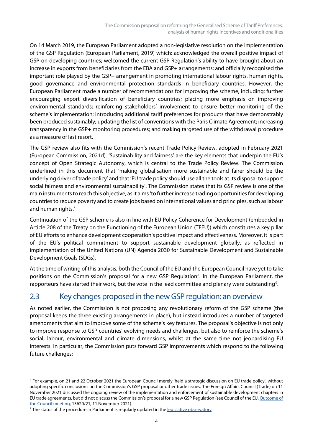On 14 March 2019, the European Parliament adopted a non-legislative resolution on the implementation of the GSP Regulation (European Parliament, 2019) which: acknowledged the overall positive impact of GSP on developing countries; welcomed the current GSP Regulation's ability to have brought about an increase in exports from beneficiaries from the EBA and GSP+ arrangements; and officially recognised the important role played by the GSP+ arrangement in promoting international labour rights, human rights, good governance and environmental protection standards in beneficiary countries. However, the European Parliament made a number of recommendations for improving the scheme, including: further encouraging export diversification of beneficiary countries; placing more emphasis on improving environmental standards; reinforcing stakeholders' involvement to ensure better monitoring of the scheme's implementation; introducing additional tariff preferences for products that have demonstrably been produced sustainably; updating the list of conventions with the Paris Climate Agreement; increasing transparency in the GSP+ monitoring procedures; and making targeted use of the withdrawal procedure as a measure of last resort.

The GSP review also fits with the Commission's recent Trade Policy Review, adopted in February 2021 (European Commission, 2021d). 'Sustainability and fairness' are the key elements that underpin the EU's concept of Open Strategic Autonomy, which is central to the Trade Policy Review. The Commission underlined in this document that 'making globalisation more sustainable and fairer should be the underlying driver of trade policy' and that 'EU trade policy should use all the tools at its disposal to support social fairness and environmental sustainability'. The Commission states that its GSP review is one of the main instruments to reach this objective, as it aims'to further increase trading opportunities for developing countries to reduce poverty and to create jobs based on international values and principles, such as labour and human rights.'

Continuation of the GSP scheme is also in line with EU Policy Coherence for Development (embedded in Article 208 of the Treaty on the Functioning of the European Union (TFEU)) which constitutes a key pillar of EU efforts to enhance development cooperation's positive impact and effectiveness. Moreover, it is part of the EU's political commitment to support sustainable development globally, as reflected in implementation of the United Nations (UN) Agenda 2030 for Sustainable Development and Sustainable Development Goals (SDGs).

At the time of writing of this analysis, both the Council of the EU and the European Council have yet to take positions on the Commission's proposal for a new GSP Regulation<sup>[8](#page-9-1)</sup>. In the European Parliament, the rapporteurs have started their work, but the vote in the lead committee and plenary were outstanding<sup>[9](#page-9-2)</sup>.

### <span id="page-9-0"></span>2.3 Key changes proposed in the new GSP regulation: an overview

As noted earlier, the Commission is not proposing any revolutionary reform of the GSP scheme (the proposal keeps the three existing arrangements in place), but instead introduces a number of targeted amendments that aim to improve some of the scheme's key features. The proposal's objective is not only to improve response to GSP countries' evolving needs and challenges, but also to reinforce the scheme's social, labour, environmental and climate dimensions, whilst at the same time not jeopardising EU interests. In particular, the Commission puts forward GSP improvements which respond to the following future challenges:

<span id="page-9-1"></span><sup>8</sup> For example, on 21 and 22 October 2021 the European Council merely 'held a strategic discussion on EU trade policy', without adopting specific conclusions on the Commission's GSP proposal or other trade issues. The Foreign Affairs Council (Trade) on 11 November 2021 discussed the ongoing review of the implementation and enforcement of sustainable development chapters in EU trade agreements, but did not discuss the Commission's proposal for a new GSP Regulation (see Council of the EU, Outcome of the Council meeting, 13620/21, 11 November 2021).

<span id="page-9-2"></span><sup>&</sup>lt;sup>9</sup> The status of the procedure in Parliament is regularly updated in th[e legislative observatory.](https://oeil.secure.europarl.europa.eu/oeil/popups/ficheprocedure.do?reference=2021/0297(COD)&l=en)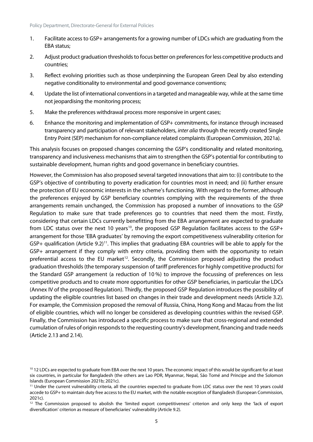- 1. Facilitate access to GSP+ arrangements for a growing number of LDCs which are graduating from the EBA status;
- 2. Adjust product graduation thresholds to focus better on preferences forless competitive products and countries;
- 3. Reflect evolving priorities such as those underpinning the European Green Deal by also extending negative conditionality to environmental and good governance conventions;
- 4. Update the list of international conventions in a targeted and manageable way, while at the same time not jeopardising the monitoring process;
- 5. Make the preferences withdrawal process more responsive in urgent cases;
- 6. Enhance the monitoring and implementation of GSP+ commitments, for instance through increased transparency and participation of relevant stakeholders, *inter alia* through the recently created Single Entry Point (SEP) mechanism for non-compliance related complaints (European Commission, 2021a).

This analysis focuses on proposed changes concerning the GSP's conditionality and related monitoring, transparency and inclusiveness mechanismsthat aim to strengthen the GSP's potential for contributing to sustainable development, human rights and good governance in beneficiary countries.

However, the Commission has also proposed several targeted innovations that aim to: (i) contribute to the GSP's objective of contributing to poverty eradication for countries most in need; and (ii) further ensure the protection of EU economic interests in the scheme's functioning. With regard to the former, although the preferences enjoyed by GSP beneficiary countries complying with the requirements of the three arrangements remain unchanged, the Commission has proposed a number of innovations to the GSP Regulation to make sure that trade preferences go to countries that need them the most. Firstly, considering that certain LDCs currently benefitting from the EBA arrangement are expected to graduate from LDC status over the next 10 years<sup>10</sup>, the proposed GSP Regulation facilitates access to the GSP+ arrangement for those 'EBA graduates' by removing the export competitiveness vulnerability criterion for GSP+ qualification (Article 9.2)<sup>[11](#page-10-1)</sup>. This implies that graduating EBA countries will be able to apply for the GSP+ arrangement if they comply with entry criteria, providing them with the opportunity to retain preferential access to the EU market<sup>[12](#page-10-2)</sup>. Secondly, the Commission proposed adjusting the product graduation thresholds (the temporary suspension of tariff preferences for highly competitive products) for the Standard GSP arrangement (a reduction of 10 %) to improve the focussing of preferences on less competitive products and to create more opportunities for other GSP beneficiaries, in particular the LDCs (Annex IV of the proposed Regulation). Thirdly, the proposed GSP Regulation introduces the possibility of updating the eligible countries list based on changes in their trade and development needs (Article 3.2). For example, the Commission proposed the removal of Russia, China, Hong Kong and Macau from the list of eligible countries, which will no longer be considered as developing countries within the revised GSP. Finally, the Commission has introduced a specific process to make sure that cross-regional and extended cumulation of rules of origin responds to the requesting country's development, financing and trade needs (Article 2.13 and 2.14).

<span id="page-10-0"></span><sup>&</sup>lt;sup>10</sup> 12 LDCs are expected to graduate from EBA over the next 10 years. The economic impact of this would be significant for at least six countries, in particular for Bangladesh (the others are Lao PDR, Myanmar, Nepal, São Tomé and Príncipe and the Solomon Islands (European Commission 2021b; 2021c).

<span id="page-10-1"></span><sup>11</sup> Under the current vulnerability criteria, all the countries expected to graduate from LDC status over the next 10 years could accede to GSP+ to maintain duty free access to the EU market, with the notable exception of Bangladesh (European Commission, 2021c).

<span id="page-10-2"></span><sup>&</sup>lt;sup>12</sup> The Commission proposed to abolish the 'limited export competitiveness' criterion and only keep the 'lack of export diversification' criterion as measure of beneficiaries' vulnerability (Article 9.2).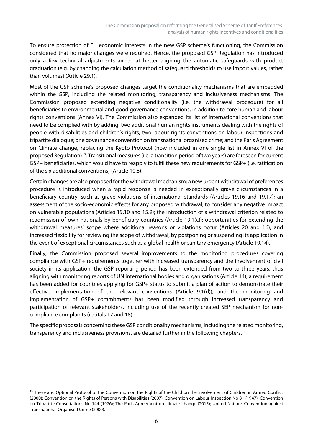To ensure protection of EU economic interests in the new GSP scheme's functioning, the Commission considered that no major changes were required. Hence, the proposed GSP Regulation has introduced only a few technical adjustments aimed at better aligning the automatic safeguards with product graduation (e.g. by changing the calculation method of safeguard thresholds to use import values, rather than volumes) (Article 29.1).

Most of the GSP scheme's proposed changes target the conditionality mechanisms that are embedded within the GSP, including the related monitoring, transparency and inclusiveness mechanisms. The Commission proposed extending negative conditionality (i.e. the withdrawal procedure) for all beneficiaries to environmental and good governance conventions, in addition to core human and labour rights conventions (Annex VI). The Commission also expanded its list of international conventions that need to be complied with by adding: two additional human rights instruments dealing with the rights of people with disabilities and children's rights; two labour rights conventions on labour inspections and tripartite dialogue; one governance convention on transnational organised crime; and the Paris Agreement on Climate change, replacing the Kyoto Protocol (now included in one single list in Annex VI of the proposed Regulation)<sup>[13](#page-11-0)</sup>. Transitional measures (i.e. a transition period of two years) are foreseen for current GSP+ beneficiaries, which would have to reapply to fulfil these new requirements for GSP+ (i.e. ratification of the six additional conventions) (Article 10.8).

Certain changes are also proposed for the withdrawal mechanism: a new urgent withdrawal of preferences procedure is introduced when a rapid response is needed in exceptionally grave circumstances in a beneficiary country, such as grave violations of international standards (Articles 19.16 and 19.17); an assessment of the socio-economic effects for any proposed withdrawal, to consider any negative impact on vulnerable populations (Articles 19.10 and 15.9); the introduction of a withdrawal criterion related to readmission of own nationals by beneficiary countries (Article 19.1(c)); opportunities for extending the withdrawal measures' scope where additional reasons or violations occur (Articles 20 and 16); and increased flexibility for reviewing the scope of withdrawal, by postponing or suspending its application in the event of exceptional circumstances such as a global health or sanitary emergency (Article 19.14).

Finally, the Commission proposed several improvements to the monitoring procedures covering compliance with GSP+ requirements together with increased transparency and the involvement of civil society in its application: the GSP reporting period has been extended from two to three years, thus aligning with monitoring reports of UN international bodies and organisations (Article 14); a requirement has been added for countries applying for GSP+ status to submit a plan of action to demonstrate their effective implementation of the relevant conventions (Article 9.1(d)); and the monitoring and implementation of GSP+ commitments has been modified through increased transparency and participation of relevant stakeholders, including use of the recently created SEP mechanism for noncompliance complaints (recitals 17 and 18).

The specific proposals concerning these GSP conditionality mechanisms, including the related monitoring, transparency and inclusiveness provisions, are detailed further in the following chapters.

<span id="page-11-0"></span><sup>&</sup>lt;sup>13</sup> These are: Optional Protocol to the Convention on the Rights of the Child on the Involvement of Children in Armed Conflict (2000); Convention on the Rights of Persons with Disabilities (2007); Convention on Labour Inspection No 81 (1947); Convention on Tripartite Consultations No 144 (1976); The Paris Agreement on climate change (2015); United Nations Convention against Transnational Organised Crime (2000).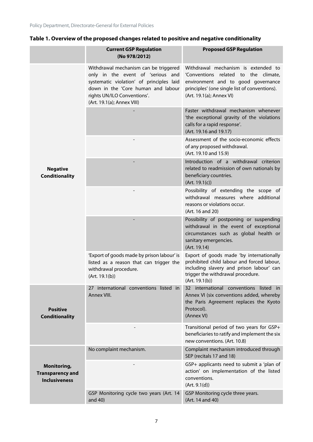#### **Table 1. Overview of the proposed changes related to positive and negative conditionality**

|                                                                | <b>Current GSP Regulation</b><br>(No 978/2012)                                                                                                                                                                            | <b>Proposed GSP Regulation</b>                                                                                                                                                                 |
|----------------------------------------------------------------|---------------------------------------------------------------------------------------------------------------------------------------------------------------------------------------------------------------------------|------------------------------------------------------------------------------------------------------------------------------------------------------------------------------------------------|
|                                                                | Withdrawal mechanism can be triggered<br>only in the event of 'serious and<br>systematic violation' of principles laid<br>down in the 'Core human and labour<br>rights UN/ILO Conventions'.<br>(Art. 19.1(a); Annex VIII) | Withdrawal mechanism is extended to<br>'Conventions related to the climate,<br>environment and to good governance<br>principles' (one single list of conventions).<br>(Art. 19.1(a); Annex VI) |
|                                                                |                                                                                                                                                                                                                           | Faster withdrawal mechanism whenever<br>'the exceptional gravity of the violations<br>calls for a rapid response'.<br>(Art. 19.16 and 19.17)                                                   |
|                                                                |                                                                                                                                                                                                                           | Assessment of the socio-economic effects<br>of any proposed withdrawal.<br>(Art. 19.10 and 15.9)                                                                                               |
| <b>Negative</b><br><b>Conditionality</b>                       |                                                                                                                                                                                                                           | Introduction of a withdrawal criterion<br>related to readmission of own nationals by<br>beneficiary countries.<br>(Art. 19.1(c))                                                               |
|                                                                |                                                                                                                                                                                                                           | Possibility of extending the scope of<br>withdrawal measures where additional<br>reasons or violations occur.<br>(Art. 16 and 20)                                                              |
|                                                                |                                                                                                                                                                                                                           | Possibility of postponing or suspending<br>withdrawal in the event of exceptional<br>circumstances such as global health or<br>sanitary emergencies.<br>(Art. 19.14)                           |
|                                                                | 'Export of goods made by prison labour' is<br>listed as a reason that can trigger the<br>withdrawal procedure.<br>(Art. 19.1(b))                                                                                          | Export of goods made 'by internationally<br>prohibited child labour and forced labour,<br>including slavery and prison labour' can<br>trigger the withdrawal procedure.<br>(Art. 19.1(b))      |
| <b>Positive</b><br><b>Conditionality</b>                       | 27 international conventions listed in<br>Annex VIII.                                                                                                                                                                     | 32 international conventions listed in<br>Annex VI (six conventions added, whereby<br>the Paris Agreement replaces the Kyoto<br>Protocol).<br>(Annex VI)                                       |
|                                                                |                                                                                                                                                                                                                           | Transitional period of two years for GSP+<br>beneficiaries to ratify and implement the six<br>new conventions. (Art. 10.8)                                                                     |
|                                                                | No complaint mechanism.                                                                                                                                                                                                   | Complaint mechanism introduced through<br>SEP (recitals 17 and 18)                                                                                                                             |
| Monitoring,<br><b>Transparency and</b><br><b>Inclusiveness</b> |                                                                                                                                                                                                                           | GSP+ applicants need to submit a 'plan of<br>action' on implementation of the listed<br>conventions.<br>(Art. 9.1(d))                                                                          |
|                                                                | GSP Monitoring cycle two years (Art. 14<br>and 40)                                                                                                                                                                        | GSP Monitoring cycle three years.<br>(Art. 14 and 40)                                                                                                                                          |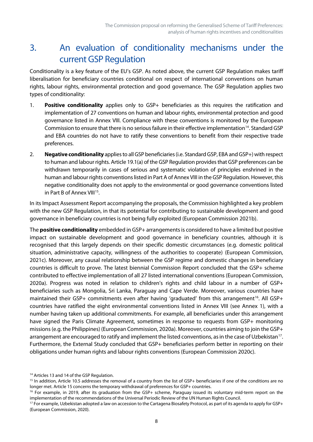# <span id="page-13-0"></span>3. An evaluation of conditionality mechanisms under the current GSP Regulation

Conditionality is a key feature of the EU's GSP. As noted above, the current GSP Regulation makes tariff liberalisation for beneficiary countries conditional on respect of international conventions on human rights, labour rights, environmental protection and good governance. The GSP Regulation applies two types of conditionality:

- 1. **Positive conditionality** applies only to GSP+ beneficiaries as this requires the ratification and implementation of 27 conventions on human and labour rights, environmental protection and good governance listed in Annex VIII. Compliance with these conventions is monitored by the European Commission to ensure that there is no serious failure in their effective implementation<sup>[14](#page-13-1)</sup>. Standard GSP and EBA countries do not have to ratify these conventions to benefit from their respective trade preferences.
- 2. **Negative conditionality** applies to all GSP beneficiaries (i.e. Standard GSP, EBA and GSP+) with respect to human and labour rights. Article 19.1(a) of the GSP Regulation provides that GSP preferences can be withdrawn temporarily in cases of serious and systematic violation of principles enshrined in the human and labour rights conventions listed in Part A of Annex VIII in the GSP Regulation. However, this negative conditionality does not apply to the environmental or good governance conventions listed in Part B of Annex VIII<sup>[15](#page-13-2)</sup>.

In its Impact Assessment Report accompanying the proposals, the Commission highlighted a key problem with the new GSP Regulation, in that its potential for contributing to sustainable development and good governance in beneficiary countries is not being fully exploited (European Commission 2021b).

The **positive conditionality** embedded in GSP+ arrangementsis considered to have a limited but positive impact on sustainable development and good governance in beneficiary countries, although it is recognised that this largely depends on their specific domestic circumstances (e.g. domestic political situation, administrative capacity, willingness of the authorities to cooperate) (European Commission, 2021c). Moreover, any causal relationship between the GSP regime and domestic changes in beneficiary countries is difficult to prove. The latest biennial Commission Report concluded that the GSP+ scheme contributed to effective implementation of all 27 listed international conventions (European Commission, 2020a). Progress was noted in relation to children's rights and child labour in a number of GSP+ beneficiaries such as Mongolia, Sri Lanka, Paraguay and Cape Verde. Moreover, various countries have maintained their GSP+ commitments even after having 'graduated' from this arrangement<sup>16</sup>. All GSP+ countries have ratified the eight environmental conventions listed in Annex VIII (see Annex 1), with a number having taken up additional commitments. For example, all beneficiaries under this arrangement have signed the Paris Climate Agreement, sometimes in response to requests from GSP+ monitoring missions (e.g. the Philippines) (European Commission, 2020a). Moreover, countries aiming to join the GSP+ arrangement are encouraged to ratify and implement the listed conventions, as in the case of Uzbekistan<sup>[17](#page-13-4)</sup>. Furthermore, the External Study concluded that GSP+ beneficiaries perform better in reporting on their obligations under human rights and labour rights conventions (European Commission 2020c).

<span id="page-13-1"></span><sup>&</sup>lt;sup>14</sup> Articles 13 and 14 of the GSP Regulation.

<span id="page-13-2"></span><sup>&</sup>lt;sup>15</sup> In addition, Article 10.5 addresses the removal of a country from the list of GSP+ beneficiaries if one of the conditions are no longer met. Article 15 concerns the temporary withdrawal of preferences for GSP+ countries.

<span id="page-13-3"></span><sup>&</sup>lt;sup>16</sup> For example, in 2019, after its graduation from the GSP+ scheme, Paraguay issued its voluntary mid-term report on the implementation of the recommendations of the Universal Periodic Review of the UN Human Rights Council.

<span id="page-13-4"></span><sup>&</sup>lt;sup>17</sup> For example, Uzbekistan adopted a law on accession to the Cartagena Biosafety Protocol, as part of its agenda to apply for GSP+ (European Commission, 2020).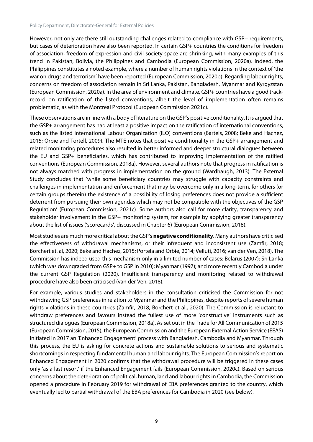However, not only are there still outstanding challenges related to compliance with GSP+ requirements, but cases of deterioration have also been reported. In certain GSP+ countries the conditions for freedom of association, freedom of expression and civil society space are shrinking, with many examples of this trend in Pakistan, Bolivia, the Philippines and Cambodia (European Commission, 2020a). Indeed, the Philippines constitutes a noted example, where a number of human rights violations in the context of 'the war on drugs and terrorism' have been reported (European Commission, 2020b). Regarding labour rights, concerns on freedom of association remain in Sri Lanka, Pakistan, Bangladesh, Myanmar and Kyrgyzstan (European Commission, 2020a). In the area of environment and climate, GSP+ countries have a good trackrecord on ratification of the listed conventions, albeit the level of implementation often remains problematic, as with the Montreal Protocol (European Commission 2021c).

These observations are in line with a body of literature on the GSP's positive conditionality. It is argued that the GSP+ arrangement has had at least a positive impact on the ratification of international conventions, such as the listed International Labour Organization (ILO) conventions (Bartels, 2008; Beke and Hachez, 2015; Orbie and Tortell, 2009). The MTE notes that positive conditionality in the GSP+ arrangement and related monitoring procedures also resulted in better informed and deeper structural dialogues between the EU and GSP+ beneficiaries, which has contributed to improving implementation of the ratified conventions (European Commission, 2018a). However, several authors note that progress in ratification is not always matched with progress in implementation on the ground (Wardhaugh, 2013). The External Study concludes that 'while some beneficiary countries may struggle with capacity constraints and challenges in implementation and enforcement that may be overcome only in a long-term, for others (or certain groups therein) the existence of a possibility of losing preferences does not provide a sufficient deterrent from pursuing their own agendas which may not be compatible with the objectives of the GSP Regulation' (European Commission, 2021c). Some authors also call for more clarity, transparency and stakeholder involvement in the GSP+ monitoring system, for example by applying greater transparency about the list of issues ('scorecards', discussed in Chapter 6) (European Commission, 2018).

Most studies are much more critical about the GSP's **negative conditionality**. Many authors have criticised the effectiveness of withdrawal mechanisms, or their infrequent and inconsistent use (Zamfir, 2018; Borchert et. al, 2020; Beke and Hachez, 2015; Portela and Orbie, 2014; Velluti, 2016; van der Ven, 2018). The Commission has indeed used this mechanism only in a limited number of cases: Belarus (2007); Sri Lanka (which was downgraded from GSP+ to GSP in 2010); Myanmar (1997); and more recently Cambodia under the current GSP Regulation (2020). Insufficient transparency and monitoring related to withdrawal procedure have also been criticised (van der Ven, 2018).

For example, various studies and stakeholders in the consultation criticised the Commission for not withdrawing GSP preferences in relation to Myanmar and the Philippines, despite reports of severe human rights violations in these countries (Zamfir, 2018; Borchert et al., 2020). The Commission is reluctant to withdraw preferences and favours instead the fullest use of more 'constructive' instruments such as structured dialogues (European Commission, 2018a). As set out in the Trade for All Communication of 2015 (European Commission, 2015), the European Commission and the European External Action Service (EEAS) initiated in 2017 an 'Enhanced Engagement' process with Bangladesh, Cambodia and Myanmar. Through this process, the EU is asking for concrete actions and sustainable solutions to serious and systematic shortcomings in respecting fundamental human and labour rights. The European Commission's report on Enhanced Engagement in 2020 confirms that the withdrawal procedure will be triggered in these cases only 'as a last resort' if the Enhanced Engagement fails (European Commission, 2020c). Based on serious concerns about the deterioration of political, human, land and labour rights in Cambodia, the Commission opened a procedure in February 2019 for withdrawal of EBA preferences granted to the country, which eventually led to partial withdrawal of the EBA preferences for Cambodia in 2020 (see below).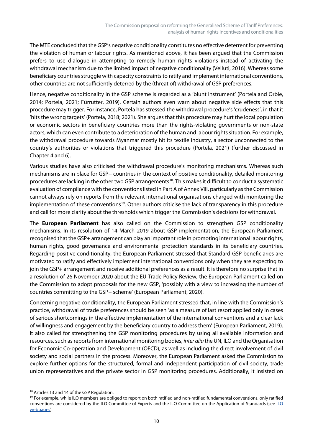The MTE concluded that the GSP's negative conditionality constitutes no effective deterrent for preventing the violation of human or labour rights. As mentioned above, it has been argued that the Commission prefers to use dialogue in attempting to remedy human rights violations instead of activating the withdrawal mechanism due to the limited impact of negative conditionality (Velluti, 2016). Whereas some beneficiary countries struggle with capacity constraints to ratify and implement international conventions, other countries are not sufficiently deterred by the (threat of) withdrawal of GSP preferences.

Hence, negative conditionality in the GSP scheme is regarded as a 'blunt instrument' (Portela and Orbie, 2014; Portela, 2021; Fürrutter, 2019). Certain authors even warn about negative side effects that this procedure may trigger. For instance, Portela has stressed the withdrawal procedure's 'crudeness', in that it 'hits the wrong targets' (Portela, 2018; 2021). She argues that this procedure may hurt the local population or economic sectors in beneficiary countries more than the rights-violating governments or non-state actors, which can even contribute to a deterioration of the human and labour rights situation. For example, the withdrawal procedure towards Myanmar mostly hit its textile industry, a sector unconnected to the country's authorities or violations that triggered this procedure (Portela, 2021) (further discussed in Chapter 4 and 6).

Various studies have also criticised the withdrawal procedure's monitoring mechanisms. Whereas such mechanisms are in place for GSP+ countries in the context of positive conditionality, detailed monitoring procedures are lacking in the other two GSP arrangements<sup>[18](#page-15-0)</sup>. This makes it difficult to conduct a systematic evaluation of compliance with the conventions listed in Part A of Annex VIII, particularly as the Commission cannot always rely on reports from the relevant international organisations charged with monitoring the implementation of these conventions<sup>[19](#page-15-1)</sup>. Other authors criticise the lack of transparency in this procedure and call for more clarity about the thresholds which trigger the Commission's decisions for withdrawal.

The **European Parliament** has also called on the Commission to strengthen GSP conditionality mechanisms. In its resolution of 14 March 2019 about GSP implementation, the European Parliament recognised that the GSP+ arrangement can play an important role in promoting international labour rights, human rights, good governance and environmental protection standards in its beneficiary countries. Regarding positive conditionality, the European Parliament stressed that Standard GSP beneficiaries are motivated to ratify and effectively implement international conventions only when they are expecting to join the GSP+ arrangement and receive additional preferences as a result. It is therefore no surprise that in a resolution of 26 November 2020 about the EU Trade Policy Review, the European Parliament called on the Commission to adopt proposals for the new GSP, 'possibly with a view to increasing the number of countries committing to the GSP+ scheme' (European Parliament, 2020).

Concerning negative conditionality, the European Parliament stressed that, in line with the Commission's practice, withdrawal of trade preferences should be seen 'as a measure of last resort applied only in cases of serious shortcomings in the effective implementation of the international conventions and a clear lack of willingness and engagement by the beneficiary country to address them' (European Parliament, 2019). It also called for strengthening the GSP monitoring procedures by using all available information and resources, such as reports from international monitoring bodies, *inter alia* the UN, ILO and the Organisation for Economic Co-operation and Development (OECD), as well as including the direct involvement of civil society and social partners in the process. Moreover, the European Parliament asked the Commission to explore further options for the structured, formal and independent participation of civil society, trade union representatives and the private sector in GSP monitoring procedures. Additionally, it insisted on

<span id="page-15-0"></span><sup>&</sup>lt;sup>18</sup> Articles 13 and 14 of the GSP Regulation.

<span id="page-15-1"></span><sup>&</sup>lt;sup>19</sup> For example, while ILO members are obliged to report on both ratified and non-ratified fundamental conventions, only ratified conventions are considered by the [ILO](https://www.ilo.org/global/standards/lang--en/index.htm) Committee of Experts and the ILO Committee on the Application of Standards (see ILO [webpages\)](https://www.ilo.org/global/standards/lang--en/index.htm).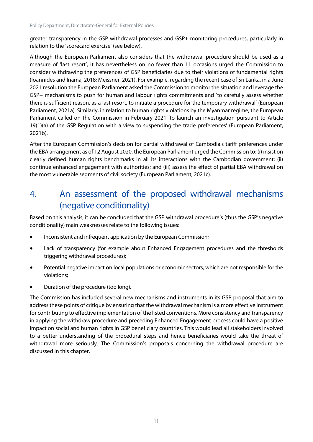greater transparency in the GSP withdrawal processes and GSP+ monitoring procedures, particularly in relation to the 'scorecard exercise' (see below).

Although the European Parliament also considers that the withdrawal procedure should be used as a measure of 'last resort', it has nevertheless on no fewer than 11 occasions urged the Commission to consider withdrawing the preferences of GSP beneficiaries due to their violations of fundamental rights (Ioannides and Inama, 2018; Meissner, 2021). For example, regarding the recent case of Sri Lanka, in a June 2021 resolution the European Parliament asked the Commission to monitor the situation and leverage the GSP+ mechanisms to push for human and labour rights commitments and 'to carefully assess whether there is sufficient reason, as a last resort, to initiate a procedure for the temporary withdrawal' (European Parliament, 2021a). Similarly, in relation to human rights violations by the Myanmar regime, the European Parliament called on the Commission in February 2021 'to launch an investigation pursuant to Article 19(1)(a) of the GSP Regulation with a view to suspending the trade preferences' (European Parliament, 2021b).

After the European Commission's decision for partial withdrawal of Cambodia's tariff preferences under the EBA arrangement as of 12 August 2020, the European Parliament urged the Commission to: (i) insist on clearly defined human rights benchmarks in all its interactions with the Cambodian government; (ii) continue enhanced engagement with authorities; and (iii) assess the effect of partial EBA withdrawal on the most vulnerable segments of civil society (European Parliament, 2021c).

# <span id="page-16-0"></span>4. An assessment of the proposed withdrawal mechanisms (negative conditionality)

Based on this analysis, it can be concluded that the GSP withdrawal procedure's (thus the GSP's negative conditionality) main weaknesses relate to the following issues:

- Inconsistent and infrequent application by the European Commission;
- Lack of transparency (for example about Enhanced Engagement procedures and the thresholds triggering withdrawal procedures);
- Potential negative impact on local populations or economic sectors, which are not responsible for the violations;
- Duration of the procedure (too long).

The Commission has included several new mechanisms and instruments in its GSP proposal that aim to address these points of critique by ensuring that the withdrawal mechanism is a more effective instrument for contributing to effective implementation of the listed conventions. More consistency and transparency in applying the withdraw procedure and preceding Enhanced Engagement process could have a positive impact on social and human rights in GSP beneficiary countries. This would lead all stakeholders involved to a better understanding of the procedural steps and hence beneficiaries would take the threat of withdrawal more seriously. The Commission's proposals concerning the withdrawal procedure are discussed in this chapter.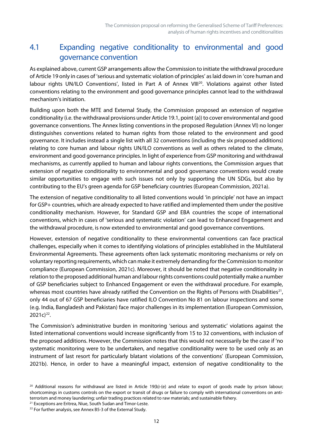# <span id="page-17-0"></span>4.1 Expanding negative conditionality to environmental and good governance convention

As explained above, current GSP arrangements allow the Commission to initiate the withdrawal procedure of Article 19 only in cases of 'serious and systematic violation of principles' as laid down in 'core human and labour rights UN/ILO Conventions', listed in Part A of Annex VIII<sup>20</sup>. Violations against other listed conventions relating to the environment and good governance principles cannot lead to the withdrawal mechanism's initiation.

Building upon both the MTE and External Study, the Commission proposed an extension of negative conditionality (i.e. the withdrawal provisions under Article 19.1, point (a)) to cover environmental and good governance conventions. The Annex listing conventions in the proposed Regulation (Annex VI) no longer distinguishes conventions related to human rights from those related to the environment and good governance. It includes instead a single list with all 32 conventions (including the six proposed additions) relating to core human and labour rights UN/ILO conventions as well as others related to the climate, environment and good governance principles. In light of experience from GSP monitoring and withdrawal mechanisms, as currently applied to human and labour rights conventions, the Commission argues that extension of negative conditionality to environmental and good governance conventions would create similar opportunities to engage with such issues not only by supporting the UN SDGs, but also by contributing to the EU's green agenda for GSP beneficiary countries (European Commission, 2021a).

The extension of negative conditionality to all listed conventions would 'in principle' not have an impact for GSP+ countries, which are already expected to have ratified and implemented them under the positive conditionality mechanism. However, for Standard GSP and EBA countries the scope of international conventions, which in cases of 'serious and systematic violation' can lead to Enhanced Engagement and the withdrawal procedure, is now extended to environmental and good governance conventions.

However, extension of negative conditionality to these environmental conventions can face practical challenges, especially when it comes to identifying violations of principles established in the Multilateral Environmental Agreements. These agreements often lack systematic monitoring mechanisms or rely on voluntary reporting requirements, which can make it extremely demanding for the Commission to monitor compliance (European Commission, 2021c). Moreover, it should be noted that negative conditionality in relation to the proposed additional human and labour rights conventions could potentially make a number of GSP beneficiaries subject to Enhanced Engagement or even the withdrawal procedure. For example, whereas most countries have already ratified the Convention on the Rights of Persons with Disabilities<sup>[21](#page-17-2)</sup>, only 44 out of 67 GSP beneficiaries have ratified ILO Convention No 81 on labour inspections and some (e.g. India, Bangladesh and Pakistan) face major challenges in its implementation (European Commission,  $2021c)^{22}$  $2021c)^{22}$  $2021c)^{22}$ .

The Commission's administrative burden in monitoring 'serious and systematic' violations against the listed international conventions would increase significantly from 15 to 32 conventions, with inclusion of the proposed additions. However, the Commission notes that this would not necessarily be the case if 'no systematic monitoring were to be undertaken, and negative conditionality were to be used only as an instrument of last resort for particularly blatant violations of the conventions' (European Commission, 2021b). Hence, in order to have a meaningful impact, extension of negative conditionality to the

<span id="page-17-2"></span><sup>21</sup> Exceptions are Eritrea, Niue, South Sudan and Timor-Leste.

<span id="page-17-1"></span> $20$  Additional reasons for withdrawal are listed in Article 19(b)-(e) and relate to export of goods made by prison labour; shortcomings in customs controls on the export or transit of drugs or failure to comply with international conventions on antiterrorism and money laundering; unfair trading practices related to raw materials; and sustainable fishery.

<span id="page-17-3"></span><sup>&</sup>lt;sup>22</sup> For further analysis, see Annex B5-3 of the External Study.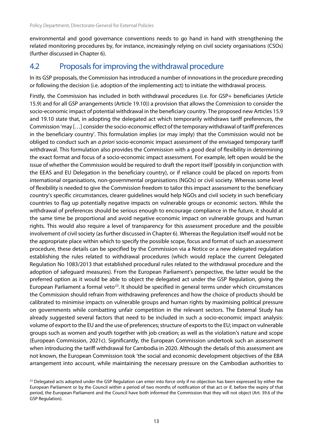environmental and good governance conventions needs to go hand in hand with strengthening the related monitoring procedures by, for instance, increasingly relying on civil society organisations (CSOs) (further discussed in Chapter 6).

## <span id="page-18-0"></span>4.2 Proposals for improving the withdrawal procedure

In its GSP proposals, the Commission has introduced a number of innovations in the procedure preceding or following the decision (i.e. adoption of the implementing act) to initiate the withdrawal process.

Firstly, the Commission has included in both withdrawal procedures (i.e. for GSP+ beneficiaries (Article 15.9) and for all GSP arrangements (Article 19.10)) a provision that allows the Commission to consider the socio-economic impact of potential withdrawal in the beneficiary country. The proposed new Articles 15.9 and 19.10 state that, in adopting the delegated act which temporarily withdraws tariff preferences, the Commission 'may […] consider the socio-economic effect of the temporary withdrawal of tariff preferences in the beneficiary country'. This formulation implies (or may imply) that the Commission would not be obliged to conduct such an *a priori* socio-economic impact assessment of the envisaged temporary tariff withdrawal. This formulation also provides the Commission with a good deal of flexibility in determining the exact format and focus of a socio-economic impact assessment. For example, left open would be the issue of whether the Commission would be required to draft the report itself (possibly in conjunction with the EEAS and EU Delegation in the beneficiary country), or if reliance could be placed on reports from international organisations, non-governmental organisations (NGOs) or civil society. Whereas some level of flexibility is needed to give the Commission freedom to tailor this impact assessment to the beneficiary country's specific circumstances, clearer guidelines would help NGOs and civil society in such beneficiary countries to flag up potentially negative impacts on vulnerable groups or economic sectors. While the withdrawal of preferences should be serious enough to encourage compliance in the future, it should at the same time be proportional and avoid negative economic impact on vulnerable groups and human rights. This would also require a level of transparency for this assessment procedure and the possible involvement of civil society (as further discussed in Chapter 6). Whereas the Regulation itself would not be the appropriate place within which to specify the possible scope, focus and format of such an assessment procedure, these details can be specified by the Commission via a Notice or a new delegated regulation establishing the rules related to withdrawal procedures (which would replace the current Delegated Regulation No 1083/2013 that established procedural rules related to the withdrawal procedure and the adoption of safeguard measures). From the European Parliament's perspective, the latter would be the preferred option as it would be able to object the delegated act under the GSP Regulation, giving the European Parliament a formal veto<sup>[23](#page-18-1)</sup>. It should be specified in general terms under which circumstances the Commission should refrain from withdrawing preferences and how the choice of products should be calibrated to minimise impacts on vulnerable groups and human rights by maximising political pressure on governments while combatting unfair competition in the relevant sectors. The External Study has already suggested several factors that need to be included in such a socio-economic impact analysis: volume of export to the EU and the use of preferences; structure of exports to the EU; impact on vulnerable groups such as women and youth together with job creation; as well as the violation's nature and scope (European Commission, 2021c). Significantly, the European Commission undertook such an assessment when introducing the tariff withdrawal for Cambodia in 2020. Although the details of this assessment are not known, the European Commission took 'the social and economic development objectives of the EBA arrangement into account, while maintaining the necessary pressure on the Cambodian authorities to

<span id="page-18-1"></span><sup>&</sup>lt;sup>23</sup> Delegated acts adopted under the GSP Regulation can enter into force only if no objection has been expressed by either the European Parliament or by the Council within a period of two months of notification of that act or if, before the expiry of that period, the European Parliament and the Council have both informed the Commission that they will not object (Art. 39.6 of the GSP Regulation).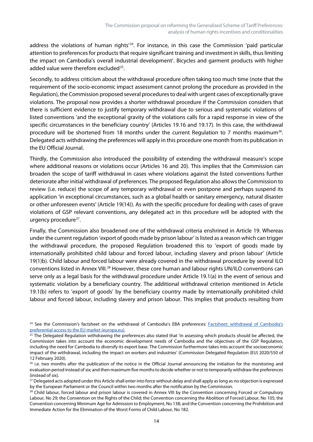address the violations of human rights<sup>'24</sup>. For instance, in this case the Commission 'paid particular attention to preferences for products that require significant training and investment in skills, thus limiting the impact on Cambodia's overall industrial development'. Bicycles and garment products with higher added value were therefore excluded $25$ .

Secondly, to address criticism about the withdrawal procedure often taking too much time (note that the requirement of the socio-economic impact assessment cannot prolong the procedure as provided in the Regulation), the Commission proposed several procedures to deal with urgent cases of exceptionally grave violations. The proposal now provides a shorter withdrawal procedure if the Commission considers that there is sufficient evidence to justify temporary withdrawal due to serious and systematic violations of listed conventions 'and the exceptional gravity of the violations calls for a rapid response in view of the specific circumstances in the beneficiary country' (Articles 19.16 and 19.17). In this case, the withdrawal procedure will be shortened from 18 months under the current Regulation to 7 months maximum<sup>[26](#page-19-2)</sup>. Delegated acts withdrawing the preferences will apply in this procedure one month from its publication in the EU Official Journal.

Thirdly, the Commission also introduced the possibility of extending the withdrawal measure's scope where additional reasons or violations occur (Articles 16 and 20). This implies that the Commission can broaden the scope of tariff withdrawal in cases where violations against the listed conventions further deteriorate after initial withdrawal of preferences. The proposed Regulation also allows the Commission to review (i.e. reduce) the scope of any temporary withdrawal or even postpone and perhaps suspend its application 'in exceptional circumstances, such as a global health or sanitary emergency, natural disaster or other unforeseen events' (Article 19(14)). As with the specific procedure for dealing with cases of grave violations of GSP relevant conventions, any delegated act in this procedure will be adopted with the urgency procedure $27$ .

Finally, the Commission also broadened one of the withdrawal criteria enshrined in Article 19. Whereas under the current regulation 'export of goods made by prison labour' is listed as a reason which can trigger the withdrawal procedure, the proposed Regulation broadened this to 'export of goods made by internationally prohibited child labour and forced labour, including slavery and prison labour' (Article 19(1)b). Child labour and forced labour were already covered in the withdrawal procedure by several ILO conventions listed in Annex VIII.<sup>[28](#page-19-4)</sup> However, these core human and labour rights UN/ILO conventions can serve only as a legal basis for the withdrawal procedure under Article 19.1(a) in the event of serious and systematic violation by a beneficiary country. The additional withdrawal criterion mentioned in Article 19.1(b) refers to 'export of goods' by the beneficiary country made by internationally prohibited child labour and forced labour, including slavery and prison labour. This implies that products resulting from

<span id="page-19-0"></span><sup>&</sup>lt;sup>24</sup> See the Commission's factsheet on the withdrawal of Cambodia's EBA preferences: Factsheet: withdrawal of Cambodia's [preferential access to the EU market \(europa.eu\).](https://trade.ec.europa.eu/doclib/docs/2020/february/tradoc_158631.pdf)

<span id="page-19-1"></span> $25$  The Delegated Regulation withdrawing the preferences also stated that 'in assessing which products should be affected, the Commission takes into account the economic development needs of Cambodia and the objectives of the GSP Regulation, including the need for Cambodia to diversify its export base. The Commission furthermore takes into account the socioeconomic impact of the withdrawal, including the impact on workers and industries' (Commission Delegated Regulation (EU) 2020/550 of 12 February 2020).

<span id="page-19-2"></span> $26$  i.e. two months after the publication of the notice in the Official Journal announcing the initiation for the monitoring and evaluation period instead of six; and then maximum five months to decide whether or not to temporarily withdraw the preferences (instead of six).

<span id="page-19-3"></span><sup>&</sup>lt;sup>27</sup> Delegated acts adopted under this Article shall enter into force without delay and shall apply as long as no objection is expressed by the European Parliament or the Council within two months after the notification by the Commission.

<span id="page-19-4"></span><sup>&</sup>lt;sup>28</sup> Child labour, forced labour and prison labour is covered in Annex VIII by the Convention concerning Forced or Compulsory Labour, No 29; the Convention on the Rights of the Child; the Convention concerning the Abolition of Forced Labour, No 105; the Convention concerning Minimum Age for Admission to Employment, No 138; and the Convention concerning the Prohibition and Immediate Action for the Elimination of the Worst Forms of Child Labour, No 182.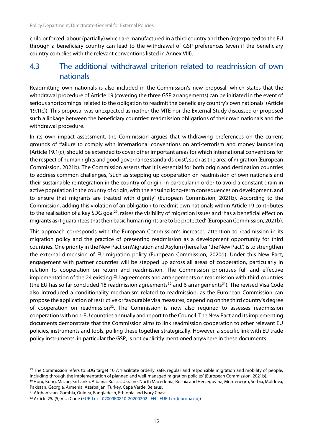child or forced labour (partially) which are manufactured in a third country and then (re)exported to the EU through a beneficiary country can lead to the withdrawal of GSP preferences (even if the beneficiary country complies with the relevant conventions listed in Annex VIII).

#### <span id="page-20-0"></span>4.3 The additional withdrawal criterion related to readmission of own nationals

Readmitting own nationals is also included in the Commission's new proposal, which states that the withdrawal procedure of Article 19 (covering the three GSP arrangements) can be initiated in the event of serious shortcomings 'related to the obligation to readmit the beneficiary country's own nationals' (Article 19.1(c)). This proposal was unexpected as neither the MTE nor the External Study discussed or proposed such a linkage between the beneficiary countries' readmission obligations of their own nationals and the withdrawal procedure.

In its own impact assessment, the Commission argues that withdrawing preferences on the current grounds of 'failure to comply with international conventions on anti-terrorism and money laundering [Article 19.1(c)] should be extended to cover other important areas for which international conventions for the respect of human rights and good governance standards exist', such as the area of migration (European Commission, 2021b). The Commission asserts that it is essential for both origin and destination countries to address common challenges, 'such as stepping up cooperation on readmission of own nationals and their sustainable reintegration in the country of origin, in particular in order to avoid a constant drain in active population in the country of origin, with the ensuing long-term consequences on development, and to ensure that migrants are treated with dignity' (European Commission, 2021b). According to the Commission, adding this violation of an obligation to readmit own nationals within Article 19 contributes to the realisation of a key SDG goal<sup>29</sup>, raises the visibility of migration issues and 'has a beneficial effect on migrants as it guarantees that their basic human rights are to be protected' (European Commission, 2021b).

This approach corresponds with the European Commission's increased attention to readmission in its migration policy and the practice of presenting readmission as a development opportunity for third countries. One priority in the New Pact on Migration and Asylum (hereafter 'the New Pact') is to strengthen the external dimension of EU migration policy (European Commission, 2020d). Under this New Pact, engagement with partner countries will be stepped up across all areas of cooperation, particularly in relation to cooperation on return and readmission. The Commission prioritises full and effective implementation of the 24 existing EU agreements and arrangements on readmission with third countries (the EU has so far concluded 18 readmission agreements<sup>[30](#page-20-2)</sup> and 6 arrangements<sup>[31](#page-20-3)</sup>). The revised Visa Code also introduced a conditionality mechanism related to readmission, as the European Commission can propose the application of restrictive or favourable visa measures, depending on the third country's degree of cooperation on readmission<sup>[32](#page-20-4)</sup>. The Commission is now also required to assesses readmission cooperation with non-EU countries annually and report to the Council. The New Pact and itsimplementing documents demonstrate that the Commission aims to link readmission cooperation to other relevant EU policies, instruments and tools, pulling these together strategically. However, a specific link with EU trade policy instruments, in particular the GSP, is not explicitly mentioned anywhere in these documents.

<span id="page-20-2"></span><sup>30</sup> Hong Kong, Macao, Sri Lanka, Albania, Russia, Ukraine, North Macedonia, Bosnia and Herzegovina, Montenegro, Serbia, Moldova, Pakistan, Georgia, Armenia, Azerbaijan, Turkey, Cape Verde, Belarus.

<span id="page-20-3"></span><sup>31</sup> Afghanistan, Gambia, Guinea, Bangladesh, Ethiopia and Ivory Coast.

<span id="page-20-1"></span><sup>&</sup>lt;sup>29</sup> The Commission refers to SDG target 10.7: 'Facilitate orderly, safe, regular and responsible migration and mobility of people, including through the implementation of planned and well-managed migration policies' (European Commission, 2021b).

<span id="page-20-4"></span><sup>32</sup> Article 25a(5) Visa Code (EUR-Lex - [02009R0810-20200202 -](https://eur-lex.europa.eu/legal-content/EN/TXT/?uri=CELEX%3A02009R0810-20200202) EN - EUR-Lex (europa.eu))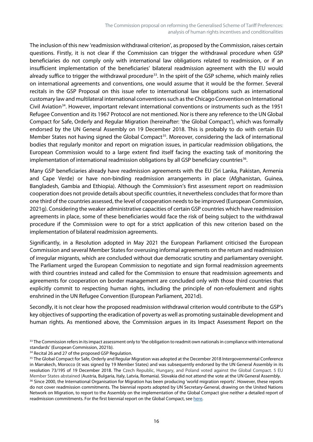The inclusion of this new 'readmission withdrawal criterion', as proposed by the Commission, raises certain questions. Firstly, it is not clear if the Commission can trigger the withdrawal procedure when GSP beneficiaries do not comply only with international law obligations related to readmission, or if an insufficient implementation of the beneficiaries' bilateral readmission agreement with the EU would already suffice to trigger the withdrawal procedure<sup>33</sup>. In the spirit of the GSP scheme, which mainly relies on international agreements and conventions, one would assume that it would be the former. Several recitals in the GSP Proposal on this issue refer to international law obligations such as international customary law and multilateral international conventions such as the Chicago Convention on International Civil Aviation[34.](#page-21-1) However, important relevant international conventions or instruments such as the 1951 Refugee Convention and its 1967 Protocol are not mentioned. Nor is there any reference to the UN Global Compact for Safe, Orderly and Regular Migration (hereinafter: 'the Global Compact'), which was formally endorsed by the UN General Assembly on 19 December 2018. This is probably to do with certain EU Member States not having signed the Global Compact<sup>[35](#page-21-2)</sup>. Moreover, considering the lack of international bodies that regularly monitor and report on migration issues, in particular readmission obligations, the European Commission would to a large extent find itself facing the exacting task of monitoring the implementation of international readmission obligations by all GSP beneficiary countries<sup>36</sup>.

Many GSP beneficiaries already have readmission agreements with the EU (Sri Lanka, Pakistan, Armenia and Cape Verde) or have non-binding readmission arrangements in place (Afghanistan, Guinea, Bangladesh, Gambia and Ethiopia). Although the Commission's first assessment report on readmission cooperation does not provide details about specific countries, it nevertheless concludes that for more than one third of the countries assessed, the level of cooperation needs to be improved (European Commission, 2021g). Considering the weaker administrative capacities of certain GSP countries which have readmission agreements in place, some of these beneficiaries would face the risk of being subject to the withdrawal procedure if the Commission were to opt for a strict application of this new criterion based on the implementation of bilateral readmission agreements.

Significantly, in a Resolution adopted in May 2021 the European Parliament criticised the European Commission and several Member States for overusing informal agreements on the return and readmission of irregular migrants, which are concluded without due democratic scrutiny and parliamentary oversight. The Parliament urged the European Commission to negotiate and sign formal readmission agreements with third countries instead and called for the Commission to ensure that readmission agreements and agreements for cooperation on border management are concluded only with those third countries that explicitly commit to respecting human rights, including the principle of non-refoulement and rights enshrined in the UN Refugee Convention (European Parliament, 2021d).

Secondly, it is not clear how the proposed readmission withdrawal criterion would contribute to the GSP's key objectives of supporting the eradication of poverty as well as promoting sustainable development and human rights. As mentioned above, the Commission argues in its Impact Assessment Report on the

<span id="page-21-0"></span><sup>&</sup>lt;sup>33</sup> The Commission refers in its impact assessment only to 'the obligation to readmit own nationals in compliance with international standards' (European Commission, 2021b).

<span id="page-21-1"></span><sup>&</sup>lt;sup>34</sup> Recital 26 and 27 of the proposed GSP Regulation.

<span id="page-21-3"></span><span id="page-21-2"></span><sup>&</sup>lt;sup>35</sup> The Global Compact for Safe, Orderly and Regular Migration was adopted at the December 2018 Intergovernmental Conference in Marrakech, Morocco (it was signed by 19 Member States) and was subsequently endorsed by the UN General Assembly in its resolution 73/195 of 19 December 2018. The Czech Republic, Hungary, and Poland voted against the Global Compact. 5 EU Member States abstained (Austria, Bulgaria, Italy, Latvia, Romania). Slovakia did not attend the vote at the UN General Assembly. <sup>36</sup> Since 2000, the International Organisation for Migration has been producing 'world migration reports'. However, these reports do not cover readmission commitments. The biennial reports adopted by UN Secretary-General, drawing on the United Nations Network on Migration, to report to the Assembly on the implementation of the Global Compact give neither a detailed report of readmission commitments. For the first biennial report on the Global Compact, see [here.](https://migrationnetwork.un.org/sites/g/files/tmzbdl416/files/docs/sg_report_from_promise_to_action.pdf)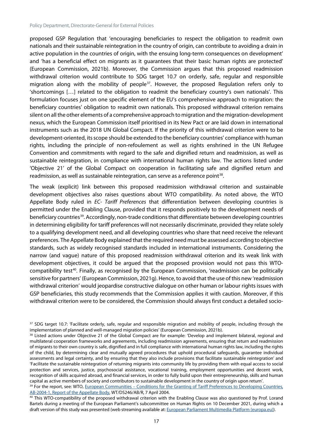proposed GSP Regulation that 'encouraging beneficiaries to respect the obligation to readmit own nationals and their sustainable reintegration in the country of origin, can contribute to avoiding a drain in active population in the countries of origin, with the ensuing long-term consequences on development' and 'has a beneficial effect on migrants as it guarantees that their basic human rights are protected' (European Commission, 2021b). Moreover, the Commission argues that this proposed readmission withdrawal criterion would contribute to SDG target 10.7 on orderly, safe, regular and responsible migration along with the mobility of people<sup>[37](#page-22-0)</sup>. However, the proposed Regulation refers only to 'shortcomings […] related to the obligation to readmit the beneficiary country's own nationals'. This formulation focuses just on one specific element of the EU's comprehensive approach to migration: the beneficiary countries' obligation to readmit own nationals. This proposed withdrawal criterion remains silent on all the other elements of a comprehensive approach to migration and the migration-development nexus, which the European Commission itself prioritised in its New Pact or are laid down in international instruments such as the 2018 UN Global Compact. If the priority of this withdrawal criterion were to be development-oriented, its scope should be extended to the beneficiary countries' compliance with human rights, including the principle of non-refoulement as well as rights enshrined in the UN Refugee Convention and commitments with regard to the safe and dignified return and readmission, as well as sustainable reintegration, in compliance with international human rights law. The actions listed under 'Objective 21' of the Global Compact on cooperation in facilitating safe and dignified return and readmission, as well as sustainable reintegration, can serve as a reference point<sup>[38](#page-22-1)</sup>.

The weak (explicit) link between this proposed readmission withdrawal criterion and sustainable development objectives also raises questions about WTO compatibility. As noted above, the WTO Appellate Body ruled in *EC- Tariff Preferences* that differentiation between developing countries is permitted under the Enabling Clause, provided that it responds positively to the development needs of beneficiary countries<sup>[39](#page-22-2)</sup>. Accordingly, non-trade conditions that differentiate between developing countries in determining eligibility for tariff preferences will not necessarily discriminate, provided they relate solely to a qualifying development need, and all developing countries who share that need receive the relevant preferences. The Appellate Body explained that the required need must be assessed according to objective standards, such as widely recognised standards included in international instruments. Considering the narrow (and vague) nature of this proposed readmission withdrawal criterion and its weak link with development objectives, it could be argued that the proposed provision would not pass this WTOcompatibility test<sup>40</sup>. Finally, as recognised by the European Commission, 'readmission can be politically sensitive for partners' (European Commission, 2021g). Hence, to avoid that the use of this new 'readmission withdrawal criterion' would jeopardise constructive dialogue on other human or labour rights issues with GSP beneficiaries, this study recommends that the Commission applies it with caution. Moreover, if this withdrawal criterion were to be considered, the Commission should always first conduct a detailed socio-

<span id="page-22-0"></span><sup>&</sup>lt;sup>37</sup> SDG target 10.7: 'Facilitate orderly, safe, regular and responsible migration and mobility of people, including through the implementation of planned and well-managed migration policies' (European Commission, 2021b).

<span id="page-22-1"></span><sup>&</sup>lt;sup>38</sup> Listed actions under Objective 21 of the Global Compact are for example: 'Develop and implement bilateral, regional and multilateral cooperation frameworks and agreements, including readmission agreements, ensuring that return and readmission of migrants to their own country is safe, dignified and in full compliance with international human rights law, including the rights of the child, by determining clear and mutually agreed procedures that uphold procedural safeguards, guarantee individual assessments and legal certainty, and by ensuring that they also include provisions that facilitate sustainable reintegration' and 'Facilitate the sustainable reintegration of returning migrants into community life by providing them with equal access to social protection and services, justice, psychosocial assistance, vocational training, employment opportunities and decent work, recognition of skills acquired abroad, and financial services, in order to fully build upon their entrepreneurship, skills and human capital as active members of society and contributors to sustainable development in the country of origin upon return'.

<span id="page-22-2"></span><sup>&</sup>lt;sup>39</sup> For the report, see: WTO, European Communities – Conditions for the Granting of Tariff Preferences to Developing Countries, [AB-2004-1, Report of the Appellate Body,](https://docs.wto.org/dol2fe/Pages/FE_Search/FE_S_S006.aspx?Query=(@Symbol=%20wt/ds246/ab/r*%20not%20rw*)&Language=ENGLISH&Context=FomerScriptedSearch&languageUIChanged=true) WT/DS246/AB/R, 7 April 2004.

<span id="page-22-3"></span><sup>&</sup>lt;sup>40</sup> This WTO-compatibility of the proposed withdrawal criterion with the Enabling Clause was also questioned by Prof. Lorand Bartels during a meeting of the European Parliament's subcommittee on Human Rights on 10 December 2021, during which a draft version of this study was presented (web streaming available at[: European Parliament Multimedia Platform \(europa.eu\)\)](https://multimedia.europarl.europa.eu/en/webstreaming/subcommittee-on-human-rights_20211210-0900-COMMITTEE-DROI).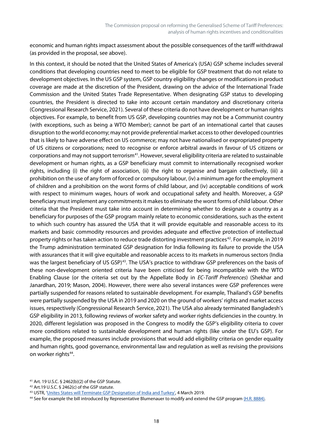economic and human rights impact assessment about the possible consequences of the tariff withdrawal (as provided in the proposal, see above).

In this context, it should be noted that the United States of America's (USA) GSP scheme includes several conditions that developing countries need to meet to be eligible for GSP treatment that do not relate to development objectives. In the US GSP system, GSP country eligibility changes or modificationsin product coverage are made at the discretion of the President, drawing on the advice of the International Trade Commission and the United States Trade Representative. When designating GSP status to developing countries, the President is directed to take into account certain mandatory and discretionary criteria (Congressional Research Service, 2021). Several of these criteria do not have development or human rights objectives. For example, to benefit from US GSP, developing countries may not be a Communist country (with exceptions, such as being a WTO Member); cannot be part of an international cartel that causes disruption to the world economy; may not provide preferential market access to other developed countries that is likely to have adverse effect on US commerce; may not have nationalised or expropriated property of US citizens or corporations; need to recognise or enforce arbitral awards in favour of US citizens or corporations and may not support terrorism<sup>[41](#page-23-0)</sup>. However, several eligibility criteria are related to sustainable development or human rights, as a GSP beneficiary must commit to internationally recognised worker rights, including (i) the right of association, (ii) the right to organise and bargain collectively, (iii) a prohibition on the use of any form of forced or compulsory labour, (iv) a minimum age for the employment of children and a prohibition on the worst forms of child labour, and (iv) acceptable conditions of work with respect to minimum wages, hours of work and occupational safety and health. Moreover, a GSP beneficiary must implement any commitments it makes to eliminate the worst forms of child labour. Other criteria that the President must take into account in determining whether to designate a country as a beneficiary for purposes of the GSP program mainly relate to economic considerations, such as the extent to which such country has assured the USA that it will provide equitable and reasonable access to its markets and basic commodity resources and provides adequate and effective protection of intellectual property rights or has taken action to reduce trade distorting investment practices<sup>[42](#page-23-1)</sup>. For example, in 2019 the Trump administration terminated GSP designation for India following its failure to provide the USA with assurances that it will give equitable and reasonable access to its markets in numerous sectors (India was the largest beneficiary of US GSP)<sup>43</sup>. The USA's practice to withdraw GSP preferences on the basis of these non-development oriented criteria have been criticised for being incompatible with the WTO Enabling Clause (or the criteria set out by the Appellate Body in *EC-Tariff Preferences*) (Shekhar and Janardhan, 2019; Mason, 2004). However, there were also several instances were GSP preferences were partially suspended for reasons related to sustainable development. For example, Thailand's GSP benefits were partially suspended by the USA in 2019 and 2020 on the ground of workers' rights and market access issues, respectively (Congressional Research Service, 2021). The USA also already terminated Bangladesh's GSP eligibility in 2013, following reviews of worker safety and worker rights deficiencies in the country. In 2020, different legislation was proposed in the Congress to modify the GSP's eligibility criteria to cover more conditions related to sustainable development and human rights (like under the EU's GSP). For example, the proposed measures include provisions that would add eligibility criteria on gender equality and human rights, good governance, environmental law and regulation as well as revising the provisions on worker rights<sup>[44](#page-23-3)</sup>.

<span id="page-23-0"></span><sup>41</sup> Art. 19 U.S.C. § 2462(b)(2) of the GSP Statute.

<span id="page-23-1"></span><sup>42</sup> Art.19 U.S.C. § 2462(c) of the GSP statute.

<span id="page-23-2"></span><sup>43</sup> USTR, ['Unites States will Terminate GSP Designation of India and Turkey',](https://ustr.gov/about-us/policy-offices/press-office/press-releases/2019/march/united-states-will-terminate-gsp) 4 March 2019.

<span id="page-23-3"></span><sup>44</sup> See for example the bill introduced by Representative Blumenauer to modify and extend the GSP progra[m \(H.R. 8884\).](https://www.congress.gov/bill/116th-congress/house-bill/8884/text)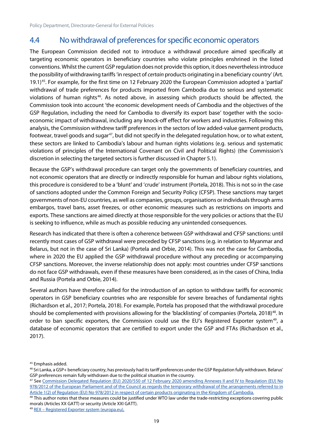# <span id="page-24-0"></span>4.4 No withdrawal of preferences for specific economic operators

The European Commission decided not to introduce a withdrawal procedure aimed specifically at targeting economic operators in beneficiary countries who violate principles enshrined in the listed conventions. Whilst the current GSP regulation does not provide this option, it does nevertheless introduce the possibility of withdrawing tariffs 'in respect of *certain* products originating in a beneficiary country' (Art. 19.1) [45](#page-24-1). For example, for the first time on 12 February 2020 the European Commission adopted a 'partial' withdrawal of trade preferences for products imported from Cambodia due to serious and systematic violations of human rights<sup>[46](#page-24-2)</sup>. As noted above, in assessing which products should be affected, the Commission took into account 'the economic development needs of Cambodia and the objectives of the GSP Regulation, including the need for Cambodia to diversify its export base' together with the socioeconomic impact of withdrawal, including any knock-off effect for workers and industries. Following this analysis, the Commission withdrew tariff preferences in the sectors of low added-value garment products, footwear, travel goods and sugar<sup>47</sup>, but did not specify in the delegated regulation how, or to what extent, these sectors are linked to Cambodia's labour and human rights violations (e.g. serious and systematic violations of principles of the International Covenant on Civil and Political Rights) (the Commission's discretion in selecting the targeted sectors is further discussed in Chapter 5.1).

Because the GSP's withdrawal procedure can target only the governments of beneficiary countries, and not economic operators that are directly or indirectly responsible for human and labour rights violations, this procedure is considered to be a 'blunt' and 'crude' instrument (Portela, 2018). This is not so in the case of sanctions adopted under the Common Foreign and Security Policy (CFSP). These sanctions may target governments of non-EU countries, as well as companies, groups, organisations or individuals through arms embargos, travel bans, asset freezes, or other economic measures such as restrictions on imports and exports. These sanctions are aimed directly at those responsible for the very policies or actions that the EU is seeking to influence, while as much as possible reducing any unintended consequences.

Research has indicated that there is often a coherence between GSP withdrawal and CFSP sanctions: until recently most cases of GSP withdrawal were preceded by CFSP sanctions (e.g. in relation to Myanmar and Belarus, but not in the case of Sri Lanka) (Portela and Orbie, 2014). This was not the case for Cambodia, where in 2020 the EU applied the GSP withdrawal procedure without any preceding or accompanying CFSP sanctions. Moreover, the inverse relationship does not apply: most countries under CFSP sanctions do not face GSP withdrawals, even if these measures have been considered, as in the cases of China, India and Russia (Portela and Orbie, 2014).

Several authors have therefore called for the introduction of an option to withdraw tariffs for economic operators in GSP beneficiary countries who are responsible for severe breaches of fundamental rights (Richardson et al., 2017; Portela, 2018). For example, Portela has proposed that the withdrawal procedure should be complemented with provisions allowing for the 'blacklisting' of companies (Portela, 2018)<sup>48</sup>. In order to ban specific exporters, the Commission could use the EU's Registered Exporter system<sup>[49](#page-24-5)</sup>, a database of economic operators that are certified to export under the GSP and FTAs (Richardson et al., 2017).

<span id="page-24-1"></span><sup>45</sup> Emphasis added.

<span id="page-24-2"></span><sup>46</sup> Sri Lanka, a GSP+ beneficiary country, has previously had its tariff preferences under the GSP Regulation fully withdrawn. Belarus' GSP preferences remain fully withdrawn due to the political situation in the country.

<span id="page-24-3"></span><sup>47</sup> See Commission Delegated Regulation (EU) 2020/550 of 12 February 2020 amending Annexes II and IV to Regulation (EU) No [978/2012 of the European Parliament and of the Council as regards the temporary withdrawal of the arrangements referred to in](https://eur-lex.europa.eu/legal-content/EN/TXT/?uri=CELEX%3A32020R0550) [Article 1\(2\) of Regulation \(EU\) No 978/2012 in respect of certain products originating in the Kingdom of Cambodia.](https://eur-lex.europa.eu/legal-content/EN/TXT/?uri=CELEX%3A32020R0550)

<span id="page-24-4"></span><sup>&</sup>lt;sup>48</sup> This author notes that these measures could be justified under WTO law under the trade-restricting exceptions covering public morals (Articles XX GATT) or security (Article XXI GATT).

<span id="page-24-5"></span><sup>49</sup> REX – [Registered Exporter system \(europa.eu\).](https://ec.europa.eu/taxation_customs/online-services/online-services-and-databases-customs/rex-registered-exporter-system_en)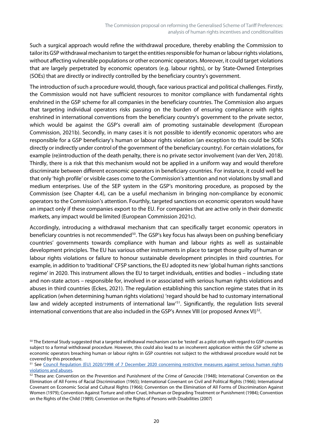Such a surgical approach would refine the withdrawal procedure, thereby enabling the Commission to tailor its GSP withdrawal mechanism to target the entities responsible for human or labour rights violations, without affecting vulnerable populations or other economic operators. Moreover, it could target violations that are largely perpetrated by economic operators (e.g. labour rights), or by State-Owned Enterprises (SOEs) that are directly or indirectly controlled by the beneficiary country's government.

The introduction of such a procedure would, though, face various practical and political challenges. Firstly, the Commission would not have sufficient resources to monitor compliance with fundamental rights enshrined in the GSP scheme for all companies in the beneficiary countries. The Commission also argues that targeting individual operators risks passing on the burden of ensuring compliance with rights enshrined in international conventions from the beneficiary country's government to the private sector, which would be against the GSP's overall aim of promoting sustainable development (European Commission, 2021b). Secondly, in many cases it is not possible to identify economic operators who are responsible for a GSP beneficiary's human or labour rights violation (an exception to this could be SOEs directly or indirectly under control of the government of the beneficiary country). For certain violations, for example (re)introduction of the death penalty, there is no private sector involvement (van der Ven, 2018). Thirdly, there is a risk that this mechanism would not be applied in a uniform way and would therefore discriminate between different economic operators in beneficiary countries. For instance, it could well be that only 'high profile' or visible cases come to the Commission's attention and not violations by small and medium enterprises. Use of the SEP system in the GSP's monitoring procedure, as proposed by the Commission (see Chapter 4.4), can be a useful mechanism in bringing non-compliance by economic operators to the Commission's attention. Fourthly, targeted sanctions on economic operators would have an impact only if these companies export to the EU. For companies that are active only in their domestic markets, any impact would be limited (European Commission 2021c).

Accordingly, introducing a withdrawal mechanism that can specifically target economic operators in beneficiary countries is not recommended<sup>50</sup>. The GSP's key focus has always been on pushing beneficiary countries' governments towards compliance with human and labour rights as well as sustainable development principles. The EU has various other instruments in place to target those guilty of human or labour rights violations or failure to honour sustainable development principles in third countries. For example, in addition to 'traditional' CFSP sanctions, the EU adopted its new 'global human rights sanctions regime' in 2020. This instrument allows the EU to target individuals, entities and bodies – including state and non-state actors – responsible for, involved in or associated with serious human rights violations and abuses in third countries (Eckes, 2021). The regulation establishing this sanction regime states that in its application (when determining human rights violations) 'regard should be had to customary international law and widely accepted instruments of international law<sup>151</sup>. Significantly, the regulation lists several international conventions that are also included in the GSP's Annex VIII (or proposed Annex VI) $^{52}$  $^{52}$  $^{52}$ .

<span id="page-25-0"></span><sup>&</sup>lt;sup>50</sup> The External Study suggested that a targeted withdrawal mechanism can be 'tested' as a pilot only with regard to GSP countries subject to a formal withdrawal procedure. However, this could also lead to an incoherent application within the GSP scheme as economic operators breaching human or labour rights in GSP countries not subject to the withdrawal procedure would not be covered by this procedure.

<span id="page-25-1"></span><sup>51</sup> See [Council Regulation \(EU\) 2020/1998 of 7 December 2020 concerning restrictive measures against serious human rights](https://eur-lex.europa.eu/legal-content/EN/TXT/?uri=CELEX%3A32020R1998)  [violations and abuses.](https://eur-lex.europa.eu/legal-content/EN/TXT/?uri=CELEX%3A32020R1998)

<span id="page-25-2"></span><sup>&</sup>lt;sup>52</sup> These are: Convention on the Prevention and Punishment of the Crime of Genocide (1948); International Convention on the Elimination of All Forms of Racial Discrimination (1965); International Covenant on Civil and Political Rights (1966); International Covenant on Economic Social and Cultural Rights (1966); Convention on the Elimination of All Forms of Discrimination Against Women (1979); Convention Against Torture and other Cruel, Inhuman or Degrading Treatment or Punishment (1984); Convention on the Rights of the Child (1989); Convention on the Rights of Persons with Disabilities (2007)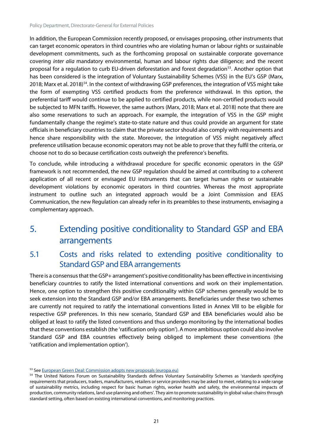In addition, the European Commission recently proposed, or envisages proposing, other instruments that can target economic operators in third countries who are violating human or labour rights or sustainable development commitments, such as the forthcoming proposal on sustainable corporate governance covering *inter alia* mandatory environmental, human and labour rights due diligence; and the recent proposal for a regulation to curb EU-driven deforestation and forest degradation<sup>53</sup>. Another option that has been considered is the integration of Voluntary Sustainability Schemes (VSS) in the EU's GSP (Marx, 2018; Marx et al. 2018)<sup>54</sup>. In the context of withdrawing GSP preferences, the integration of VSS might take the form of exempting VSS certified products from the preference withdrawal. In this option, the preferential tariff would continue to be applied to certified products, while non-certified products would be subjected to MFN tariffs. However, the same authors (Marx, 2018; Marx et al. 2018) note that there are also some reservations to such an approach. For example, the integration of VSS in the GSP might fundamentally change the regime's state-to-state nature and thus could provide an argument for state officials in beneficiary countries to claim that the private sector should also comply with requirements and hence share responsibility with the state. Moreover, the integration of VSS might negatively affect preference utilisation because economic operators may not be able to prove that they fulfil the criteria, or choose not to do so because certification costs outweigh the preference's benefits.

To conclude, while introducing a withdrawal procedure for specific economic operators in the GSP framework is not recommended, the new GSP regulation should be aimed at contributing to a coherent application of all recent or envisaged EU instruments that can target human rights or sustainable development violations by economic operators in third countries. Whereas the most appropriate instrument to outline such an integrated approach would be a Joint Commission and EEAS Communication, the new Regulation can already refer in its preambles to these instruments, envisaging a complementary approach.

# <span id="page-26-0"></span>5. Extending positive conditionality to Standard GSP and EBA arrangements

# <span id="page-26-1"></span>5.1 Costs and risks related to extending positive conditionality to Standard GSP and EBA arrangements

There is a consensus that the GSP+ arrangement's positive conditionality has been effective in incentivising beneficiary countries to ratify the listed international conventions and work on their implementation. Hence, one option to strengthen this positive conditionality within GSP schemes generally would be to seek extension into the Standard GSP and/or EBA arrangements. Beneficiaries under these two schemes are currently not required to ratify the international conventions listed in Annex VIII to be eligible for respective GSP preferences. In this new scenario, Standard GSP and EBA beneficiaries would also be obliged at least to ratify the listed conventions and thus undergo monitoring by the international bodies that these conventions establish (the 'ratification only option'). A more ambitious option could also involve Standard GSP and EBA countries effectively being obliged to implement these conventions (the 'ratification and implementation option').

<span id="page-26-2"></span><sup>53</sup> Se[e European Green Deal: Commission adopts new proposals \(europa.eu\)](https://ec.europa.eu/commission/presscorner/detail/en/ip_21_5916)

<span id="page-26-3"></span><sup>&</sup>lt;sup>54</sup> The United Nations Forum on Sustainability Standards defines Voluntary Sustainability Schemes as 'standards specifying requirements that producers, traders, manufacturers, retailers or service providers may be asked to meet, relating to a wide range of sustainability metrics, including respect for basic human rights, worker health and safety, the environmental impacts of production, community relations, land use planning and others'. They aim to promote sustainability in global value chains through standard setting, often based on existing international conventions, and monitoring practices.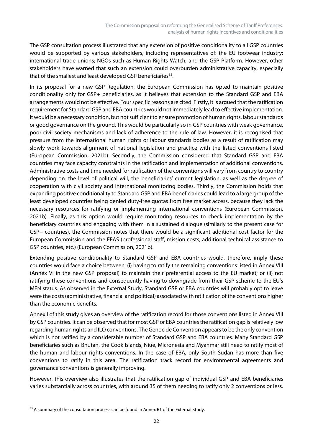The GSP consultation process illustrated that any extension of positive conditionality to all GSP countries would be supported by various stakeholders, including representatives of: the EU footwear industry; international trade unions; NGOs such as Human Rights Watch; and the GSP Platform. However, other stakeholders have warned that such an extension could overburden administrative capacity, especially that of the smallest and least developed GSP beneficiaries<sup>55</sup>.

In its proposal for a new GSP Regulation, the European Commission has opted to maintain positive conditionality only for GSP+ beneficiaries, as it believes that extension to the Standard GSP and EBA arrangements would not be effective. Four specific reasons are cited. Firstly, it is argued that the ratification requirement for Standard GSP and EBA countries would not immediately lead to effective implementation. It would be a necessary condition, but not sufficient to ensure promotion of human rights, labour standards or good governance on the ground. This would be particularly so in GSP countries with weak governance, poor civil society mechanisms and lack of adherence to the rule of law. However, it is recognised that pressure from the international human rights or labour standards bodies as a result of ratification may slowly work towards alignment of national legislation and practice with the listed conventions listed (European Commission, 2021b). Secondly, the Commission considered that Standard GSP and EBA countries may face capacity constraints in the ratification and implementation of additional conventions. Administrative costs and time needed for ratification of the conventions will vary from country to country depending on: the level of political will; the beneficiaries' current legislation; as well as the degree of cooperation with civil society and international monitoring bodies. Thirdly, the Commission holds that expanding positive conditionality to Standard GSP and EBA beneficiaries could lead to a large group of the least developed countries being denied duty-free quotas from free market access, because they lack the necessary resources for ratifying or implementing international conventions (European Commission, 2021b). Finally, as this option would require monitoring resources to check implementation by the beneficiary countries and engaging with them in a sustained dialogue (similarly to the present case for GSP+ countries), the Commission notes that there would be a significant additional cost factor for the European Commission and the EEAS (professional staff, mission costs, additional technical assistance to GSP countries, etc.) (European Commission, 2021b).

Extending positive conditionality to Standard GSP and EBA countries would, therefore, imply these countries would face a choice between: (i) having to ratify the remaining conventions listed in Annex VIII (Annex VI in the new GSP proposal) to maintain their preferential access to the EU market; or (ii) not ratifying these conventions and consequently having to downgrade from their GSP scheme to the EU's MFN status. As observed in the External Study, Standard GSP or EBA countries will probably opt to leave were the costs (administrative, financial and political) associated with ratification of the conventions higher than the economic benefits.

Annex I of this study gives an overview of the ratification record for those conventions listed in Annex VIII by GSP countries. It can be observed that for most GSP or EBA countries the ratification gap is relatively low regarding human rights and ILO conventions. The Genocide Convention appears to be the only convention which is not ratified by a considerable number of Standard GSP and EBA countries. Many Standard GSP beneficiaries such as Bhutan, the Cook Islands, Niue, Micronesia and Myanmar still need to ratify most of the human and labour rights conventions. In the case of EBA, only South Sudan has more than five conventions to ratify in this area. The ratification track record for environmental agreements and governance conventions is generally improving.

However, this overview also illustrates that the ratification gap of individual GSP and EBA beneficiaries varies substantially across countries, with around 35 of them needing to ratify only 2 conventions or less.

<span id="page-27-0"></span><sup>&</sup>lt;sup>55</sup> A summary of the consultation process can be found in Annex B1 of the External Study.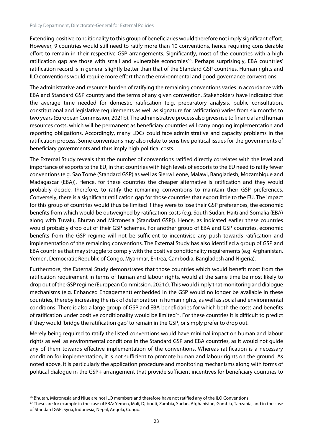Extending positive conditionality to this group of beneficiaries would therefore not imply significant effort. However, 9 countries would still need to ratify more than 10 conventions, hence requiring considerable effort to remain in their respective GSP arrangements. Significantly, most of the countries with a high ratification gap are those with small and vulnerable economies<sup>[56](#page-28-0)</sup>. Perhaps surprisingly, EBA countries' ratification record is in general slightly better than that of the Standard GSP countries. Human rights and ILO conventions would require more effort than the environmental and good governance conventions.

The administrative and resource burden of ratifying the remaining conventions varies in accordance with EBA and Standard GSP country and the terms of any given convention. Stakeholders have indicated that the average time needed for domestic ratification (e.g. preparatory analysis, public consultation, constitutional and legislative requirements as well as signature for ratification) varies from six months to two years (European Commission, 2021b). The administrative process also gives rise to financial and human resources costs, which will be permanent as beneficiary countries will carry ongoing implementation and reporting obligations. Accordingly, many LDCs could face administrative and capacity problems in the ratification process. Some conventions may also relate to sensitive political issues for the governments of beneficiary governments and thus imply high political costs.

The External Study reveals that the number of conventions ratified directly correlates with the level and importance of exports to the EU, in that countries with high levels of exports to the EU need to ratify fewer conventions (e.g. Sao Tomé (Standard GSP) as well as Sierra Leone, Malawi, Bangladesh, Mozambique and Madagascar (EBA)). Hence, for these countries the cheaper alternative is ratification and they would probably decide, therefore, to ratify the remaining conventions to maintain their GSP preferences. Conversely, there is a significant ratification gap for those countries that export little to the EU. The impact for this group of countries would thus be limited if they were to lose their GSP preferences, the economic benefits from which would be outweighed by ratification costs (e.g. South Sudan, Haiti and Somalia (EBA) along with Tuvalu, Bhutan and Micronesia (Standard GSP)). Hence, as indicated earlier these countries would probably drop out of their GSP schemes. For another group of EBA and GSP countries, economic benefits from the GSP regime will not be sufficient to incentivise any push towards ratification and implementation of the remaining conventions. The External Study has also identified a group of GSP and EBA countries that may struggle to comply with the positive conditionality requirements (e.g. Afghanistan, Yemen, Democratic Republic of Congo, Myanmar, Eritrea, Cambodia, Bangladesh and Nigeria).

Furthermore, the External Study demonstrates that those countries which would benefit most from the ratification requirement in terms of human and labour rights, would at the same time be most likely to drop out ofthe GSP regime (European Commission, 2021c). This would imply that monitoring and dialogue mechanisms (e.g. Enhanced Engagement) embedded in the GSP would no longer be available in these countries, thereby increasing the risk of deterioration in human rights, as well as social and environmental conditions. There is also a large group of GSP and EBA beneficiaries for which both the costs and benefits of ratification under positive conditionality would be limited<sup>57</sup>. For these countries it is difficult to predict if they would 'bridge the ratification gap' to remain in the GSP, or simply prefer to drop out.

Merely being required to ratify the listed conventions would have minimal impact on human and labour rights as well as environmental conditions in the Standard GSP and EBA countries, as it would not guide any of them towards effective implementation of the conventions. Whereas ratification is a necessary condition for implementation, it is not sufficient to promote human and labour rights on the ground. As noted above, it is particularly the application procedure and monitoring mechanisms along with forms of political dialogue in the GSP+ arrangement that provide sufficient incentives for beneficiary countries to

<span id="page-28-0"></span><sup>56</sup> Bhutan, Micronesia and Niue are not ILO members and therefore have not ratified any of the ILO Conventions.

<span id="page-28-1"></span><sup>57</sup> These are for example in the case of EBA: Yemen, Mali, Djibouti, Zambia, Sudan, Afghanistan, Gambia, Tanzania; and in the case of Standard GSP: Syria, Indonesia, Nepal, Angola, Congo.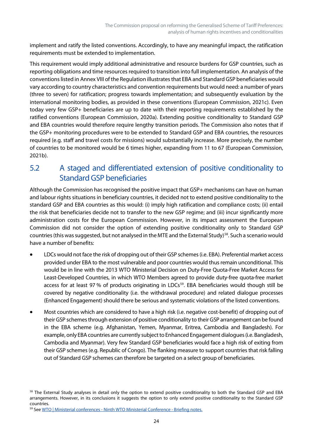implement and ratify the listed conventions. Accordingly, to have any meaningful impact, the ratification requirements must be extended to implementation.

This requirement would imply additional administrative and resource burdens for GSP countries, such as reporting obligations and time resources required to transition into full implementation. An analysis of the conventionslisted in Annex VIII of the Regulation illustrates that EBA and Standard GSP beneficiaries would vary according to country characteristics and convention requirements but would need: a number of years (three to seven) for ratification; progress towards implementation; and subsequently evaluation by the international monitoring bodies, as provided in these conventions (European Commission, 2021c). Even today very few GSP+ beneficiaries are up to date with their reporting requirements established by the ratified conventions (European Commission, 2020a). Extending positive conditionality to Standard GSP and EBA countries would therefore require lengthy transition periods. The Commission also notes that if the GSP+ monitoring procedures were to be extended to Standard GSP and EBA countries, the resources required (e.g. staff and travel costs for missions) would substantially increase. More precisely, the number of countries to be monitored would be 6 times higher, expanding from 11 to 67 (European Commission, 2021b).

## <span id="page-29-0"></span>5.2 A staged and differentiated extension of positive conditionality to Standard GSP beneficiaries

Although the Commission has recognised the positive impact that GSP+ mechanisms can have on human and labour rights situations in beneficiary countries, it decided not to extend positive conditionality to the standard GSP and EBA countries as this would: (i) imply high ratification and compliance costs; (ii) entail the risk that beneficiaries decide not to transfer to the new GSP regime; and (iii) incur significantly more administration costs for the European Commission. However, in its impact assessment the European Commission did not consider the option of extending positive conditionality only to Standard GSP countries (this was suggested, but not analysed in the MTE and the External Study)<sup>58</sup>. Such a scenario would have a number of benefits:

- LDCs would not face the risk of dropping out of their GSP schemes (i.e. EBA). Preferential market access provided under EBA to the most vulnerable and poor countries would thus remain unconditional. This would be in line with the 2013 WTO Ministerial Decision on Duty-Free Quota-Free Market Access for Least-Developed Countries, in which WTO Members agreed to provide duty-free quota-free market access for at least 97 % of products originating in LDCs<sup>[59](#page-29-2)</sup>. EBA beneficiaries would though still be covered by negative conditionality (i.e. the withdrawal procedure) and related dialogue processes (Enhanced Engagement) should there be serious and systematic violations of the listed conventions.
- Most countries which are considered to have a high risk (i.e. negative cost-benefit) of dropping out of their GSP schemes through extension of positive conditionality to their GSP arrangement can be found in the EBA scheme (e.g. Afghanistan, Yemen, Myanmar, Eritrea, Cambodia and Bangladesh). For example, only EBA countries are currently subject to Enhanced Engagement dialogues (i.e. Bangladesh, Cambodia and Myanmar). Very few Standard GSP beneficiaries would face a high risk of exiting from their GSP schemes(e.g. Republic of Congo). The flanking measure to support countries that risk falling out of Standard GSP schemes can therefore be targeted on a select group of beneficiaries.

<span id="page-29-1"></span><sup>&</sup>lt;sup>58</sup> The External Study analyses in detail only the option to extend positive conditionality to both the Standard GSP and EBA arrangements. However, in its conclusions it suggests the option to only extend positive conditionality to the Standard GSP countries.

<span id="page-29-2"></span><sup>59</sup> See WTO | Ministerial conferences - [Ninth WTO Ministerial Conference -](https://www.wto.org/english/thewto_e/minist_e/mc9_e/desci44_e.htm) Briefing notes.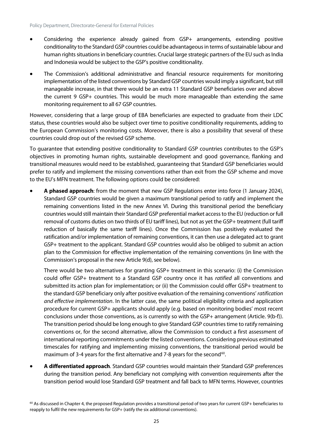- Considering the experience already gained from GSP+ arrangements, extending positive conditionality to the Standard GSP countries could be advantageous in terms ofsustainable labour and human rights situations in beneficiary countries. Crucial large strategic partners of the EU such as India and Indonesia would be subject to the GSP's positive conditionality.
- The Commission's additional administrative and financial resource requirements for monitoring implementation of the listed conventions by Standard GSP countries would imply a significant, but still manageable increase, in that there would be an extra 11 Standard GSP beneficiaries over and above the current 9 GSP+ countries. This would be much more manageable than extending the same monitoring requirement to all 67 GSP countries.

However, considering that a large group of EBA beneficiaries are expected to graduate from their LDC status, these countries would also be subject over time to positive conditionality requirements, adding to the European Commission's monitoring costs. Moreover, there is also a possibility that several of these countries could drop out of the revised GSP scheme.

To guarantee that extending positive conditionality to Standard GSP countries contributes to the GSP's objectives in promoting human rights, sustainable development and good governance, flanking and transitional measures would need to be established, guaranteeing that Standard GSP beneficiaries would prefer to ratify and implement the missing conventions rather than exit from the GSP scheme and move to the EU's MFN treatment. The following options could be considered:

• **A phased approach**: from the moment that new GSP Regulations enter into force (1 January 2024), Standard GSP countries would be given a maximum transitional period to ratify and implement the remaining conventions listed in the new Annex VI. During this transitional period the beneficiary countries would still maintain their Standard GSP preferential market access to the EU (reduction or full removal of customs duties on two thirds of EU tariff lines), but not as yet the GSP+ treatment (full tariff reduction of basically the same tariff lines). Once the Commission has positively evaluated the ratification and/or implementation of remaining conventions, it can then use a delegated act to grant GSP+ treatment to the applicant. Standard GSP countries would also be obliged to submit an action plan to the Commission for effective implementation of the remaining conventions (in line with the Commission's proposal in the new Article 9(d), see below).

There would be two alternatives for granting GSP+ treatment in this scenario: (i) the Commission could offer GSP+ treatment to a Standard GSP country once it has *ratified* all conventions and submitted its action plan for implementation; or (ii) the Commission could offer GSP+ treatment to the standard GSP beneficiary only after positive evaluation of the remaining conventions' *ratification and effective implementation*. In the latter case, the same political eligibility criteria and application procedure for current GSP+ applicants should apply (e.g. based on monitoring bodies' most recent conclusions under those conventions, as is currently so with the GSP+ arrangement (Article. 9(b-f)). The transition period should be long enough to give Standard GSP countries time to ratify remaining conventions or, for the second alternative, allow the Commission to conduct a first assessment of international reporting commitments under the listed conventions. Considering previous estimated timescales for ratifying and implementing missing conventions, the transitional period would be maximum of 3-4 years for the first alternative and 7-8 years for the second<sup>60</sup>.

• **A differentiated approach**. Standard GSP countries would maintain their Standard GSP preferences during the transition period. Any beneficiary not complying with convention requirements after the transition period would lose Standard GSP treatment and fall back to MFN terms. However, countries

<span id="page-30-0"></span> $60$  As discussed in Chapter 4, the proposed Regulation provides a transitional period of two years for current GSP+ beneficiaries to reapply to fulfil the new requirements for GSP+ (ratify the six additional conventions).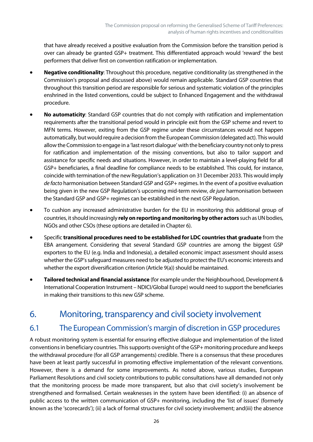that have already received a positive evaluation from the Commission before the transition period is over can already be granted GSP+ treatment. This differentiated approach would 'reward' the best performers that deliver first on convention ratification or implementation.

- **Negative conditionality**: Throughout this procedure, negative conditionality (as strengthened in the Commission's proposal and discussed above) would remain applicable. Standard GSP countries that throughout this transition period are responsible for serious and systematic violation of the principles enshrined in the listed conventions, could be subject to Enhanced Engagement and the withdrawal procedure.
- **No automaticity**: Standard GSP countries that do not comply with ratification and implementation requirements after the transitional period would in principle exit from the GSP scheme and revert to MFN terms. However, exiting from the GSP regime under these circumstances would not happen automatically, but would require a decision from the European Commission (delegated act). This would allow the Commission to engage in a 'last resort dialogue' with the beneficiary country not only to press for ratification and implementation of the missing conventions, but also to tailor support and assistance for specific needs and situations. However, in order to maintain a level-playing field for all GSP+ beneficiaries, a final deadline for compliance needs to be established. This could, for instance, coincide with termination of the new Regulation's application on 31 December 2033. This would imply de facto harmonisation between Standard GSP and GSP+ regimes. In the event of a positive evaluation being given in the new GSP Regulation's upcoming mid-term review, *de jure* harmonisation between the Standard GSP and GSP+ regimes can be established in the next GSP Regulation.
- To cushion any increased administrative burden for the EU in monitoring this additional group of countries, it should increasingly **rely on reporting and monitoring byother actors** such as UN bodies, NGOs and other CSOs (these options are detailed in Chapter 6).
- Specific **transitional procedures need to be established for LDC countries that graduate** from the EBA arrangement. Considering that several Standard GSP countries are among the biggest GSP exporters to the EU (e.g. India and Indonesia), a detailed economic impact assessment should assess whether the GSP's safeguard measures need to be adjusted to protect the EU's economic interests and whether the export diversification criterion (Article  $9(a)$ ) should be maintained.
- **Tailored technical and financial assistance** (for example under the Neighbourhood, Development & International Cooperation Instrument – NDICI/Global Europe) would need to support the beneficiaries in making their transitions to this new GSP scheme.

# <span id="page-31-0"></span>6. Monitoring, transparency and civil society involvement

#### <span id="page-31-1"></span>6.1 The European Commission's margin of discretion in GSP procedures

A robust monitoring system is essential for ensuring effective dialogue and implementation of the listed conventions in beneficiary countries. This supports oversight of the GSP+ monitoring procedure and keeps the withdrawal procedure (for all GSP arrangements) credible. There is a consensus that these procedures have been at least partly successful in promoting effective implementation of the relevant conventions. However, there is a demand for some improvements. As noted above, various studies, European Parliament Resolutions and civil society contributions to public consultations have all demanded not only that the monitoring process be made more transparent, but also that civil society's involvement be strengthened and formalised. Certain weaknesses in the system have been identified: (i) an absence of public access to the written communication of GSP+ monitoring, including the 'list of issues' (formerly known as the 'scorecards'); (ii) a lack of formal structures for civil society involvement; and(iii) the absence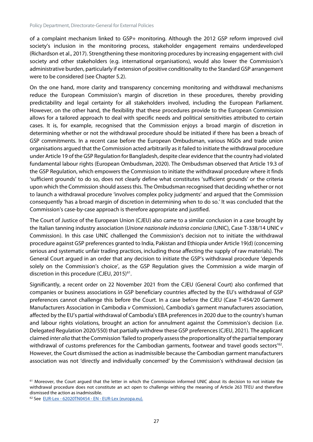of a complaint mechanism linked to GSP+ monitoring. Although the 2012 GSP reform improved civil society's inclusion in the monitoring process, stakeholder engagement remains underdeveloped (Richardson et al., 2017). Strengthening these monitoring procedures by increasing engagement with civil society and other stakeholders (e.g. international organisations), would also lower the Commission's administrative burden, particularly if extension of positive conditionality to the Standard GSP arrangement were to be considered (see Chapter 5.2).

On the one hand, more clarity and transparency concerning monitoring and withdrawal mechanisms reduce the European Commission's margin of discretion in these procedures, thereby providing predictability and legal certainty for all stakeholders involved, including the European Parliament. However, on the other hand, the flexibility that these procedures provide to the European Commission allows for a tailored approach to deal with specific needs and political sensitivities attributed to certain cases. It is, for example, recognised that the Commission enjoys a broad margin of discretion in determining whether or not the withdrawal procedure should be initiated if there has been a breach of GSP commitments. In a recent case before the European Ombudsman, various NGOs and trade union organisations argued that the Commission acted arbitrarily as it failed to initiate the withdrawal procedure under Article 19 of the GSP Regulation for Bangladesh, despite clear evidence that the country had violated fundamental labour rights (European Ombudsman, 2020). The Ombudsman observed that Article 19.3 of the GSP Regulation, which empowers the Commission to initiate the withdrawal procedure where it finds 'sufficient grounds' to do so, does not clearly define what constitutes 'sufficient grounds' or the criteria upon which the Commission should assess this. The Ombudsman recognised that deciding whether or not to launch a withdrawal procedure 'involves complex policy judgments' and argued that the Commission consequently 'has a broad margin of discretion in determining when to do so.' It was concluded that the Commission's case-by-case approach is therefore appropriate and justified.

The Court of Justice of the European Union (CJEU) also came to a similar conclusion in a case brought by the Italian tanning industry association (*Unione nazionale industria conciaria* (UNIC), Case T‑338/14 UNIC *v* Commission). In this case UNIC challenged the Commission's decision not to initiate the withdrawal procedure against GSP preferences granted to India, Pakistan and Ethiopia under Article 19(d) (concerning serious and systematic unfair trading practices, including those affecting the supply of raw materials). The General Court argued in an order that any decision to initiate the GSP's withdrawal procedure 'depends solely on the Commission's choice', as the GSP Regulation gives the Commission a wide margin of discretion in this procedure (CJEU, 2015)<sup>[61](#page-32-0)</sup>.

Significantly, a recent order on 22 November 2021 from the CJEU (General Court) also confirmed that companies or business associations in GSP beneficiary countries affected by the EU's withdrawal of GSP preferences cannot challenge this before the Court. In a case before the CJEU (Case T-454/20 Garment Manufacturers Association in Cambodia *v* Commission), Cambodia's garment manufacturers association, affected by the EU's partial withdrawal of Cambodia's EBA preferences in 2020 due to the country's human and labour rights violations, brought an action for annulment against the Commission's decision (i.e. Delegated Regulation 2020/550) that partially withdrew these GSP preferences(CJEU, 2021). The applicant claimed *inter alia* that the Commission 'failed to properly assess the proportionality of the partial temporary withdrawal of customs preferences for the Cambodian garments, footwear and travel goods sectors<sup>1[62](#page-32-1)</sup>. However, the Court dismissed the action as inadmissible because the Cambodian garment manufacturers association was not 'directly and individually concerned' by the Commission's withdrawal decision (as

<span id="page-32-0"></span><sup>&</sup>lt;sup>61</sup> Moreover, the Court argued that the letter in which the Commission informed UNIC about its decision to not initiate the withdrawal procedure does not constitute an act open to challenge withing the meaning of Article 263 TFEU and therefore dismissed the action as inadmissible.

<span id="page-32-1"></span><sup>62</sup> See EUR-Lex - 62020TN0454 - EN - [EUR-Lex \(europa.eu\).](https://eur-lex.europa.eu/legal-content/EN/TXT/?uri=uriserv:OJ.C_.2020.287.01.0042.01.ENG&toc=OJ:C:2020:287:TOC)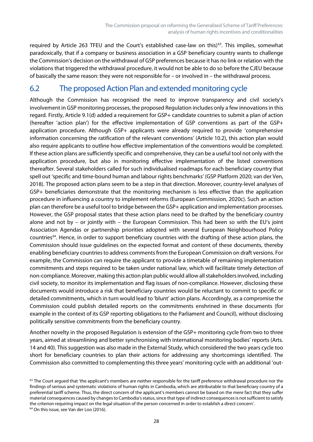required by Article 2[63](#page-33-1) TFEU and the Court's established case-law on this)<sup>63</sup>. This implies, somewhat paradoxically, that if a company or business association in a GSP beneficiary country wants to challenge the Commission's decision on the withdrawal of GSP preferences because it has no link or relation with the violations that triggered the withdrawal procedure, it would not be able to do so before the CJEU because of basically the same reason: they were not responsible for – or involved in – the withdrawal process.

### <span id="page-33-0"></span>6.2 The proposed Action Plan and extended monitoring cycle

Although the Commission has recognised the need to improve transparency and civil society's involvement in GSP monitoring processes, the proposed Regulation includes only a few innovations in this regard. Firstly, Article 9.1(d) added a requirement for GSP+ candidate countries to submit a plan of action (hereafter 'action plan') for the effective implementation of GSP conventions as part of the GSP+ application procedure. Although GSP+ applicants were already required to provide 'comprehensive information concerning the ratification of the relevant conventions' (Article 10.2), this action plan would also require applicants to outline how effective implementation of the conventions would be completed. If these action plans are sufficiently specific and comprehensive, they can be a useful tool not only with the application procedure, but also in monitoring effective implementation of the listed conventions thereafter. Several stakeholders called for such individualised roadmaps for each beneficiary country that spell out 'specific and time-bound human and labour rights benchmarks' (GSP Platform 2020; van der Ven, 2018). The proposed action plans seem to be a step in that direction. Moreover, country-level analyses of GSP+ beneficiaries demonstrate that the monitoring mechanism is less effective than the application procedure in influencing a country to implement reforms (European Commission, 2020c). Such an action plan can therefore be a useful tool to bridge between the GSP+ application and implementation processes. However, the GSP proposal states that these action plans need to be drafted by the beneficiary country alone and not by – or jointly with – the European Commission. This had been so with the EU's joint Association Agendas or partnership priorities adopted with several European Neighbourhood Policy countries<sup>64</sup>. Hence, in order to support beneficiary countries with the drafting of these action plans, the Commission should issue guidelines on the expected format and content of these documents, thereby enabling beneficiary countries to address comments from the European Commission on draft versions. For example, the Commission can require the applicant to provide a timetable of remaining implementation commitments and steps required to be taken under national law, which will facilitate timely detection of non-compliance. Moreover, making this action plan public would allow all stakeholders involved, including civil society, to monitor its implementation and flag issues of non-compliance. However, disclosing these documents would introduce a risk that beneficiary countries would be reluctant to commit to specific or detailed commitments, which in turn would lead to 'blunt' action plans. Accordingly, as a compromise the Commission could publish detailed reports on the commitments enshrined in these documents (for example in the context of its GSP reporting obligations to the Parliament and Council), without disclosing politically sensitive commitments from the beneficiary country.

Another novelty in the proposed Regulation is extension of the GSP+ monitoring cycle from two to three years, aimed at streamlining and better synchronising with international monitoring bodies' reports (Arts. 14 and 40). This suggestion was also made in the External Study, which considered the two years cycle too short for beneficiary countries to plan their actions for addressing any shortcomings identified. The Commission also committed to complementing this three years' monitoring cycle with an additional 'out-

<span id="page-33-2"></span><span id="page-33-1"></span> $63$  The Court argued that 'the applicant's members are neither responsible for the tariff preference withdrawal procedure nor the findings of serious and systematic violations of human rights in Cambodia, which are attributable to that beneficiary country of a preferential tariff scheme. Thus, the direct concern of the applicant's members cannot be based on the mere fact that they suffer material consequences caused by changes to Cambodia's status, since that type of indirect consequences is not sufficient to satisfy the criterion requiring impact on the legal situation of the person concerned in order to establish a direct concern'. <sup>64</sup> On this issue, see Van der Loo (2016).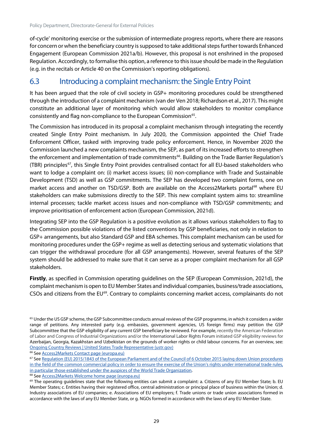of-cycle' monitoring exercise or the submission of intermediate progress reports, where there are reasons for concern or when the beneficiary country is supposed to take additional steps further towards Enhanced Engagement (European Commission 2021a/b). However, this proposal is not enshrined in the proposed Regulation. Accordingly, to formalise this option, a reference to this issue should be made in the Regulation (e.g. in the recitals or Article 40 on the Commission's reporting obligations).

#### <span id="page-34-0"></span>6.3 Introducing a complaint mechanism: the Single Entry Point

It has been argued that the role of civil society in GSP+ monitoring procedures could be strengthened through the introduction of a complaint mechanism (van der Ven 2018; Richardson et al., 2017). This might constitute an additional layer of monitoring which would allow stakeholders to monitor compliance consistently and flag non-compliance to the European Commission<sup>65</sup>.

The Commission has introduced in its proposal a complaint mechanism through integrating the recently created Single Entry Point mechanism. In July 2020, the Commission appointed the Chief Trade Enforcement Officer, tasked with improving trade policy enforcement. Hence, in November 2020 the Commission launched a new complaints mechanism, the SEP, as part of its increased efforts to strengthen the enforcement and implementation of trade commitments<sup>66</sup>. Building on the Trade Barrier Regulation's (TBR) principles<sup>[67](#page-34-3)</sup>, this Single Entry Point provides centralised contact for all EU-based stakeholders who want to lodge a complaint on: (i) market access issues; (ii) non-compliance with Trade and Sustainable Development (TSD) as well as GSP commitments. The SEP has developed two complaint forms, one on market access and another on TSD/GSP. Both are available on the Access2Markets portal<sup>[68](#page-34-4)</sup> where EU stakeholders can make submissions directly to the SEP. This new complaint system aims to: streamline internal processes; tackle market access issues and non-compliance with TSD/GSP commitments; and improve prioritisation of enforcement action (European Commission, 2021d).

Integrating SEP into the GSP Regulation is a positive evolution as it allows various stakeholders to flag to the Commission possible violations of the listed conventions by GSP beneficiaries, not only in relation to GSP+ arrangements, but also Standard GSP and EBA schemes. This complaint mechanism can be used for monitoring procedures under the GSP+ regime as well as detecting serious and systematic violations that can trigger the withdrawal procedure (for all GSP arrangements). However, several features of the SEP system should be addressed to make sure that it can serve as a proper complaint mechanism for all GSP stakeholders.

**Firstly**, as specified in Commission operating guidelines on the SEP (European Commission, 2021d), the complaint mechanism is open to EU Member States and individual companies, business/trade associations, CSOs and citizens from the EU<sup>69</sup>. Contrary to complaints concerning market access, complainants do not

<span id="page-34-2"></span><sup>66</sup> See **Access2Markets Contact page (europa.eu)** 

<span id="page-34-1"></span><sup>&</sup>lt;sup>65</sup> Under the US GSP scheme, the GSP Subcommittee conducts annual reviews of the GSP programme, in which it considers a wider range of petitions. Any interested party (e.g. embassies, government agencies, US foreign firms) may petition the GSP Subcommittee that the GSP eligibility of any current GSP beneficiary be reviewed. For example, recently the American Federation of Labor and Congress of Industrial Organizations and/or the International Labor Rights Forum initiated GSP eligibility reviews for Azerbaijan, Georgia, Kazakhstan and Uzbekistan on the grounds of worker rights or child labour concerns. For an overview, see: [Ongoing Country Reviews | United States Trade Representative \(ustr.gov\)](https://ustr.gov/issue-areas/preference-programs/generalized-system-preferences-gsp/current-reviews/ongoing-country)

<span id="page-34-3"></span><sup>67</sup> See Regulation (EU) 2015/1843 of the European Parliament and of the Council of 6 October 2015 laying down Union procedures in the field of the common commercial policy in order to ensure the exercise of the Union's rights under international trade rules, [in particular those established under the auspices of the World Trade Organization.](https://eur-lex.europa.eu/legal-content/EN/TXT/?uri=CELEX%3A32015R1843)

<span id="page-34-5"></span><span id="page-34-4"></span><sup>68</sup> Se[e Access2Markets Welcome home page \(europa.eu\)](https://trade.ec.europa.eu/access-to-markets/en/home) <sup>69</sup> The operating guidelines state that the following entities can submit a complaint: a. Citizens of any EU Member State; b. EU

Member States; c. Entities having their registered office, central administration or principal place of business within the Union; d. Industry associations of EU companies; e. Associations of EU employers; f. Trade unions or trade union associations formed in accordance with the laws of any EU Member State, or g. NGOs formed in accordance with the laws of any EU Member State.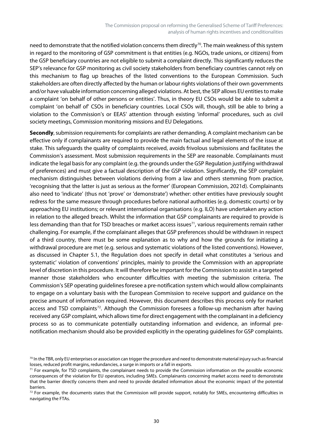need to demonstrate that the notified violation concerns them directly<sup>70</sup>. The main weakness of this system in regard to the monitoring of GSP commitment is that entities (e.g. NGOs, trade unions, or citizens) from the GSP beneficiary countries are not eligible to submit a complaint directly. This significantly reduces the SEP's relevance for GSP monitoring as civil society stakeholders from beneficiary countries cannot rely on this mechanism to flag up breaches of the listed conventions to the European Commission. Such stakeholders are often directly affected by the human or labour rights violations of their own governments and/or have valuable information concerning alleged violations. At best, the SEP allows EU entities to make a complaint 'on behalf of other persons or entities'. Thus, in theory EU CSOs would be able to submit a complaint 'on behalf of' CSOs in beneficiary countries. Local CSOs will, though, still be able to bring a violation to the Commission's or EEAS' attention through existing 'informal' procedures, such as civil society meetings, Commission monitoring missions and EU Delegations.

**Secondly**, submission requirements for complaints are rather demanding. A complaint mechanism can be effective only if complainants are required to provide the main factual and legal elements of the issue at stake. This safeguards the quality of complaints received, avoids frivolous submissions and facilitates the Commission's assessment. Most submission requirements in the SEP are reasonable. Complainants must indicate the legal basis for any complaint (e.g. the grounds under the GSP Regulation justifying withdrawal of preferences) and must give a factual description of the GSP violation. Significantly, the SEP complaint mechanism distinguishes between violations deriving from a law and others stemming from practice, 'recognising that the latter is just as serious as the former' (European Commission, 2021d). Complainants also need to 'indicate' (thus not 'prove' or 'demonstrate') whether: other entities have previously sought redress for the same measure through procedures before national authorities (e.g. domestic courts) or by approaching EU institutions; or relevant international organisations (e.g. ILO) have undertaken any action in relation to the alleged breach. Whilst the information that GSP complainants are required to provide is less demanding than that for TSD breaches or market access issues<sup>71</sup>, various requirements remain rather challenging. For example, if the complainant alleges that GSP preferences should be withdrawn in respect of a third country, there must be some explanation as to why and how the grounds for initiating a withdrawal procedure are met (e.g. serious and systematic violations of the listed conventions). However, as discussed in Chapter 5.1, the Regulation does not specify in detail what constitutes a 'serious and systematic' violation of conventions' principles, mainly to provide the Commission with an appropriate level of discretion in this procedure. It will therefore be important for the Commission to assist in a targeted manner those stakeholders who encounter difficulties with meeting the submission criteria. The Commission's SEP operating guidelines foresee a pre-notification system which would allow complainants to engage on a voluntary basis with the European Commission to receive support and guidance on the precise amount of information required. However, this document describes this process only for market access and TSD complaints<sup>72</sup>. Although the Commission foresees a follow-up mechanism after having received any GSP complaint, which allows time for direct engagement with the complainant in a deficiency process so as to communicate potentially outstanding information and evidence, an informal prenotification mechanism should also be provided explicitly in the operating guidelines for GSP complaints.

<span id="page-35-0"></span> $70$  In the TBR, only EU enterprises or association can trigger the procedure and need to demonstrate material injury such as financial losses, reduced profit margins, redundancies, a surge in imports or a fall in exports.

<span id="page-35-1"></span> $71$  For example, for TSD complaints, the complainant needs to provide the Commission information on the possible economic consequences of the violation for EU operators, including SMEs. Complainants concerning market access need to demonstrate that the barrier directly concerns them and need to provide detailed information about the economic impact of the potential barriers.

<span id="page-35-2"></span> $72$  For example, the documents states that the Commission will provide support, notably for SMEs, encountering difficulties in navigating the FTAs.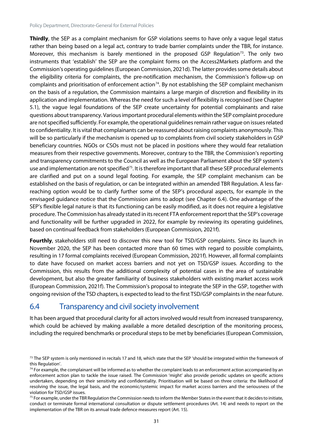**Thirdly**, the SEP as a complaint mechanism for GSP violations seems to have only a vague legal status rather than being based on a legal act, contrary to trade barrier complaints under the TBR, for instance. Moreover, this mechanism is barely mentioned in the proposed GSP Regulation<sup>[73](#page-36-1)</sup>. The only two instruments that 'establish' the SEP are the complaint forms on the Access2Markets platform and the Commission's operating guidelines(European Commission, 2021d). The latter provides some details about the eligibility criteria for complaints, the pre-notification mechanism, the Commission's follow-up on complaints and prioritisation of enforcement action<sup>74</sup>. By not establishing the SEP complaint mechanism on the basis of a regulation, the Commission maintains a large margin of discretion and flexibility in its application and implementation. Whereas the need forsuch a level of flexibility is recognised (see Chapter 5.1), the vague legal foundations of the SEP create uncertainty for potential complainants and raise questions about transparency. Variousimportant procedural elements within the SEP complaint procedure are not specified sufficiently. For example, the operational guidelines remain rather vague on issues related to confidentiality. It is vital that complainants can be reassured about raising complaints anonymously. This will be so particularly if the mechanism is opened up to complaints from civil society stakeholders in GSP beneficiary countries. NGOs or CSOs must not be placed in positions where they would fear retaliation measures from their respective governments. Moreover, contrary to the TBR, the Commission's reporting and transparency commitments to the Council as well as the European Parliament about the SEP system's use and implementation are not specified<sup>75</sup>. It is therefore important that all these SEP procedural elements are clarified and put on a sound legal footing. For example, the SEP complaint mechanism can be established on the basis of regulation, or can be integrated within an amended TBR Regulation. A less farreaching option would be to clarify further some of the SEP's procedural aspects, for example in the envisaged guidance notice that the Commission aims to adopt (see Chapter 6.4). One advantage of the SEP's flexible legal nature is that its functioning can be easily modified, as it does not require a legislative procedure. The Commission has already stated in its recent FTA enforcement reportthat the SEP's coverage and functionality will be further upgraded in 2022, for example by reviewing its operating guidelines, based on continual feedback from stakeholders (European Commission, 2021f).

**Fourthly**, stakeholders still need to discover this new tool for TSD/GSP complaints. Since its launch in November 2020, the SEP has been contacted more than 60 times with regard to possible complaints, resulting in 17 formal complaints received (European Commission, 2021f). However, all formal complaints to date have focused on market access barriers and not yet on TSD/GSP issues. According to the Commission, this results from the additional complexity of potential cases in the area of sustainable development, but also the greater familiarity of business stakeholders with existing market access work (European Commission, 2021f). The Commission's proposal to integrate the SEP in the GSP, together with ongoing revision of the TSD chapters, is expected to lead to the first TSD/GSP complaints in the near future.

### <span id="page-36-0"></span>6.4 Transparency and civil society involvement

It has been argued that procedural clarity for all actors involved would result from increased transparency, which could be achieved by making available a more detailed description of the monitoring process, including the required benchmarks or procedural steps to be met by beneficiaries (European Commission,

<span id="page-36-1"></span> $73$  The SEP system is only mentioned in recitals 17 and 18, which state that the SEP 'should be integrated within the framework of this Regulation'.

<span id="page-36-2"></span> $74$  For example, the complainant will be informed as to whether the complaint leads to an enforcement action accompanied by an enforcement action plan to tackle the issue raised. The Commission 'might' also provide periodic updates on specific actions undertaken, depending on their sensitivity and confidentiality. Prioritisation will be based on three criteria: the likelihood of resolving the issue, the legal basis, and the economic/systemic impact for market access barriers and the seriousness of the violation for TSD/GSP issues.

<span id="page-36-3"></span> $75$  For example, under the TBR Regulation the Commission needs to inform the Member States in the event that it decides to initiate, conduct or terminate formal international consultation or dispute settlement procedures (Art. 14) and needs to report on the implementation of the TBR on its annual trade defence measures report (Art. 15).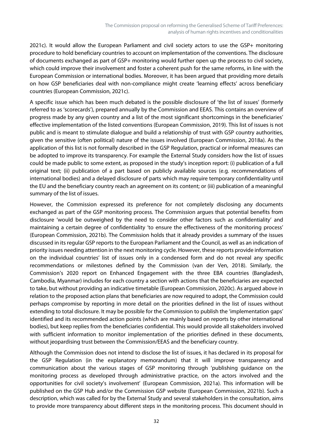2021c). It would allow the European Parliament and civil society actors to use the GSP+ monitoring procedure to hold beneficiary countries to account on implementation of the conventions. The disclosure of documents exchanged as part of GSP+ monitoring would further open up the process to civil society, which could improve their involvement and foster a coherent push for the same reforms, in line with the European Commission or international bodies. Moreover, it has been argued that providing more details on how GSP beneficiaries deal with non-compliance might create 'learning effects' across beneficiary countries (European Commission, 2021c).

A specific issue which has been much debated is the possible disclosure of 'the list of issues' (formerly referred to as 'scorecards'), prepared annually by the Commission and EEAS. This contains an overview of progress made by any given country and a list of the most significant shortcomings in the beneficiaries' effective implementation of the listed conventions (European Commission, 2019). This list of issues is not public and is meant to stimulate dialogue and build a relationship of trust with GSP country authorities, given the sensitive (often political) nature of the issues involved (European Commission, 2018a). As the application of this list is not formally described in the GSP Regulation, practical or informal measures can be adopted to improve its transparency. For example the External Study considers how the list of issues could be made public to some extent, as proposed in the study's inception report: (i) publication of a full original text; (ii) publication of a part based on publicly available sources (e.g. recommendations of international bodies) and a delayed disclosure of parts which may require temporary confidentiality until the EU and the beneficiary country reach an agreement on its content; or (iii) publication of a meaningful summary of the list of issues.

However, the Commission expressed its preference for not completely disclosing any documents exchanged as part of the GSP monitoring process. The Commission argues that potential benefits from disclosure 'would be outweighed by the need to consider other factors such as confidentiality' and maintaining a certain degree of confidentiality 'to ensure the effectiveness of the monitoring process' (European Commission, 2021b). The Commission holds that it already provides a summary of the issues discussed in its regular GSP reports to the European Parliament and the Council, as well as an indication of priority issues needing attention in the next monitoring cycle. However, these reports provide information on the individual countries' list of issues only in a condensed form and do not reveal any specific recommendations or milestones defined by the Commission (van der Ven, 2018). Similarly, the Commission's 2020 report on Enhanced Engagement with the three EBA countries (Bangladesh, Cambodia, Myanmar) includes for each country a section with actions that the beneficiaries are expected to take, but without providing an indicative timetable (European Commission, 2020c). As argued above in relation to the proposed action plans that beneficiaries are now required to adopt, the Commission could perhaps compromise by reporting in more detail on the priorities defined in the list of issues without extending to total disclosure. It may be possible for the Commission to publish the 'implementation gaps' identified and its recommended action points (which are mainly based on reports by other international bodies), but keep replies from the beneficiaries confidential. This would provide all stakeholders involved with sufficient information to monitor implementation of the priorities defined in these documents, without jeopardising trust between the Commission/EEAS and the beneficiary country.

Although the Commission does not intend to disclose the list of issues, it has declared in its proposal for the GSP Regulation (in the explanatory memorandum) that it will improve transparency and communication about the various stages of GSP monitoring through 'publishing guidance on the monitoring process as developed through administrative practice, on the actors involved and the opportunities for civil society's involvement' (European Commission, 2021a). This information will be published on the GSP Hub and/or the Commission GSP website (European Commission, 2021b). Such a description, which was called for by the External Study and several stakeholders in the consultation, aims to provide more transparency about different steps in the monitoring process. This document should in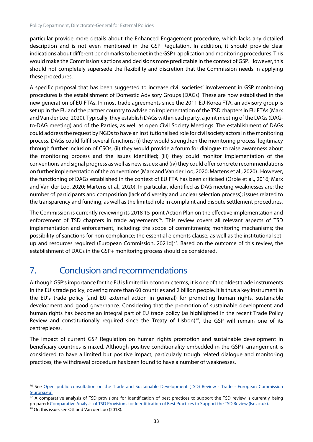particular provide more details about the Enhanced Engagement procedure, which lacks any detailed description and is not even mentioned in the GSP Regulation. In addition, it should provide clear indications about different benchmarks to be met in the GSP+ application and monitoring procedures. This would make the Commission's actions and decisions more predictable in the context of GSP. However, this should not completely supersede the flexibility and discretion that the Commission needs in applying these procedures.

A specific proposal that has been suggested to increase civil societies' involvement in GSP monitoring procedures is the establishment of Domestic Advisory Groups (DAGs). These are now established in the new generation of EU FTAs. In most trade agreements since the 2011 EU-Korea FTA, an advisory group is set up in the EU and the partner country to advise on implementation of the TSD chapters in EU FTAs(Marx and Van der Loo, 2020). Typically, they establish DAGs within each party, a joint meeting of the DAGs (DAGto-DAG meeting) and of the Parties, as well as open Civil Society Meetings. The establishment of DAGs could address the request by NGOs to have an institutionalised role for civil society actors in the monitoring process. DAGs could fulfil several functions: (i) they would strengthen the monitoring process' legitimacy through further inclusion of CSOs; (ii) they would provide a forum for dialogue to raise awareness about the monitoring process and the issues identified; (iii) they could monitor implementation of the conventions and signal progress as well as new issues; and (iv) they could offer concrete recommendations on further implementation of the conventions(Marx and Van der Loo, 2020; Martens et al., 2020) . However, the functioning of DAGs established in the context of EU FTA has been criticised (Orbie et al., 2016; Marx and Van der Loo, 2020; Martens et al., 2020). In particular, identified as DAG meeting weaknesses are: the number of participants and composition (lack of diversity and unclear selection process); issues related to the transparency and funding; as well as the limited role in complaint and dispute settlement procedures.

The Commission is currently reviewing its 2018 15-point Action Plan on the effective implementation and enforcement of TSD chapters in trade agreements<sup>[76](#page-38-1)</sup>. This review covers all relevant aspects of TSD implementation and enforcement, including: the scope of commitments; monitoring mechanisms; the possibility of sanctions for non-compliance; the essential elements clause; as well as the institutional setup and resources required (European Commission, 2021d) $<sup>77</sup>$  $<sup>77</sup>$  $<sup>77</sup>$ . Based on the outcome of this review, the</sup> establishment of DAGs in the GSP+ monitoring process should be considered.

# <span id="page-38-0"></span>7. Conclusion and recommendations

Although GSP's importance for the EU is limited in economic terms, it is one of the oldest trade instruments in the EU's trade policy, covering more than 60 countries and 2 billion people. It is thus a key instrument in the EU's trade policy (and EU external action in general) for promoting human rights, sustainable development and good governance. Considering that the promotion of sustainable development and human rights has become an integral part of EU trade policy (as highlighted in the recent Trade Policy Review and constitutionally required since the Treaty of Lisbon)<sup>78</sup>, the GSP will remain one of its centrepieces.

The impact of current GSP Regulation on human rights promotion and sustainable development in beneficiary countries is mixed. Although positive conditionality embedded in the GSP+ arrangement is considered to have a limited but positive impact, particularly trough related dialogue and monitoring practices, the withdrawal procedure has been found to have a number of weaknesses.

<span id="page-38-1"></span><sup>&</sup>lt;sup>76</sup> See [Open public consultation on the Trade and Sustainable Development \(TSD\) Review -](https://trade.ec.europa.eu/consultations/index.cfm?consul_id=301) Trade - European Commission [\(europa.eu\)](https://trade.ec.europa.eu/consultations/index.cfm?consul_id=301)

<span id="page-38-2"></span> $77$  A comparative analysis of TSD provisions for identification of best practices to support the TSD review is currently being prepared[: Comparative Analysis of TSD Provisions for Identification of Best Practices to Support the TSD Review \(lse.ac.uk\).](https://www.lse.ac.uk/business/consulting/reports/comparative-analysis-of-tsd-provisions-for-identification-of-best-practices)

<span id="page-38-3"></span><sup>78</sup> On this issue, see Ott and Van der Loo (2018).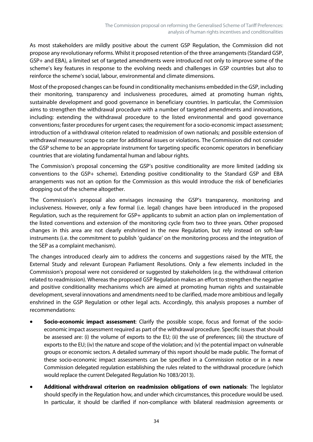As most stakeholders are mildly positive about the current GSP Regulation, the Commission did not propose any revolutionary reforms. Whilst it proposed retention of the three arrangements (Standard GSP, GSP+ and EBA), a limited set of targeted amendments were introduced not only to improve some of the scheme's key features in response to the evolving needs and challenges in GSP countries but also to reinforce the scheme's social, labour, environmental and climate dimensions.

Most of the proposed changes can be found in conditionality mechanisms embedded in the GSP, including their monitoring, transparency and inclusiveness procedures, aimed at promoting human rights, sustainable development and good governance in beneficiary countries. In particular, the Commission aims to strengthen the withdrawal procedure with a number of targeted amendments and innovations, including: extending the withdrawal procedure to the listed environmental and good governance conventions; faster procedures for urgent cases; the requirement for a socio-economic impact assessment; introduction of a withdrawal criterion related to readmission of own nationals; and possible extension of withdrawal measures' scope to cater for additional issues or violations. The Commission did not consider the GSP scheme to be an appropriate instrument for targeting specific economic operators in beneficiary countries that are violating fundamental human and labour rights.

The Commission's proposal concerning the GSP's positive conditionality are more limited (adding six conventions to the GSP+ scheme). Extending positive conditionality to the Standard GSP and EBA arrangements was not an option for the Commission as this would introduce the risk of beneficiaries dropping out of the scheme altogether.

The Commission's proposal also envisages increasing the GSP's transparency, monitoring and inclusiveness. However, only a few formal (i.e. legal) changes have been introduced in the proposed Regulation, such as the requirement for GSP+ applicants to submit an action plan on implementation of the listed conventions and extension of the monitoring cycle from two to three years. Other proposed changes in this area are not clearly enshrined in the new Regulation, but rely instead on soft-law instruments (i.e. the commitment to publish 'guidance' on the monitoring process and the integration of the SEP as a complaint mechanism).

The changes introduced clearly aim to address the concerns and suggestions raised by the MTE, the External Study and relevant European Parliament Resolutions. Only a few elements included in the Commission's proposal were not considered or suggested by stakeholders (e.g. the withdrawal criterion related to readmission). Whereas the proposed GSP Regulation makes an effort to strengthen the negative and positive conditionality mechanisms which are aimed at promoting human rights and sustainable development, several innovations and amendments need to be clarified, made more ambitious and legally enshrined in the GSP Regulation or other legal acts. Accordingly, this analysis proposes a number of recommendations:

- **Socio-economic impact assessment**: Clarify the possible scope, focus and format of the socioeconomic impact assessment required as part of the withdrawal procedure. Specific issues that should be assessed are: (i) the volume of exports to the EU; (ii) the use of preferences; (iii) the structure of exports to the EU; (iv) the nature and scope of the violation; and (v) the potential impact on vulnerable groups or economic sectors. A detailed summary of this report should be made public. The format of these socio-economic impact assessments can be specified in a Commission notice or in a new Commission delegated regulation establishing the rules related to the withdrawal procedure (which would replace the current Delegated Regulation No 1083/2013).
- **Additional withdrawal criterion on readmission obligations of own nationals**: The legislator should specify in the Regulation how, and under which circumstances, this procedure would be used. In particular, it should be clarified if non-compliance with bilateral readmission agreements or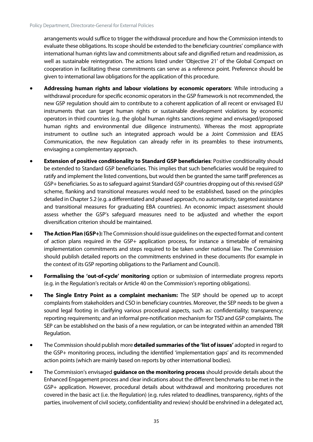arrangements would suffice to trigger the withdrawal procedure and how the Commission intends to evaluate these obligations. Its scope should be extended to the beneficiary countries' compliance with international human rights law and commitments about safe and dignified return and readmission, as well as sustainable reintegration. The actions listed under 'Objective 21' of the Global Compact on cooperation in facilitating these commitments can serve as a reference point. Preference should be given to international law obligations for the application of this procedure.

- **Addressing human rights and labour violations by economic operators**: While introducing a withdrawal procedure for specific economic operators in the GSP framework is not recommended, the new GSP regulation should aim to contribute to a coherent application of all recent or envisaged EU instruments that can target human rights or sustainable development violations by economic operators in third countries (e.g. the global human rights sanctions regime and envisaged/proposed human rights and environmental due diligence instruments). Whereas the most appropriate instrument to outline such an integrated approach would be a Joint Commission and EEAS Communication, the new Regulation can already refer in its preambles to these instruments, envisaging a complementary approach.
- **Extension of positive conditionality to Standard GSP beneficiaries**: Positive conditionality should be extended to Standard GSP beneficiaries. This implies that such beneficiaries would be required to ratify and implement the listed conventions, but would then be granted the same tariff preferences as GSP+ beneficiaries. So as to safeguard against Standard GSP countries dropping out of this revised GSP scheme, flanking and transitional measures would need to be established, based on the principles detailed in Chapter 5.2 (e.g. a differentiated and phased approach, no automaticity, targeted assistance and transitional measures for graduating EBA countries). An economic impact assessment should assess whether the GSP's safeguard measures need to be adjusted and whether the export diversification criterion should be maintained.
- **The Action Plan (GSP+):** The Commission should issue guidelines on the expected format and content of action plans required in the GSP+ application process, for instance a timetable of remaining implementation commitments and steps required to be taken under national law. The Commission should publish detailed reports on the commitments enshrined in these documents (for example in the context of its GSP reporting obligations to the Parliament and Council).
- **Formalising the 'out-of-cycle' monitoring** option or submission of intermediate progress reports (e.g. in the Regulation's recitals or Article 40 on the Commission's reporting obligations).
- **The Single Entry Point as a complaint mechanism:** The SEP should be opened up to accept complaints from stakeholders and CSO in beneficiary countries. Moreover, the SEP needs to be given a sound legal footing in clarifying various procedural aspects, such as: confidentiality; transparency; reporting requirements; and an informal pre-notification mechanism for TSD and GSP complaints. The SEP can be established on the basis of a new regulation, or can be integrated within an amended TBR Regulation.
- The Commission should publish more **detailed summaries of the 'list of issues'** adopted in regard to the GSP+ monitoring process, including the identified 'implementation gaps' and its recommended action points (which are mainly based on reports by other international bodies).
- The Commission's envisaged **guidance on the monitoring process** should provide details about the Enhanced Engagement process and clear indications about the different benchmarks to be met in the GSP+ application. However, procedural details about withdrawal and monitoring procedures not covered in the basic act (i.e. the Regulation) (e.g. rules related to deadlines, transparency, rights of the parties, involvement of civil society, confidentiality and review) should be enshrined in a delegated act,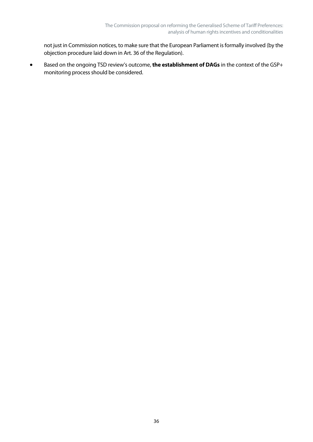not just in Commission notices, to make sure that the European Parliament is formally involved (by the objection procedure laid down in Art. 36 of the Regulation).

• Based on the ongoing TSD review's outcome, **the establishment of DAGs** in the context of the GSP+ monitoring process should be considered.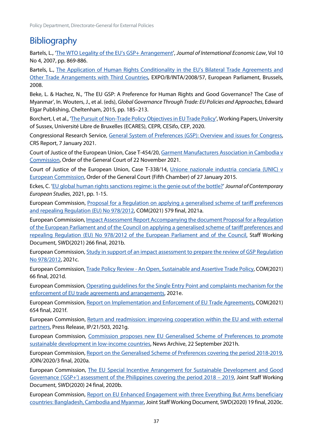# <span id="page-42-0"></span>**Bibliography**

Bartels, L., ['The WTO Legality of the EU's GSP+ Arrangement'](https://www.researchgate.net/publication/31013084_The_WTO_legality_of_the_EU), *Journal of International Economic Law*, Vol 10 No 4, 2007, pp. 869-886.

Bartels, L., [The Application of Human Rights Conditionality in the EU's Bilateral Trade Agreements and](https://www.europarl.europa.eu/RegData/etudes/etudes/join/2008/406991/EXPO-INTA_ET(2008)406991_EN.pdf)  [Other Trade Arrangements with Third Countries,](https://www.europarl.europa.eu/RegData/etudes/etudes/join/2008/406991/EXPO-INTA_ET(2008)406991_EN.pdf) EXPO/B/INTA/2008/57, European Parliament, Brussels, 2008.

Beke, L. & Hachez, N., 'The EU GSP: A Preference for Human Rights and Good Governance? The Case of Myanmar', In. Wouters, J., et al. (eds), *Global Governance Through Trade: EU Policies and Approaches*, Edward Elgar Publishing, Cheltenham, 2015, pp. 185–213.

Borchert, I, et al., 'The Pursuit of Non-Trade [Policy Objectives in EU Trade Policy'](http://respect.eui.eu/wp-content/uploads/sites/6/2020/04/Conditionality.pdf), Working Papers, University of Sussex, Université Libre de Bruxelles (ECARES), CEPR, CESifo, CEP, 2020.

Congressional Research Service, [General System of Preferences \(GSP\): Overview and issues for Congress,](https://sgp.fas.org/crs/misc/RL33663.pdf)  CRS Report, 7 January 2021.

Court of Justice of the European Union, Case T-454/20[, Garment Manufacturers Association in Cambodia v](https://curia.europa.eu/juris/liste.jsf?lgrec=fr&td=%3BALL&language=en&num=T-454/20&jur=T)  [Commission,](https://curia.europa.eu/juris/liste.jsf?lgrec=fr&td=%3BALL&language=en&num=T-454/20&jur=T) Order of the General Court of 22 November 2021.

Court of Justice of the European Union, Case T-338/14, Unione nazionale industria conciaria (UNIC) v [European Commission,](https://curia.europa.eu/juris/liste.jsf?num=T-338/14&language=EN) Order of the General Court (Fifth Chamber) of 27 January 2015.

Eckes, C. ['EU global human rights sanctions regime: is the genie out of the bottle?'](https://www.tandfonline.com/doi/full/10.1080/14782804.2021.1965556) *Journal of Contemporary European Studies*, 2021, pp. 1-15.

European Commission, [Proposal for a Regulation on applying a generalised scheme of tariff preferences](https://eur-lex.europa.eu/legal-content/EN/TXT/?uri=celex%3A32012R0978)  [and repealing Regulation \(EU\) No 978/2012,](https://eur-lex.europa.eu/legal-content/EN/TXT/?uri=celex%3A32012R0978) COM(2021) 579 final, 2021a.

European Commission[, Impact Assessment Report Accompanying the document Proposal for a Regulation](https://eur-lex.europa.eu/legal-content/EN/TXT/PDF/?uri=CELEX:52021SC0266&from=EN)  [of the European Parliament and of the Council on applying a generalised scheme of tariff preferences and](https://eur-lex.europa.eu/legal-content/EN/TXT/PDF/?uri=CELEX:52021SC0266&from=EN)  [repealing Regulation \(EU\) No 978/2012 of the European Parliament and of the Council,](https://eur-lex.europa.eu/legal-content/EN/TXT/PDF/?uri=CELEX:52021SC0266&from=EN) Staff Working Document, SWD(2021) 266 final, 2021b.

European Commission[, Study in support of an impact assessment to prepare the review of GSP Regulation](https://op.europa.eu/en/publication-detail/-/publication/f7031da3-f0dc-11eb-a71c-01aa75ed71a1/language-en)  [No 978/2012,](https://op.europa.eu/en/publication-detail/-/publication/f7031da3-f0dc-11eb-a71c-01aa75ed71a1/language-en) 2021c.

European Commission, Trade Policy Review - [An Open, Sustainable and Assertive Trade Policy,](https://trade.ec.europa.eu/doclib/docs/2021/february/tradoc_159438.pdf) COM(2021) 66 final, 2021d.

European Commission[, Operating guidelines for the Single Entry Point and complaints mechanism for the](https://trade.ec.europa.eu/access-to-markets/en/form-assets/operational_guidelines.pdf)  [enforcement of EU trade agreements and arrangements,](https://trade.ec.europa.eu/access-to-markets/en/form-assets/operational_guidelines.pdf) 2021e.

European Commission, [Report on Implementation and Enforcement of EU Trade Agreements,](https://trade.ec.europa.eu/doclib/docs/2021/september/tradoc_159794.pdf) COM(2021) 654 final, 2021f.

European Commission, [Return and readmission: improving cooperation within the EU and with external](https://ec.europa.eu/commission/presscorner/detail/en/ip_21_503)  [partners,](https://ec.europa.eu/commission/presscorner/detail/en/ip_21_503) Press Release, IP/21/503, 2021g.

European Commission, [Commission proposes new EU Generalised Scheme of Preferences to promote](https://trade.ec.europa.eu/doclib/press/index.cfm?id=2303)  [sustainable development in low-income countries,](https://trade.ec.europa.eu/doclib/press/index.cfm?id=2303) News Archive, 22 September 2021h.

European Commission, Report on [the Generalised Scheme of Preferences covering the period 2018-2019,](https://trade.ec.europa.eu/doclib/docs/2020/february/tradoc_158619.pdf)  JOIN/2020/3 final, 2020a.

European Commission, [The EU Special Incentive Arrangement for Sustainable Development and Good](https://ec.europa.eu/transparency/documents-register/detail?ref=SWD(2020)24&lang=en)  [Governance \('GSP+'\) assessment of the Philippines covering the period 2018 –](https://ec.europa.eu/transparency/documents-register/detail?ref=SWD(2020)24&lang=en) 2019, Joint Staff Working Document, SWD(2020) 24 final, 2020b.

European Commission, [Report on EU Enhanced Engagement with three Everything But Arms beneficiary](https://ec.europa.eu/transparency/documents-register/detail?ref=SWD(2020)19&lang=en)  [countries: Bangladesh, Cambodia and Myanmar,](https://ec.europa.eu/transparency/documents-register/detail?ref=SWD(2020)19&lang=en) Joint Staff Working Document, SWD(2020) 19 final, 2020c.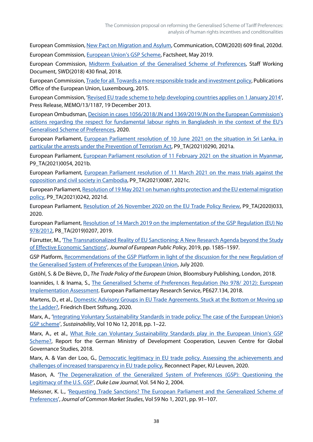European Commission[, New Pact on Migration and Asylum,](https://ec.europa.eu/info/sites/default/files/1_en_act_part1_v7_1.pdf) Communication, COM(2020) 609 final, 2020d. European Commission[, European Union's GSP Scheme,](https://trade.ec.europa.eu/doclib/docs/2017/january/tradoc_155235.pdf) Factsheet, May 2019.

European Commission, [Midterm Evaluation of the Generalised Scheme of Preferences,](https://eur-lex.europa.eu/legal-content/EN/TXT/PDF/?uri=CELEX:52018SC0430&from=SL) Staff Working Document, SWD(2018) 430 final, 2018.

European Commission[, Trade for all. Towards a more responsible trade and investment policy,](https://trade.ec.europa.eu/doclib/docs/2015/october/tradoc_153846.pdf) Publications Office of the European Union, Luxembourg, 2015.

European Commission, ['Revised EU trade scheme to help developing countries applies on 1 January 2014'](https://ec.europa.eu/commission/presscorner/detail/en/MEMO_13_1187), Press Release, MEMO/13/1187, 19 December 2013.

European Ombudsman[, Decision in cases 1056/2018/JN and 1369/2019/JN on the European Commission's](https://www.ombudsman.europa.eu/en/decision/en/126086)  [actions regarding the respect for fundamental labour rights in Bangladesh in the context of the EU's](https://www.ombudsman.europa.eu/en/decision/en/126086)  [Generalised Scheme of Preferences,](https://www.ombudsman.europa.eu/en/decision/en/126086) 2020.

European Parliament, [European Parliament resolution of 10 June 2021 on the situation in Sri Lanka, in](https://www.europarl.europa.eu/doceo/document/TA-9-2021-0290_EN.html,)  [particular the arrests under the Prevention of Terrorism Act,](https://www.europarl.europa.eu/doceo/document/TA-9-2021-0290_EN.html,) P9\_TA(2021)0290, 2021a.

European Parliament, [European Parliament resolution of 11 February 2021 on the situation in Myanmar,](https://www.europarl.europa.eu/doceo/document/TA-9-2021-0054_EN.html)  P9\_TA(2021)0054, 2021b.

European Parliament, [European Parliament resolution of 11 March 2021 on the mass trials against the](https://www.europarl.europa.eu/doceo/document/B-9-2021-0186_EN.html)  [opposition and civil society in Cambodia,](https://www.europarl.europa.eu/doceo/document/B-9-2021-0186_EN.html) P9\_TA(2021)0087, 2021c.

European Parliament[, Resolution of 19 May 2021 on human rights protection and the EU external migration](https://www.europarl.europa.eu/doceo/document/TA-9-2021-0242_EN.html)  [policy,](https://www.europarl.europa.eu/doceo/document/TA-9-2021-0242_EN.html) P9\_TA(2021)0242, 2021d.

European Parliament, [Resolution of 26 November 2020 on the EU Trade Policy Review,](https://www.europarl.europa.eu/doceo/document/TA-9-2020-0337_EN.html) P9\_TA(2020)033, 2020.

European Parliament, [Resolution of 14 March 2019 on the implementation of the GSP Regulation \(EU\) No](https://www.europarl.europa.eu/doceo/document/TA-8-2019-0207_EN.html)  [978/2012,](https://www.europarl.europa.eu/doceo/document/TA-8-2019-0207_EN.html) P8\_TA(2019)0207, 2019.

Fürrutter, M., ['The Transnationalized Reality of EU Sanctioning: A New Research Agenda beyond the Study](https://www.tandfonline.com/doi/abs/10.1080/13501763.2019.1678661)  [of Effective Economic Sanctions'](https://www.tandfonline.com/doi/abs/10.1080/13501763.2019.1678661), *Journal of European Public Policy*, 2019, pp. 1585–1597.

GSP Platform, [Recommendations of the GSP Platform in light of the discussion for the new Regulation of](https://www.gspplatform.eu/policy-ideas)  [the Generalised System of Preferences of the European Union,](https://www.gspplatform.eu/policy-ideas) July 2020.

Gstöhl, S. & De Bièvre, D., *The Trade Policy of the European Union*, Bloomsbury Publishing, London, 2018.

Ioannides, I. & Inama, S., The Generalised Scheme of Preferences Regulation (No 978/ 2012): European [Implementation Assessment.](https://www.europarl.europa.eu/RegData/etudes/STUD/2018/627134/EPRS_STU(2018)627134_EN.pdf) European Parliamentary Research Service, PE627.134, 2018.

Martens, D., et al., [Domestic Advisory Groups in EU Trade Agreements. Stuck at the Bottom or Moving up](https://biblio.ugent.be/publication/8690502)  [the Ladder?,](https://biblio.ugent.be/publication/8690502) Friedrich Ebert Stiftung, 2020.

Marx, A., ['Integrating Voluntary Sustainability Standards in trade policy: The case of the European Union's](https://www.mdpi.com/2071-1050/10/12/4364)  [GSP scheme'](https://www.mdpi.com/2071-1050/10/12/4364), *Sustainability*, Vol 10 No 12, 2018, pp. 1–22.

Marx, A., et al., What Role can Voluntary Sustainability Standards play in the European Union's GSP [Scheme?,](https://ghum.kuleuven.be/ggs/publications/research_reports/report-vvs-and-gsp.pdf) Report for the German Ministry of Development Cooperation, Leuven Centre for Global Governance Studies, 2018.

Marx, A. & Van der Loo, G., Democratic legitimacy in EU trade policy. Assessing the achievements and [challenges of increased transparency in EU trade policy,](https://reconnect-europe.eu/wp-content/uploads/2020/06/D12.1.pdf) Reconnect Paper, KU Leuven, 2020.

Mason, A. ['The Degeneralization of the Generalized System of Preferences \(GSP\): Questioning the](https://www.jstor.org/stable/i40002131?refreqid=excelsior%3A1a1386f89abdf4632d52f06880236010)  [Legitimacy of the U.S. GSP'](https://www.jstor.org/stable/i40002131?refreqid=excelsior%3A1a1386f89abdf4632d52f06880236010), *Duke Law Journal*, Vol. 54 No 2, 2004.

Meissner, K. L., ['Requesting Trade Sanctions? The European Parliament and the Generalized Scheme of](https://onlinelibrary.wiley.com/doi/full/10.1111/jcms.13142)  [Preferences',](https://onlinelibrary.wiley.com/doi/full/10.1111/jcms.13142) *Journal of Common Market Studies*, Vol 59 No 1, 2021, pp. 91–107.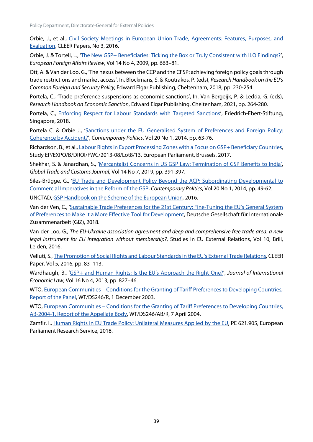Orbie, J., et al., [Civil Society Meetings in European Union Trade, Agreements: Features, Purposes, and](https://www.asser.nl/media/3044/cleer16-3_web.pdf)  [Evaluation,](https://www.asser.nl/media/3044/cleer16-3_web.pdf) CLEER Papers, No 3, 2016.

Orbie, J. & Tortell, L., ['The New GSP+ Beneficiaries: Ticking the Box or Truly Consistent with ILO Findings?'](https://biblio.ugent.be/publication/1092835), *European Foreign Affairs Review*, Vol 14 No 4, 2009, pp. 663–81.

Ott, A. & Van der Loo, G., 'The nexus between the CCP and the CFSP: achieving foreign policy goals through trade restrictions and market access', In. Blockmans, S. & Koutrakos, P. (eds), *Research Handbook on the EU's Common Foreign and Security Policy,* Edward Elgar Publishing, Cheltenham, 2018, pp. 230-254.

Portela, C., 'Trade preference suspensions as economic sanctions', In. Van Bergeijk, P. & Ledda, G. (eds), *Research Handbook on Economic Sanction*, Edward Elgar Publishing, Cheltenham, 2021, pp. 264-280.

Portela, C., [Enforcing Respect for Labour Standards with Targeted Sanctions'](http://library.fes.de/pdf-files/bueros/singapur/14689.pdf), Friedrich-Ebert-Stiftung, Singapore, 2018.

Portela C. & Orbie J., 'Sanctions under the EU Generalised System of Preferences and Foreign Policy: [Coherence by Accident?',](https://www.tandfonline.com/doi/abs/10.1080/13569775.2014.881605) *Contemporary Politics*, Vol 20 No 1, 2014, pp. 63-76.

Richardson, B., et al.[, Labour Rights in Export Processing Zones with a Focus on GSP+ Beneficiary Countries,](https://www.europarl.europa.eu/RegData/etudes/STUD/2017/603839/EXPO_STU(2017)603839_EN.pdf)  Study EP/EXPO/B/DROI/FWC/2013-08/Lot8/13, European Parliament, Brussels, 2017.

Shekhar, S. & Janardhan, S., ['Mercantalist Concerns in US GSP Law: Termination of GSP Benefits to India',](https://kluwerlawonline.com/journalarticle/Global+Trade+and+Customs+Journal/14.7/GTCJ2019045)  *Global Trade and CustomsJournal*, Vol 14 No 7, 2019, pp. 391-397.

Siles-Brügge, G., ['EU Trade and Development Policy Beyond the ACP: Subordinating Developmental to](https://www.tandfonline.com/doi/full/10.1080/13569775.2014.881604)  [Commercial Imperatives in the Reform of the GSP,](https://www.tandfonline.com/doi/full/10.1080/13569775.2014.881604) *Contemporary Politics*, Vol 20 No 1, 2014, pp. 49-62.

UNCTAD[, GSP Handbook on the Scheme of the European Union](https://unctad.org/system/files/official-document/itcdtsbmisc25rev4_en.pdf)*,* 2016.

Van der Ven, C., ['Sustainable Trade Preferences for the 21st Century: Fine-Tuning the EU's General System](https://ea7f30b3-6555-4bf7-9210-2805bebede4d.filesusr.com/ugd/fca846_0d5ac746d4e64315bd9697496bd5eb63.pdf)  [of Preferences to Make It a More Effective Tool for Development,](https://ea7f30b3-6555-4bf7-9210-2805bebede4d.filesusr.com/ugd/fca846_0d5ac746d4e64315bd9697496bd5eb63.pdf) Deutsche Gesellschaft für Internationale Zusammenarbeit (GIZ), 2018.

Van der Loo, G., *The EU-Ukraine association agreement and deep and comprehensive free trade area: a new legal instrument for EU integration without membership?*, Studies in EU External Relations, Vol 10, Brill, Leiden, 2016.

Velluti, S.[, The Promotion of Social Rights and Labour Standards in the EU's External Trade Relations,](http://sro.sussex.ac.uk/id/eprint/64781/1/CLEER%20PaperVelluti-FINAL2.pdf) CLEER Paper, Vol 5, 2016, pp. 83–113.

Wardhaugh, B., ['GSP+ and Human Rights: Is the EU's Approach the Right One?',](https://www.google.com/search?q=+%E2%80%98GSP%2B+and+Human+Rights%3A+Is+the+EU%E2%80%99s+Approach+the+Right+One%3F&ei=akquYbP1Acq0kwWGkr2wDA&ved=0ahUKEwiz0uG328_0AhVK2qQKHQZJD8YQ4dUDCA8&uact=5&oq=+%E2%80%98GSP%2B+and+Human+Rights%3A+Is+the+EU%E2%80%99s+Approach+the+Right+One%3F&gs_lcp=Cgxnd3Mtd2l6LXNlcnAQA0oECEEYAFAAWABgxwFoAHACeACAAU6IAU6SAQExmAEAoAEBwAEB&sclient=gws-wiz-serp) *Journal of International Economic Law*, Vol 16 No 4, 2013, pp. 827–46.

WTO, European Communities – [Conditions for the Granting of Tariff Preferences to Developing Countries,](https://www.wto.org/english/tratop_e/dispu_e/cases_e/ds246_e.htm)  [Report of the Panel,](https://www.wto.org/english/tratop_e/dispu_e/cases_e/ds246_e.htm) WT/DS246/R, 1 December 2003.

WTO, European Communities – Conditions for the Granting of Tariff Preferences to Developing Countries, AB-2004-1, [Report of the Appellate Body,](https://docs.wto.org/dol2fe/Pages/SS/directdoc.aspx?filename=Q:/WT/DS/246ABR.pdf&Open=True) WT/DS246/AB/R, 7 April 2004.

Zamfir, I., [Human Rights in EU Trade Policy: Unilateral Measures Applied by the EU,](https://www.europarl.europa.eu/RegData/etudes/BRIE/2018/621905/EPRS_BRI(2018)621905_EN.pdf) PE 621.905, European Parliament Research Service, 2018.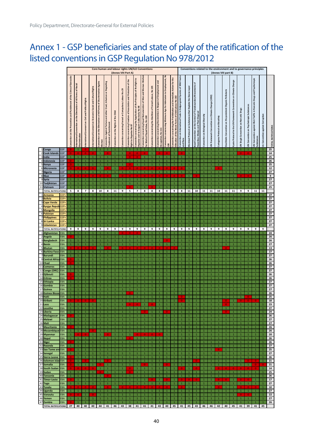# <span id="page-45-0"></span>Annex 1 - GSP beneficiaries and state of play of the ratification of the listed conventions in GSP Regulation No 978/2012

|          |                                   |                          |                                                                      | Core human and labour rights UN/ILO Conventions<br>(Annex VIII Part A)                     |                                                         |                                                               |                                                                                        |                                                                                                                                     |                                       |                                                                        |                                                                                                            |                                                                                                                              |                                                                                                            |                                                              | Conventions related to the environment and to governance principles<br>(Annex VIII part B)   |                                                                              |                                                                                                                                           |                                                                                      |                                                                                                      |                                                                                                                 |                                    |                                                            |                                 |                                                           |                                                                              |                                               |                                          |                                                                                     |                                  |                            |
|----------|-----------------------------------|--------------------------|----------------------------------------------------------------------|--------------------------------------------------------------------------------------------|---------------------------------------------------------|---------------------------------------------------------------|----------------------------------------------------------------------------------------|-------------------------------------------------------------------------------------------------------------------------------------|---------------------------------------|------------------------------------------------------------------------|------------------------------------------------------------------------------------------------------------|------------------------------------------------------------------------------------------------------------------------------|------------------------------------------------------------------------------------------------------------|--------------------------------------------------------------|----------------------------------------------------------------------------------------------|------------------------------------------------------------------------------|-------------------------------------------------------------------------------------------------------------------------------------------|--------------------------------------------------------------------------------------|------------------------------------------------------------------------------------------------------|-----------------------------------------------------------------------------------------------------------------|------------------------------------|------------------------------------------------------------|---------------------------------|-----------------------------------------------------------|------------------------------------------------------------------------------|-----------------------------------------------|------------------------------------------|-------------------------------------------------------------------------------------|----------------------------------|----------------------------|
|          |                                   |                          | Convention on the Prevention and Punishment of the Crime of Genocide | on the Elimination of All Forms of Racial<br>International Convention<br><b>Discrimina</b> | Rights<br>International Covenant on Civil and Political | International Covenant on Economic Social and Cultural Rights | on the Elimination of All Forms of Discrimination Agains<br>Convention<br><sub>S</sub> | Degrading<br>$\overline{9}$<br>Inhuma<br>Cruel,<br>Torture and other<br><b>Treatment of Punishment</b><br><b>Convention Against</b> | Convention on the Rights of the Child | 29<br>۽<br>Compulsory Labour<br>ŏ<br>cerning Forced<br>ā<br>Convention | and Protection of the<br>concerning Freedom of Association<br><b>Right to Organise No 87</b><br>Convention | Principles of the Right to<br>the<br>đ<br>å<br>the Application<br>Collectively<br>bargain<br>g<br>Organise and<br>Convention | of Men and Woman Worl<br>Convention concerning Equal Remuneration<br>No 100<br>Equal Value,<br>for Work of | Convention concerning the Abolition of Forced Labour, No 105 | concerning Discrimintion in Respect of Employment and<br>No 111<br>Occupation,<br>Convention | Minimum Age for Admission to Employment, No<br>Convention conernaning<br>138 | Action for the<br>Immediate<br>Child Labour No 182<br>concerning the Prohibitation and<br>Elilination of the Worst Forms of<br>Convention | Convention on International Trade in Endgangered Species of Wild Fauna<br><b>Pue</b> | Layer<br>Ozone<br>the<br>Deplete<br>that<br>tances<br>Subst<br>$\frac{5}{2}$<br>Protocol<br>Montreal | ㅎ<br>rements<br>å<br>Control of Transbou<br>Hazardous Wastes and Their Disposal<br>the<br>ã<br>Basel Convention | Convention on Biological Diversity | Convention on Climate Change (1992)<br><b>UN Framework</b> | Cartagena Protocol on Biosafety | Stockholm Convention on the persistent Organic Pollutants | <b>Change</b><br>on Climate<br>Kyoto Protocol to the UN Framework Convention | <b>UN Single Convention on Narcotic Drugs</b> | UN Convention on Psychotropic Substances | UN Convention against Illicit Traffic in Narcotic Drugs and Psychotropic<br>Substan | Un Convention against Corruption | <b>TOTAL RATIFICATIONS</b> |
|          | Congo                             | <b>GSP</b>               | $\Omega$                                                             | $\mathbf{1}$                                                                               | $\Omega$                                                | $\mathbf 1$                                                   | $\mathbf{1}$                                                                           | $\mathbf{1}$                                                                                                                        | $\mathbf{1}$                          | $\mathbf{1}$                                                           | 1                                                                                                          | $\mathbf{1}$                                                                                                                 |                                                                                                            |                                                              | $\overline{1}$                                                                               | $\mathbf{1}$                                                                 |                                                                                                                                           | $\mathbf{1}$                                                                         | 1                                                                                                    | 1                                                                                                               | $\mathbf{1}$                       | $\mathbf{1}$                                               | $\mathbf{1}$                    | $\mathbf{1}$                                              | 1                                                                            | $\mathbf{1}$                                  | $\mathbf 1$                              |                                                                                     | $\mathbf{1}$                     | 25                         |
|          | Cook Islands                      | <b>GSP</b>               | $\mathbf 0$                                                          | 0                                                                                          | $\mathbf 0$                                             | $\bf{0}$                                                      | $\mathbf{1}$                                                                           |                                                                                                                                     | $\,$ 1                                | $\mathbf 1$                                                            | $\Omega$                                                                                                   | $\bf{0}$<br>$\overline{0}$                                                                                                   | 0                                                                                                          | $\mathbf 1$                                                  | $\Omega$                                                                                     |                                                                              | $\mathbf 1$                                                                                                                               | $\Omega$                                                                             | $\mathbf{1}$                                                                                         | $\,1\,$                                                                                                         | $\mathbf 1$                        | $\mathbf 1$                                                | $\mathbf 1$                     | $\mathbf{1}$                                              | $\mathbf 1$                                                                  |                                               | $\mathbf 0$                              | $\mathbf{1}$                                                                        | $\mathbf 1$                      | ${\bf 14}$                 |
|          | India<br>4 Indonesia              | <b>GSP</b><br>GSP        | $\mathbf 1$<br>$\mathbf 0$                                           | $\mathbf 1$<br>$\mathbf 1$                                                                 | $\mathbf 1$<br>$\mathbf 1$                              | $\mathbf 1$<br>$\,1\,$                                        | $\mathbf{1}$<br>$\mathbf 1$                                                            | $\mathbf{1}$<br>$\mathbf 1$                                                                                                         | $\mathbf{1}$<br>$\,1\,$               | $\mathbf{1}$<br>$\mathbf 1$                                            | $\,1\,$                                                                                                    | $\mathbf{1}$                                                                                                                 | $\mathbf{1}$<br>$\mathbf 1$                                                                                | $\mathbf{1}$<br>$\mathbf 1$                                  | $\mathbf{1}$<br>$\mathbf 1$                                                                  | $\mathbf{1}$<br>$\mathbf 1$                                                  | $\mathbf{1}$<br>$\mathbf 1$                                                                                                               | $\mathbf{1}$<br>$\,1\,$                                                              | 1<br>$\mathbf 1$                                                                                     | $\mathbf{1}$<br>$\,$ 1 $\,$                                                                                     | $\mathbf{1}$<br>$\mathbf 1$        | $\mathbf{1}$<br>$\,$ 1 $\,$                                | $\mathbf{1}$<br>$\mathbf 1$     | $\mathbf{1}$<br>$\mathbf 1$                               | $\mathbf 1$<br>$\mathbf{1}$                                                  | $\mathbf{1}$<br>$\,$ 1 $\,$                   | $1\,$<br>$\,$ 1                          | $\mathbf{1}$<br>$\mathbf 1$                                                         | $\mathbf{1}$<br>$\mathbf 1$      | 25<br>26                   |
|          | 5 Kenya                           | GSP                      | $\mathbf 0$                                                          | $\mathbf{1}$                                                                               | $\mathbf 1$                                             | $\mathbf 1$                                                   | $\mathbf{1}$                                                                           | $\mathbf 1$                                                                                                                         | $\,$ 1 $\,$                           | $\mathbf{1}$                                                           |                                                                                                            | $\mathbf 1$                                                                                                                  | $\mathbf{1}$                                                                                               | $\mathbf{1}$                                                 | $\mathbf 1$                                                                                  | $\mathbf{1}$                                                                 | $\mathbf{1}$                                                                                                                              | $\mathbf 1$                                                                          | $\mathbf{1}$                                                                                         | $\mathbf 1$                                                                                                     | $\mathbf 1$                        | $\mathbf 1$                                                | $\mathbf{1}$                    | $\mathbf{1}$                                              | $\overline{1}$                                                               | $\mathbf{1}$                                  | $\mathbf 1$                              | $\mathbf{1}$                                                                        | $\mathbf{1}$                     | 25                         |
|          | 6 Micronesia<br>Nigeria           | <b>GSP</b><br><b>GSP</b> | $\mathbf{0}$<br>$\mathbf 1$                                          | $\Omega$<br>$\bar{1}$                                                                      | $\Omega$<br>$\mathbf 1$                                 | $\Omega$<br>$\,1\,$                                           | $\mathbf{1}$<br>$\overline{1}$                                                         | $\Omega$<br>$\mathbf 1$                                                                                                             | $\mathbf{1}$<br>$\mathbf{1}$          | $\Omega$<br>$\mathbf 1$                                                | $\Omega$<br>$\mathbf 1$                                                                                    | $\Omega$<br>$\mathbf 1$                                                                                                      | $\Omega$<br>$\mathbf{1}$                                                                                   | $\Omega$<br>$\mathbf 1$                                      | $\Omega$<br>$\,1\,$                                                                          | $\Omega$<br>$\,1\,$                                                          | $\Omega$<br>$\mathbf 1$                                                                                                                   | $\Omega$<br>$\,1\,$                                                                  | $\mathbf 1$<br>$\mathbf{1}$                                                                          | $\mathbf{1}$<br>$\mathbf{1}$                                                                                    | $\mathbf 1$<br>$\mathbf 1$         | $\mathbf 1$<br>$\overline{1}$                              | $\Omega$<br>$\,$ 1 $\,$         | $\mathbf 1$<br>$\mathbf 1$                                | $\mathbf 1$<br>$\mathbf{1}$                                                  | $1\,$<br>$\mathbf{1}$                         | $\mathbf 1$<br>$\mathbf 1$               | $\mathbf 1$<br>$\overline{1}$                                                       | $\mathbf{1}$                     | 12<br>27                   |
|          | 8 Niue                            | <b>GSP</b>               | $\mathbf{0}$                                                         | $\bf{0}$                                                                                   | 0                                                       | $\Omega$                                                      | $\Omega$                                                                               | 0                                                                                                                                   | $\mathbf{1}$                          | $\Omega$                                                               | 0                                                                                                          | $\Omega$                                                                                                                     | 0                                                                                                          | $\Omega$                                                     | $\bf{0}$                                                                                     | $\bf{0}$                                                                     | 0                                                                                                                                         | $\bf{0}$                                                                             | $\mathbf{1}$                                                                                         | $\Omega$                                                                                                        | $\mathbf{1}$                       | 1                                                          | $\mathbf 1$                     | 1                                                         | 1                                                                            | $\bf{0}$                                      | $\mathbf{0}$                             | 1                                                                                   | 1                                | 9                          |
|          | 9Syria                            | <b>GSP</b>               | $\,1\,$                                                              | $1\,$                                                                                      | $\,$ 1 $\,$                                             | $\,$ 1 $\,$                                                   | $\mathbf 1$                                                                            | $\mathbf 1$                                                                                                                         | $\,1\,$                               | $\,$ 1                                                                 | $\mathbf 1$                                                                                                | $\,1\,$                                                                                                                      | $1\,$                                                                                                      | $\mathbf 1$                                                  | $\,$ 1 $\,$                                                                                  | $\,$ 1                                                                       | $\mathbf 1$                                                                                                                               | $\,$ 1                                                                               | $\mathbf 1$                                                                                          | $\,$ 1 $\,$                                                                                                     | $\mathbf 1$                        | $\mathbf 1$                                                | $\mathbf 1$                     | $\mathbf 1$                                               | $\mathbf{1}$                                                                 | $\,1\,$                                       | $\,$ 1 $\,$                              | $\mathbf 1$                                                                         | $\mathbf{1}$                     | 27                         |
| 10<br>11 | Tadjikistan<br>Vietnam            | <b>GSP</b><br><b>GSP</b> | $\mathbf 1$<br>$\mathbf{1}$                                          | $\mathbf 1$<br>$\mathbf 1$                                                                 | $\mathbf 1$<br>$\mathbf 1$                              | $\mathbf 1$<br>$\mathbf 1$                                    | $\mathbf 1$<br>$\mathbf 1$                                                             | $\mathbf 1$<br>$\mathbf 1$                                                                                                          | $\mathbf{1}$<br>$\mathbf{1}$          | $\mathbf 1$<br>$\mathbf 1$                                             | $1\,$<br>0                                                                                                 | $\mathbf{1}$<br>$\mathbf 1$                                                                                                  | $\mathbf{1}$<br>$\mathbf{1}$                                                                               | $1\,$<br>0                                                   | $\mathbf 1$<br>$\mathbf 1$                                                                   | $\mathbf 1$<br>$\mathbf{1}$                                                  | $\mathbf{1}$<br>$\mathbf 1$                                                                                                               | $\mathbf 1$<br>$1\,$                                                                 | $\mathbf 1$<br>$\mathbf{1}$                                                                          | $1\,$<br>$\mathbf{1}$                                                                                           | $\mathbf 1$<br>$\mathbf 1$         | $\mathbf 1$<br>$1\,$                                       | $\mathbf 1$<br>$\mathbf 1$      | $\mathbf 1$<br>$\mathbf 1$                                | $\mathbf{1}$<br>$\mathbf 1$                                                  | $\mathbf 1$<br>$\mathbf{1}$                   | $\mathbf 1$<br>$1\,$                     | $\mathbf 1$<br>$\mathbf 1$                                                          | $\mathbf 1$<br>$1\,$             | 27<br>25                   |
|          | <b>TOTAL RATIFICATIONS</b>        |                          | 5                                                                    | 8                                                                                          | 7                                                       | 8                                                             | 10                                                                                     | 8                                                                                                                                   | 11                                    | 9                                                                      | 5                                                                                                          | 7                                                                                                                            | 8                                                                                                          | 8                                                            | 8                                                                                            | 8                                                                            | 9                                                                                                                                         | 8                                                                                    | 11                                                                                                   | 10                                                                                                              | 11                                 | 11                                                         | 10                              | 11                                                        | 11                                                                           | 9                                             | 9                                        | 11                                                                                  | 11                               |                            |
|          | Armenia                           | GSP+                     | $\mathbf{1}$                                                         | $\mathbf 1$                                                                                | $\mathbf{1}$                                            | 1                                                             | $\mathbf{1}$                                                                           | $\mathbf{1}$                                                                                                                        | $\mathbf{1}$                          | $\mathbf{1}$                                                           | $\mathbf{1}$                                                                                               | $\mathbf{1}$                                                                                                                 | 1                                                                                                          | $\mathbf{1}$                                                 | $\mathbf{1}$                                                                                 | $\mathbf 1$                                                                  | $\mathbf{1}$                                                                                                                              | $\mathbf{1}$                                                                         | 1                                                                                                    | $\mathbf{1}$                                                                                                    | $\mathbf{1}$                       | $\mathbf{1}$                                               | $\mathbf 1$                     | $\mathbf{1}$                                              | $\mathbf{1}$                                                                 | $\mathbf{1}$                                  | $\mathbf{1}$                             | 1                                                                                   | $\mathbf{1}$                     | 27                         |
|          | Bolivia<br>3 Cape Verde           | GSP+<br>GSP+             | $\mathbf 1$<br>$\mathbf 1$                                           | $\mathbf 1$<br>$\mathbf 1$                                                                 | $\mathbf 1$<br>$\mathbf{1}$                             | $\mathbf 1$<br>$\mathbf 1$                                    | $\mathbf 1$<br>$\mathbf 1$                                                             | $\mathbf 1$<br>$\mathbf{1}$                                                                                                         | $\overline{1}$<br>$\,$ 1 $\,$         | $\mathbf 1$<br>$\mathbf 1$                                             | $\mathbf{1}$<br>$\mathbf{1}$                                                                               | $\mathbf{1}$<br>$\mathbf 1$                                                                                                  | $\mathbf{1}$<br>$\mathbf{1}$                                                                               | $\mathbf{1}$<br>$\mathbf{1}$                                 | $\mathbf 1$<br>$\mathbf 1$                                                                   | $\mathbf{1}$<br>$\mathbf 1$                                                  | $\mathbf{1}$<br>$\mathbf{1}$                                                                                                              | $\mathbf 1$<br>$\mathbf 1$                                                           | $\mathbf{1}$<br>$\mathbf{1}$                                                                         | $\mathbf 1$<br>$\mathbf{1}$                                                                                     | $\mathbf 1$<br>$\mathbf{1}$        | $\mathbf{1}$<br>$\mathbf 1$                                | $\mathbf 1$<br>$\mathbf 1$      | $\mathbf 1$<br>$\mathbf{1}$                               | $\mathbf{1}$<br>$\mathbf{1}$                                                 | $\mathbf 1$<br>$\mathbf{1}$                   | $\mathbf 1$<br>$\mathbf 1$               | $\overline{1}$<br>$\mathbf{1}$                                                      | $\mathbf 1$<br>$\mathbf 1$       | 27<br>27                   |
|          | 4 Kyrgyz Repuł                    | GSP+                     | $\mathbf 1$                                                          | $\mathbf 1$                                                                                | $\mathbf 1$                                             | $\mathbf 1$                                                   | $\mathbf{1}$                                                                           | $\mathbf{1}$                                                                                                                        | $\mathbf{1}$                          | $\mathbf 1$                                                            | $\mathbf 1$                                                                                                | $\mathbf{1}$                                                                                                                 | $\mathbf{1}$                                                                                               | $\mathbf 1$                                                  | $\mathbf 1$                                                                                  | $\mathbf 1$                                                                  | $\mathbf{1}$                                                                                                                              | $\mathbf 1$                                                                          | $\mathbf{1}$                                                                                         | $1\,$                                                                                                           | $\mathbf 1$                        | $\mathbf 1$                                                | $\mathbf 1$                     | $\mathbf{1}$                                              | $\mathbf{1}$                                                                 | $1\,$                                         | $\mathbf 1$                              | $\mathbf{1}$                                                                        |                                  | 27                         |
|          | 5 Mongolia                        | GSP+                     | $\mathbf 1$                                                          | $\mathbf{1}$                                                                               | $\mathbf 1$                                             | $\mathbf 1$                                                   | $\mathbf 1$                                                                            | $\mathbf 1$                                                                                                                         | $1\,$                                 | $\mathbf 1$                                                            | $\mathbf 1$                                                                                                | $\mathbf 1$                                                                                                                  | $1\,$                                                                                                      | $\mathbf 1$                                                  | $\mathbf 1$                                                                                  | $\mathbf 1$                                                                  | $\mathbf{1}$                                                                                                                              | $\mathbf 1$                                                                          | $\mathbf 1$                                                                                          | $1\,$                                                                                                           | $\mathbf 1$                        | $1\,$                                                      | $1\,$                           | $\mathbf 1$                                               | $\mathbf 1$                                                                  | $1\,$                                         | $\mathbf 1$                              | $\mathbf{1}$                                                                        | $\mathbf 1$                      | 27                         |
|          | 6 Pakistan<br>7 Philippines       | GSP+<br>GSP+             | $\mathbf{1}$<br>$\mathbf 1$                                          | $\mathbf{1}$<br>$\mathbf 1$                                                                | $\mathbf{1}$<br>$\mathbf 1$                             | $\mathbf{1}$<br>$\mathbf 1$                                   | $\mathbf{1}$<br>$\mathbf 1$                                                            | $\mathbf{1}$<br>$\mathbf 1$                                                                                                         | $\mathbf{1}$<br>$\mathbf 1$           | $\mathbf{1}$<br>$\mathbf 1$                                            | $\mathbf{1}$<br>$\mathbf 1$                                                                                | $\mathbf{1}$<br>$\mathbf{1}$                                                                                                 | 1<br>$\mathbf 1$                                                                                           | $\mathbf{1}$<br>$\mathbf 1$                                  | $\mathbf{1}$<br>$\,1\,$                                                                      | $\mathbf{1}$<br>$\mathbf{1}$                                                 | $\mathbf{1}$<br>$\mathbf 1$                                                                                                               | $\mathbf{1}$<br>$\mathbf 1$                                                          | $\mathbf{1}$<br>$\mathbf{1}$                                                                         | $\mathbf{1}$<br>$\mathbf 1$                                                                                     | $\mathbf{1}$<br>$\mathbf 1$        | $\mathbf{1}$<br>$\mathbf{1}$                               | $\mathbf 1$<br>$\mathbf 1$      | $\mathbf{1}$<br>$\mathbf 1$                               | $\mathbf 1$<br>$\mathbf{1}$                                                  | $\mathbf{1}$<br>$\mathbf 1$                   | $\mathbf{1}$<br>$\mathbf 1$              | $\mathbf{1}$<br>$\mathbf 1$                                                         | 1<br>$\mathbf 1$                 | 27<br>27                   |
|          | 8 Sri Lanka                       | GSP+                     | $\mathbf 1$                                                          | $\mathbf 1$                                                                                | $\mathbf 1$                                             | $\mathbf 1$                                                   | $\mathbf 1$                                                                            | $\,$ 1 $\,$                                                                                                                         | $\mathbf{1}$                          | $\mathbf 1$                                                            | $\mathbf 1$                                                                                                | $\mathbf 1$                                                                                                                  | $\mathbf{1}$                                                                                               | $\mathbf 1$                                                  | $\mathbf 1$                                                                                  | $\mathbf 1$                                                                  | $\mathbf 1$                                                                                                                               | $\mathbf 1$                                                                          | $\mathbf{1}$                                                                                         | $\mathbf 1$                                                                                                     | $\mathbf 1$                        | $\mathbf 1$                                                | $\mathbf 1$                     | $\mathbf{1}$                                              | $\mathbf{1}$                                                                 | $\mathbf 1$                                   | $\mathbf 1$                              | $\mathbf 1$                                                                         | $\mathbf{1}$                     | 27                         |
|          | 9Uzbekistan                       | GSP+                     | $\mathbf 1$                                                          | $\mathbf 1$                                                                                | $\mathbf 1$                                             | $\mathbf 1$                                                   | $\mathbf 1$                                                                            | $\mathbf 1$                                                                                                                         | $\,$ 1 $\,$                           | $\mathbf 1$                                                            | $\mathbf 1$                                                                                                | $\,1\,$                                                                                                                      | $\mathbf 1$                                                                                                | $\mathbf 1$                                                  | $\mathbf 1$                                                                                  | $\mathbf 1$                                                                  | $\mathbf{1}$                                                                                                                              | $\mathbf 1$                                                                          | $\mathbf 1$                                                                                          | $\mathbf{1}$                                                                                                    | $\mathbf 1$                        | $\mathbf 1$                                                | $\mathbf 1$                     | $\mathbf 1$                                               | $\mathbf{1}$                                                                 | $1\,$                                         | $\mathbf 1$                              | $\mathbf 1$                                                                         | $\mathbf 1$                      | 27                         |
|          | <b>TOTAL RATIFICATIONS</b>        |                          | 9                                                                    | 9<br>$\mathbf{1}$                                                                          | 9                                                       | 9                                                             | 9<br>$\mathbf{1}$                                                                      | 9                                                                                                                                   | 9                                     | 9<br>Ō                                                                 | 9<br>Ō                                                                                                     | 9<br>$\Omega$                                                                                                                | 9<br>1                                                                                                     | 9                                                            | 9                                                                                            | 9                                                                            | 9                                                                                                                                         | 9                                                                                    | 9<br>1                                                                                               | 9                                                                                                               | 9                                  | 9                                                          | 9                               | 9<br>$\mathbf{1}$                                         | 9                                                                            | 9                                             | 9                                        | 9                                                                                   | 9                                |                            |
|          | 1 Afghanistan<br>2 Angola         | EBA<br>EBA               | $\mathbf 1$<br>$\Omega$                                              | $\mathbf 1$                                                                                | $\mathbf 1$<br>$\mathbf 1$                              | $\mathbf 1$<br>$\mathbf 1$                                    | $\mathbf 1$                                                                            | $\mathbf 1$<br>$\mathbf 1$                                                                                                          | $\mathbf 1$<br>$\mathbf 1$            | $\mathbf 1$                                                            | $\mathbf 1$                                                                                                | $\mathbf 1$                                                                                                                  | $\mathbf{1}$                                                                                               | $\mathbf{1}$<br>$\mathbf{1}$                                 | $\mathbf 1$<br>$\mathbf 1$                                                                   | $\mathbf 1$<br>$\,1\,$                                                       | $\mathbf{1}$<br>$\mathbf 1$                                                                                                               | $\mathbf 1$<br>$\mathbf 1$                                                           | $\mathbf 1$                                                                                          | $\mathbf{1}$<br>$1\,$                                                                                           | $\mathbf 1$<br>$\mathbf 1$         | 1<br>$\mathbf 1$                                           | $\mathbf 1$<br>$\mathbf 1$      | $\mathbf 1$                                               | $\mathbf{1}$<br>$\mathbf{1}$                                                 | $\mathbf{1}$<br>$1\,$                         | $\mathbf{1}$<br>$\mathbf 1$              | $\mathbf{1}$<br>$\mathbf 1$                                                         | $\mathbf{1}$<br>$\mathbf 1$      | 24<br>26                   |
|          | 3 Bangladesh                      | EBA                      | $\mathbf 1$                                                          | $\mathbf 1$                                                                                | $\mathbf{1}$                                            | $\mathbf 1$                                                   | $\mathbf 1$                                                                            | $\mathbf{1}$                                                                                                                        | $1\,$                                 | $\mathbf 1$                                                            | $\mathbf{1}$                                                                                               | $\mathbf 1$                                                                                                                  | $\mathbf{1}$                                                                                               | $\mathbf{1}$                                                 | $\mathbf 1$                                                                                  | $\overline{0}$                                                               | $\mathbf 1$                                                                                                                               | $\mathbf 1$                                                                          | $\mathbf 1$                                                                                          | $1\,$                                                                                                           | $\mathbf 1$                        | $\mathbf 1$                                                | $\mathbf 1$                     | $\mathbf 1$                                               | $\mathbf 1$                                                                  | $\mathbf{1}$                                  | $\mathbf{1}$                             | $\mathbf 1$                                                                         | $\mathbf 1$                      | 26                         |
|          | 4Benin                            | EBA                      | $\,1\,$                                                              | $\mathbf 1$                                                                                | $\mathbf 1$                                             | $\mathbf 1$                                                   | $\mathbf 1$                                                                            | $\mathbf{1}$                                                                                                                        | $\mathbf{1}$                          | $\mathbf 1$                                                            | $\mathbf{1}$                                                                                               | $\,1\,$                                                                                                                      | $\mathbf{1}$                                                                                               | $\mathbf 1$                                                  | $\mathbf 1$                                                                                  | $\,1\,$                                                                      | $\mathbf 1$                                                                                                                               | $\mathbf 1$                                                                          | $\mathbf 1$                                                                                          | $\mathbf 1$                                                                                                     | $\mathbf 1$                        | $\mathbf 1$                                                | $\mathbf 1$                     | $\mathbf 1$                                               | $\mathbf 1$                                                                  | $\mathbf 1$                                   | $\mathbf 1$                              | $\mathbf 1$                                                                         | $\mathbf 1$                      | 27                         |
|          | 5Bhutan<br>6 Burkina Faso         | EBA<br>EBA               | $\mathbf 1$                                                          | $\mathbf 1$                                                                                | $1\,$                                                   | $\mathbf 1$                                                   | $\mathbf{1}$<br>$\mathbf{1}$                                                           | $\mathbf 1$                                                                                                                         | $\mathbf 1$<br>$1\,$                  | $1\,$                                                                  | $1\,$                                                                                                      | $\mathbf 1$                                                                                                                  | $\mathbf 1$                                                                                                | $1\,$                                                        | $1\,$                                                                                        | $\mathbf 1$                                                                  | $\mathbf{1}$                                                                                                                              | $\mathbf 1$<br>$\mathbf 1$                                                           | $\mathbf{1}$<br>$\mathbf{1}$                                                                         | $1\,$<br>$\mathbf{1}$                                                                                           | $\mathbf 1$<br>$\mathbf 1$         | $\mathbf 1$<br>$\mathbf 1$                                 | $\mathbf 1$<br>$\mathbf 1$      | $\mathbf 1$                                               | $\overline{1}$<br>$\mathbf 1$                                                | $\mathbf{1}$<br>$\mathbf 1$                   | $\mathbf 1$<br>$\mathbf 1$               | 1<br>$\mathbf{1}$                                                                   | $\overline{1}$<br>$\mathbf{1}$   | 13<br>27                   |
|          | 7Burundi                          | EBA                      | $\mathbf 1$                                                          | $\mathbf 1$                                                                                | $\mathbf 1$                                             | $\mathbf 1$                                                   | $\mathbf 1$                                                                            | $\mathbf 1$                                                                                                                         | $\mathbf 1$                           | $\mathbf 1$                                                            | $\mathbf{1}$                                                                                               | $\mathbf{1}$                                                                                                                 | $\mathbf{1}$                                                                                               | $\mathbf 1$                                                  | $\mathbf 1$                                                                                  | $\mathbf 1$                                                                  | $\mathbf{1}$                                                                                                                              | $\mathbf 1$                                                                          | $\mathbf{1}$                                                                                         | $1\,$                                                                                                           | $\mathbf 1$                        | $\mathbf 1$                                                | $\mathbf 1$                     | $\mathbf 1$                                               | $\mathbf{1}$                                                                 | $\mathbf 1$                                   | $\mathbf 1$                              | $\mathbf 1$                                                                         | $\mathbf 1$                      | 27                         |
|          | 9 Central Africa EBA              |                          | 0<br>$\Omega$                                                        | $\mathbf 1$                                                                                | $\mathbf{1}$                                            | $\mathbf 1$                                                   | $\mathbf 1$                                                                            | $\mathbf{1}$                                                                                                                        | $\mathbf 1$                           | $\mathbf 1$                                                            | $\mathbf{1}$                                                                                               | $\mathbf 1$                                                                                                                  | $\mathbf{1}$<br>$\overline{1}$                                                                             | $\mathbf 1$                                                  | $\mathbf 1$                                                                                  | $\mathbf 1$                                                                  | $\mathbf{1}$                                                                                                                              | $\mathbf 1$                                                                          | $\mathbf{1}$<br>$\overline{1}$                                                                       | $\mathbf{1}$                                                                                                    | $\mathbf 1$                        | $\mathbf 1$                                                | $\mathbf 1$                     | $\mathbf{1}$                                              | $\mathbf{1}$<br>$\overline{1}$                                               | $\mathbf 1$                                   | $\mathbf 1$                              | $\mathbf{1}$<br>$\mathbf{1}$                                                        | $\mathbf 1$                      | 26                         |
| 11       | 10 Chad<br><b>Comoros</b>         | EBA<br>EBA               | $\mathbf 1$                                                          | $\mathbf{1}$<br>$\mathbf 1$                                                                | $\mathbf 1$<br>$\mathbf 1$                              | $\mathbf 1$<br>$\mathbf 1$                                    | $\mathbf{1}$<br>$\mathbf{1}$                                                           | $\mathbf{1}$<br>$\mathbf 1$                                                                                                         | $\mathbf 1$<br>$\mathbf 1$            | $\mathbf 1$<br>$\mathbf 1$                                             | $\mathbf{1}$<br>$\mathbf 1$                                                                                | $\mathbf{1}$<br>$\mathbf{1}$                                                                                                 | $\mathbf{1}$                                                                                               | $\mathbf 1$<br>$\mathbf 1$                                   | $\mathbf 1$<br>$\mathbf 1$                                                                   | $\mathbf 1$<br>$\mathbf 1$                                                   | $\mathbf{1}$<br>$\mathbf{1}$                                                                                                              | $\mathbf 1$<br>$\mathbf 1$                                                           | $\mathbf 1$                                                                                          | $1\,$<br>$\mathbf{1}$                                                                                           | $\mathbf 1$<br>$\mathbf 1$         | $\mathbf 1$<br>$\mathbf{1}$                                | $\mathbf 1$<br>$\mathbf 1$      | $\mathbf 1$<br>$\mathbf{1}$                               | $\mathbf{1}$                                                                 | $1\,$<br>$1\,$                                | $\mathbf 1$<br>$\mathbf 1$               | $\mathbf{1}$                                                                        | $\mathbf{1}$<br>$\mathbf 1$      | 26<br>27                   |
| 12       | Congo (DRC)                       | EBA                      | $\mathbf{1}$                                                         | $\mathbf{1}$                                                                               | $\mathbf{1}$                                            | $\mathbf{1}$                                                  | $\mathbf{1}$                                                                           | $\mathbf{1}$                                                                                                                        | $\mathbf{1}$                          | $\mathbf{1}$                                                           | $\mathbf{1}$                                                                                               | $\mathbf 1$                                                                                                                  | $\mathbf{1}$                                                                                               | $\mathbf{1}$                                                 | $\mathbf{1}$                                                                                 | $\mathbf{1}$                                                                 | $\mathbf{1}$                                                                                                                              | $\mathbf{1}$                                                                         | $\mathbf{1}$                                                                                         | $\mathbf{1}$                                                                                                    | $\mathbf{1}$                       | $\mathbf{1}$                                               | $\mathbf 1$                     | $\mathbf{1}$                                              | $\mathbf 1$                                                                  | $\mathbf{1}$                                  | $\mathbf{1}$                             | $\mathbf{1}$                                                                        | $\mathbf{1}$                     | 27                         |
|          | 13 Djibouti                       | EBA                      | $\bullet$                                                            | $\mathbf 1$                                                                                | $\mathbf 1$                                             | $\mathbf 1$                                                   | $\mathbf 1$                                                                            | $\mathbf 1$                                                                                                                         | $\mathbf 1$                           | $\mathbf 1$                                                            | $\mathbf 1$                                                                                                | $\mathbf{1}$                                                                                                                 | $\mathbf 1$                                                                                                | $\mathbf 1$                                                  | $\,1\,$                                                                                      | $\mathbf 1$                                                                  | $\mathbf 1$                                                                                                                               | $\mathbf 1$                                                                          | $\mathbf 1$                                                                                          | $\mathbf 1$                                                                                                     | $\mathbf 1$                        | $\mathbf 1$                                                | $\mathbf 1$                     | $\mathbf 1$                                               | $\mathbf{1}$                                                                 | $\mathbf 1$                                   | $\mathbf 1$                              | $\mathbf 1$                                                                         | $\mathbf 1$                      | 26                         |
|          | 14 Eritrea<br>15 <b>Ethiopia</b>  | EBA<br>EBA               | $\mathbf{O}$<br>$\mathbf 1$                                          | $\mathbf 1$<br>$\mathbf{1}$                                                                | $\mathbf{1}$<br>$\mathbf{1}$                            | $\mathbf 1$<br>$\mathbf 1$                                    | $\mathbf{1}$<br>$\mathbf{1}$                                                           | $\mathbf{1}$<br>$\mathbf{1}$                                                                                                        | $\mathbf{1}$<br>$\mathbf{1}$          | $\mathbf 1$<br>$\mathbf 1$                                             | $\mathbf{1}$<br>$\mathbf{1}$                                                                               | $\mathbf 1$<br>$\mathbf{1}$                                                                                                  | 1<br>$\mathbf{1}$                                                                                          | $\mathbf 1$<br>$\mathbf{1}$                                  | $\mathbf 1$<br>$\mathbf{1}$                                                                  | $\mathbf 1$<br>$\mathbf 1$                                                   | $\mathbf{1}$<br>$\mathbf{1}$                                                                                                              | $\mathbf 1$<br>$\mathbf{1}$                                                          | 1<br>$\overline{1}$                                                                                  | $\mathbf{1}$<br>$\mathbf{1}$                                                                                    | $\mathbf 1$<br>$\mathbf{1}$        | $\mathbf 1$<br>$\mathbf 1$                                 | $\mathbf 1$<br>$\mathbf 1$      | 1<br>$\mathbf{1}$                                         | $\mathbf{1}$<br>$\overline{1}$                                               | $\mathbf{1}$<br>$\mathbf{1}$                  | $\mathbf{1}$<br>$\mathbf{1}$             | $\mathbf{1}$<br>$\mathbf{1}$                                                        | 1                                | 26<br>27                   |
|          | 16 Gambia                         | EBA                      | $\mathbf 1$                                                          | $\mathbf{1}$                                                                               | $\mathbf 1$                                             | $\mathbf 1$                                                   | $\mathbf{1}$                                                                           | $\mathbf 1$                                                                                                                         | $1\,$                                 | $\mathbf 1$                                                            | $\mathbf{1}$                                                                                               | $\mathbf 1$                                                                                                                  | $\mathbf{1}$                                                                                               | $\mathbf 1$                                                  | $\mathbf 1$                                                                                  | $\mathbf{1}$                                                                 | $1\,$                                                                                                                                     | $\mathbf 1$                                                                          | $\mathbf 1$                                                                                          | $1\,$                                                                                                           | $\mathbf 1$                        | $\mathbf{1}$                                               | $\mathbf 1$                     | $\mathbf 1$                                               | $\mathbf 1$                                                                  | $1\,$                                         | $\mathbf 1$                              | $\mathbf{1}$                                                                        | $\mathbf 1$                      | 27                         |
|          | 17 Guinea                         | EBA                      | $\mathbf{1}$                                                         | $\mathbf{1}$                                                                               | $\mathbf{1}$                                            | $\mathbf{1}$                                                  | $\mathbf{1}$                                                                           | $\mathbf{1}$                                                                                                                        | $\mathbf{1}$                          | $\mathbf{1}$                                                           | $\mathbf{1}$                                                                                               | $\mathbf{1}$                                                                                                                 | $\mathbf{1}$                                                                                               | $\mathbf{1}$                                                 | $\mathbf{1}$                                                                                 | $\mathbf{1}$                                                                 | $\mathbf{1}$                                                                                                                              | $\mathbf{1}$                                                                         | 1                                                                                                    | $\mathbf{1}$                                                                                                    | $\mathbf{1}$                       | $\mathbf{1}$                                               | $\mathbf 1$                     | $\mathbf{1}$                                              | 1                                                                            | $\mathbf{1}$                                  | $\mathbf{1}$                             | $\mathbf{1}$                                                                        | $\mathbf{1}$                     | 27                         |
|          | 18 Guinea Bissa<br>19 Haiti       | LEBA<br>EBA              | $\mathbf 1$<br>$\mathbf 1$                                           | $\mathbf{1}$<br>$\mathbf{1}$                                                               | $\mathbf 1$<br>$\mathbf 1$                              | $\mathbf 1$<br>$\,$ 1 $\,$                                    | $\mathbf 1$<br>$\mathbf{1}$                                                            | $\mathbf 1$<br>$\mathbf{1}$                                                                                                         | $\overline{1}$<br>$\mathbf{1}$        | $\mathbf 1$<br>$\overline{1}$                                          | $\mathbf{1}$                                                                                               | $\mathbf 1$<br>$\mathbf{1}$                                                                                                  | $\mathbf{1}$<br>$\overline{1}$                                                                             | $\mathbf 1$<br>$\overline{1}$                                | $\mathbf 1$<br>$\mathbf{1}$                                                                  | $\mathbf{1}$<br>$\overline{1}$                                               | $\mathbf 1$<br>$\mathbf{1}$                                                                                                               | $\,$ 1 $\,$<br>0                                                                     | $\mathbf{1}$<br>1                                                                                    | $\mathbf 1$<br>$\overline{1}$                                                                                   | $\mathbf 1$<br>$\mathbf{1}$        | $\mathbf{1}$<br>$\overline{1}$                             | $\mathbf 1$<br>$\mathbf{1}$     | $\mathbf 1$<br>$\overline{1}$                             | $\mathbf{1}$<br>$\mathbf{1}$                                                 | $\mathbf 1$<br>$\mathbf{1}$                   | $\,$ 1<br>0                              | $\mathbf{1}$<br>$\mathbf{1}$                                                        | $\mathbf{1}$<br>$\mathbf{1}$     | 26<br>25                   |
|          | 20 Kiribati                       | EBA                      | $\Omega$                                                             | $\Omega$                                                                                   | $\Omega$                                                | $\Omega$                                                      |                                                                                        |                                                                                                                                     | $\mathbf{1}$                          |                                                                        |                                                                                                            | $\mathbf{1}$                                                                                                                 |                                                                                                            |                                                              | $\mathbf{1}$                                                                                 |                                                                              |                                                                                                                                           | $\Omega$                                                                             | 1                                                                                                    |                                                                                                                 |                                    | 1                                                          | $\mathbf{1}$                    | o                                                         | $\mathbf 1$                                                                  | $\Omega$                                      | $\Omega$                                 | $\Omega$                                                                            | $\mathbf{1}$                     | 18                         |
|          | 21 Laos<br>22 Lesotho             | EBA                      | $\mathbf{1}$                                                         | $\mathbf 1$<br>$\mathbf 1$                                                                 | 1<br>$\mathbf{1}$                                       | $\mathbf{1}$<br>$\mathbf{1}$                                  | $\mathbf{1}$<br>$\mathbf{1}$                                                           | 1                                                                                                                                   | $\mathbf{1}$<br>$\mathbf{1}$          | $\mathbf{1}$<br>$\mathbf{1}$                                           |                                                                                                            | $\mathbf 1$                                                                                                                  | $\mathbf{1}$<br>$\mathbf{1}$                                                                               |                                                              | $\mathbf{1}$<br>$\mathbf{1}$                                                                 | $\mathbf{1}$<br>$\mathbf 1$                                                  | $\mathbf{1}$<br>$\mathbf{1}$                                                                                                              | $\mathbf 1$                                                                          | $\mathbf{1}$<br>1                                                                                    | $\mathbf{1}$                                                                                                    | $\mathbf{1}$<br>$\mathbf{1}$       | $\mathbf 1$<br>1                                           | $\mathbf{1}$                    |                                                           | $\mathbf{1}$<br>1                                                            | $\mathbf{1}$                                  | $\mathbf{1}$                             | $\mathbf{1}$<br>$\mathbf{1}$                                                        | 1<br>$\mathbf{1}$                | 23                         |
|          | 23 Liberia                        | EBA<br>EBA               | $\mathbf 1$<br>$1\,$                                                 | $\mathbf 1$                                                                                | $\mathbf 1$                                             | $\mathbf 1$                                                   | $\mathbf 1$                                                                            | $\mathbf{1}$<br>$\mathbf 1$                                                                                                         | $\mathbf{1}$                          | $\mathbf 1$                                                            | 1<br>$\mathbf 1$                                                                                           | $\mathbf 1$                                                                                                                  |                                                                                                            | 1<br>$\mathbf 1$                                             | $\mathbf 1$                                                                                  |                                                                              | $\mathbf 1$                                                                                                                               | $\mathbf 1$<br>$\mathbf 1$                                                           | $\mathbf{1}$                                                                                         | $\mathbf{1}$<br>$1\,$                                                                                           | $\mathbf 1$                        | $\mathbf 1$                                                | $\mathbf 1$<br>$\mathbf 1$      | $\mathbf 1$<br>$\Omega$                                   | $\mathbf 1$                                                                  | $\mathbf{1}$<br>$\mathbf 1$                   | $\mathbf{1}$<br>$\mathbf 1$              | $\mathbf 1$                                                                         | $\mathbf 1$                      | 27<br>24                   |
|          | 24 Madagascar                     | EBA                      | $\Omega$                                                             | $\mathbf{1}$                                                                               | $\mathbf{1}$                                            | $\mathbf 1$                                                   | $\overline{1}$                                                                         | $\mathbf{1}$                                                                                                                        | $\mathbf{1}$                          | $\overline{1}$                                                         | $\overline{1}$                                                                                             | $\mathbf{1}$                                                                                                                 | $\mathbf{1}$                                                                                               | $\mathbf 1$                                                  | $\mathbf 1$                                                                                  | $\mathbf{1}$                                                                 | $\mathbf 1$                                                                                                                               | $\mathbf{1}$                                                                         | $\overline{1}$                                                                                       | $\mathbf{1}$                                                                                                    | $\mathbf{1}$                       | $\overline{1}$                                             | $\mathbf 1$                     | $\mathbf{1}$                                              | $\overline{1}$                                                               | $\mathbf{1}$                                  | $\mathbf{1}$                             | $\overline{1}$                                                                      | $\mathbf{1}$                     | 26                         |
|          | 25 Malawi                         | EBA                      | $1\,$<br>$\mathbf 1$                                                 | $\mathbf 1$<br>$\mathbf 1$                                                                 | $\mathbf{1}$<br>$\mathbf 1$                             | $1\,$<br>$\mathbf 1$                                          | $1\,$<br>$\mathbf 1$                                                                   | $\mathbf{1}$<br>$\mathbf 1$                                                                                                         | $\mathbf{1}$<br>$\mathbf 1$           | $\mathbf 1$<br>$\mathbf{1}$                                            | $\mathbf{1}$<br>$\mathbf 1$                                                                                | $\mathbf 1$<br>$\mathbf 1$                                                                                                   | $1\,$<br>$\mathbf{1}$                                                                                      | $\mathbf{1}$<br>$\mathbf 1$                                  | $1\,$<br>$\mathbf 1$                                                                         | $\mathbf{1}$<br>$\mathbf 1$                                                  | $\mathbf{1}$<br>$\mathbf 1$                                                                                                               | $1\,$<br>$\mathbf 1$                                                                 | $1\,$<br>$\mathbf 1$                                                                                 | $\mathbf{1}$<br>$\mathbf 1$                                                                                     | $\mathbf 1$<br>$\mathbf{1}$        | $1\,$<br>$\mathbf 1$                                       | $1\,$<br>$\mathbf 1$            | $\mathbf{1}$<br>$\mathbf 1$                               | $\mathbf 1$<br>$\mathbf 1$                                                   | $1\,$<br>$1\,$                                | $\mathbf{1}$<br>$\mathbf 1$              | $\mathbf{1}$<br>$\bar{1}$                                                           | $\mathbf{1}$<br>$\mathbf 1$      | 27                         |
|          | 26 Mali<br>27 Mauritania          | EBA<br>EBA               | $\Omega$                                                             | $\mathbf 1$                                                                                | $\mathbf{1}$                                            | $\mathbf{1}$                                                  | $\mathbf{1}$                                                                           | $\mathbf{1}$                                                                                                                        | $\mathbf{1}$                          | $\mathbf{1}$                                                           | $\mathbf{1}$                                                                                               | $\mathbf{1}$                                                                                                                 | $\mathbf{1}$                                                                                               | $\mathbf{1}$                                                 | $\mathbf{1}$                                                                                 | $\mathbf 1$                                                                  | $\mathbf{1}$                                                                                                                              | $\mathbf 1$                                                                          | $\mathbf{1}$                                                                                         | $\mathbf{1}$                                                                                                    | 1                                  | $\mathbf{1}$                                               | $\mathbf 1$                     | 1                                                         | $\mathbf 1$                                                                  | $\mathbf 1$                                   | $\mathbf{1}$                             | $\mathbf{1}$                                                                        | $\mathbf{1}$                     | 27<br>26                   |
|          | 28 Mozambique EBA                 |                          | $\mathbf{1}$                                                         | $\mathbf 1$                                                                                | $1\,$                                                   | $\Omega$                                                      | $\mathbf 1$                                                                            | $\mathbf 1$                                                                                                                         | $\mathbf{1}$                          | $\mathbf 1$                                                            | $\mathbf 1$                                                                                                | $\mathbf 1$                                                                                                                  | $\mathbf{1}$                                                                                               | $\mathbf{1}$                                                 | $1\,$                                                                                        | $\mathbf 1$                                                                  | $\mathbf 1$                                                                                                                               | $\mathbf 1$                                                                          | $\mathbf 1$                                                                                          | $1\,$                                                                                                           | $\mathbf{1}$                       | $\,1\,$                                                    | $\mathbf 1$                     | $\mathbf{1}$                                              | $\mathbf 1$                                                                  | $1\,$                                         | $\mathbf{1}$                             | $\mathbf 1$                                                                         | $\mathbf 1$                      | 26                         |
|          | 29 Myanmar                        | EBA                      | $1\,$                                                                | O                                                                                          | $\Omega$                                                | $\mathbf 1$                                                   | $1\,$                                                                                  | $\Omega$                                                                                                                            | $\mathbf 1$                           | $\mathbf 1$                                                            | $\mathbf{1}$                                                                                               | $\mathbf 0$                                                                                                                  | o                                                                                                          |                                                              |                                                                                              | $\mathbf 1$                                                                  | $\mathbf 1$                                                                                                                               | $\mathbf 1$                                                                          | $\mathbf 1$                                                                                          | $\mathbf{1}$                                                                                                    | $\mathbf 1$                        | $1\,$                                                      | $\mathbf 1$                     | $\mathbf 1$                                               | $\mathbf 1$                                                                  | $\mathbf 1$                                   | $\mathbf 1$                              | $\mathbf 1$                                                                         | $\mathbf 1$                      | 20                         |
|          | 30 Nepal<br>31 Niger              | EBA<br>EBA               | $\mathbf{1}$<br>$\Omega$                                             | $\,$ 1<br>$\mathbf 1$                                                                      | $1\,$<br>$\mathbf 1$                                    | $\mathbf{1}$<br>$\mathbf 1$                                   | $\mathbf{1}$<br>$\mathbf 1$                                                            | $\mathbf{1}$<br>$\mathbf 1$                                                                                                         | $\mathbf{1}$<br>$\mathbf 1$           | $\mathbf{1}$<br>$\mathbf 1$                                            | 0<br>$\mathbf 1$                                                                                           | $\mathbf{1}$<br>$\mathbf 1$                                                                                                  | $1\,$<br>$\mathbf{1}$                                                                                      | $\mathbf{1}$<br>$\mathbf 1$                                  | $\,$ 1 $\,$<br>$\mathbf 1$                                                                   | $1\,$<br>$\mathbf 1$                                                         | $\mathbf{1}$<br>$\mathbf 1$                                                                                                               | $\mathbf{1}$<br>$\mathbf 1$                                                          | $\mathbf{1}$<br>$\mathbf 1$                                                                          | $\mathbf{1}$<br>$\,1\,$                                                                                         | $\mathbf{1}$<br>$\mathbf 1$        | $\mathbf 1$<br>$\mathbf 1$                                 | $\mathbf 1$<br>$\mathbf 1$      | $\mathbf{1}$<br>$\mathbf 1$                               | $\mathbf{1}$<br>$\mathbf 1$                                                  | $\mathbf{1}$<br>$\mathbf 1$                   | $\mathbf{1}$<br>$\mathbf 1$              | $1\,$<br>$\mathbf 1$                                                                | $\mathbf{1}$<br>$\mathbf 1$      | 26<br>26                   |
|          | 32 Rwanda                         | EBA                      | $\,1\,$                                                              | $\mathbf 1$                                                                                | $\mathbf{1}$                                            | $\mathbf{1}$                                                  | $\mathbf{1}$                                                                           | $\mathbf{1}$                                                                                                                        | $\mathbf 1$                           | $\mathbf{1}$                                                           | $\mathbf 1$                                                                                                | $\mathbf 1$                                                                                                                  | $\mathbf{1}$                                                                                               | $\mathbf 1$                                                  | $\mathbf 1$                                                                                  | $\mathbf 1$                                                                  | $\mathbf 1$                                                                                                                               | $\mathbf 1$                                                                          | 1                                                                                                    | $\mathbf 1$                                                                                                     | $\mathbf{1}$                       | $\mathbf{1}$                                               | $\mathbf 1$                     | $\mathbf{1}$                                              | $\mathbf{1}$                                                                 | $1\,$                                         | $\mathbf{1}$                             | $\mathbf{1}$                                                                        | $\mathbf 1$                      | 27                         |
|          | 33 Sao Tome and EBA<br>34 Senegal |                          | $\Omega$<br>$\mathbf 1$                                              | $\mathbf{1}$<br>$\mathbf 1$                                                                | $\mathbf 1$<br>$\mathbf 1$                              | $\mathbf 1$<br>$\mathbf 1$                                    | $\mathbf 1$<br>$\mathbf 1$                                                             | $\mathbf{1}$<br>$\mathbf 1$                                                                                                         | $\mathbf{1}$<br>$\mathbf 1$           | $\mathbf{1}$<br>$\mathbf 1$                                            | $\mathbf{1}$<br>$\mathbf 1$                                                                                | $\mathbf 1$<br>$\mathbf 1$                                                                                                   | $\mathbf{1}$<br>$\mathbf{1}$                                                                               | $\mathbf{1}$<br>$\mathbf 1$                                  | $\mathbf 1$<br>$\mathbf 1$                                                                   | $\mathbf 1$<br>$\mathbf 1$                                                   | $\mathbf{1}$<br>$\mathbf 1$                                                                                                               | $\mathbf 1$<br>$\mathbf 1$                                                           | $\mathbf 1$<br>$\mathbf 1$                                                                           | $\mathbf{1}$<br>$1\,$                                                                                           | $\mathbf 1$<br>$\mathbf 1$         | $1\,$<br>$\mathbf 1$                                       | $\Omega$<br>$\,1\,$             | $\mathbf 1$<br>$\mathbf 1$                                | $\mathbf 1$<br>$\mathbf 1$                                                   | $1\,$<br>$1\,$                                | $\mathbf 1$<br>$\mathbf 1$               | $\mathbf 1$<br>$\mathbf 1$                                                          | $\mathbf 1$<br>$\mathbf 1$       | 25<br>27                   |
|          | 35 Sierra Leone                   | EBA<br>EBA               | $\bf{0}$                                                             | $\mathbf{1}$                                                                               | $\mathbf{1}$                                            | $\mathbf{1}$                                                  | $\mathbf 1$                                                                            | $\mathbf{1}$                                                                                                                        | $\mathbf{1}$                          | $\mathbf 1$                                                            | $\mathbf{1}$                                                                                               | $\mathbf{1}$                                                                                                                 | $\mathbf{1}$                                                                                               | $\mathbf{1}$                                                 | $\mathbf{1}$                                                                                 | $\mathbf 1$                                                                  | $\mathbf{1}$                                                                                                                              | $\mathbf{1}$                                                                         | $\mathbf{1}$                                                                                         | $\mathbf{1}$                                                                                                    | $\mathbf{1}$                       | $\mathbf 1$                                                | $\mathbf{1}$                    | $\mathbf{1}$                                              | $\mathbf{1}$                                                                 | $1\,$                                         | $\mathbf 1$                              | $\mathbf 1$                                                                         | $1\,$                            | 26                         |
|          | 36 Solomon Islan EBA              |                          | $\Omega$                                                             | $1\,$                                                                                      | $\Omega$                                                | $\,1\,$                                                       | $\mathbf 1$                                                                            | n                                                                                                                                   | $\,1\,$                               | $\mathbf 1$                                                            | $\mathbf 1$                                                                                                | $\,1\,$                                                                                                                      | $\,1\,$                                                                                                    | $\mathbf 1$                                                  | $\mathbf 1$                                                                                  | $\,1\,$                                                                      | $\mathbf 1$                                                                                                                               | $\mathbf 1$                                                                          | $\mathbf 1$                                                                                          | n                                                                                                               | $\mathbf 1$                        | $\,$ 1 $\,$                                                | $\,1\,$                         | $\mathbf 1$                                               | $\mathbf 1$                                                                  | $\mathbf{1}$                                  | $\Omega$                                 | $\Omega$                                                                            | $\mathbf 1$                      | 21                         |
|          | 37 Somalia                        | EBA                      |                                                                      | $\mathbf{1}$                                                                               | $\mathbf 1$                                             | $\mathbf 1$                                                   |                                                                                        | $\,$ 1 $\,$                                                                                                                         | $\mathbf{1}$                          | $\mathbf{1}$                                                           | $\mathbf 1$                                                                                                | $\mathbf{1}$                                                                                                                 |                                                                                                            | $\mathbf 1$                                                  | $\mathbf{1}$                                                                                 |                                                                              | $\mathbf 1$                                                                                                                               | $\mathbf 1$                                                                          | $\mathbf 1$                                                                                          | $\mathbf 1$                                                                                                     | $\mathbf 1$                        | $\mathbf 1$                                                | $\,$ 1 $\,$                     | $\mathbf{1}$                                              | $\mathbf 1$                                                                  | $\mathbf 1$                                   | $\mathbf 1$                              | $\mathbf 0$                                                                         |                                  | 21                         |
|          | 38 South Sudan<br>39 Sudan        | <b>EBA</b><br>EBA        | $\Omega$<br>$\mathbf 1$                                              | $\Omega$<br>$\,1\,$                                                                        | $\Omega$<br>$\mathbf 1$                                 | $\Omega$<br>$\,1\,$                                           | $\mathbf{1}$                                                                           | $\mathbf{1}$<br>$1\,$                                                                                                               | $\mathbf{1}$<br>$\mathbf 1$           | $1\,$<br>$\mathbf 1$                                                   | $\Omega$                                                                                                   | $\mathbf 1$<br>$\mathbf 1$                                                                                                   | $1\,$<br>$\mathbf{1}$                                                                                      | $\mathbf{1}$<br>$\mathbf 1$                                  | $1\,$<br>$\mathbf 1$                                                                         | $\mathbf 1$<br>$\mathbf 1$                                                   | $\mathbf{1}$<br>$\mathbf 1$                                                                                                               | $\Omega$<br>$\,1\,$                                                                  | $1\,$<br>$\mathbf 1$                                                                                 | $\Omega$<br>$\,$ 1 $\,$                                                                                         | $1\,$<br>$\mathbf 1$               | $1\,$<br>$\mathbf 1$                                       | $\Omega$<br>$\,1\,$             | $\Omega$<br>$\mathbf 1$                                   | $\Omega$<br>$\,1\,$                                                          | $\Omega$<br>$\,1\,$                           | $\Omega$<br>$\mathbf 1$                  | $\overline{0}$<br>$\,1\,$                                                           | $\mathbf 1$<br>$\mathbf 1$       | 14<br>25                   |
|          | 40 Tanzania                       | EBA                      | $\mathbf{1}$                                                         | $\mathbf 1$                                                                                | $\mathbf{1}$                                            | $\mathbf{1}$                                                  | $\,$ 1 $\,$                                                                            | 0                                                                                                                                   | $\mathbf{1}$                          | $\mathbf{1}$                                                           | $\mathbf{1}$                                                                                               | $\mathbf 1$                                                                                                                  | $\mathbf{1}$                                                                                               | $\mathbf{1}$                                                 | $\,$ 1 $\,$                                                                                  | $\,$ 1 $\,$                                                                  | $\mathbf{1}$                                                                                                                              | $\mathbf 1$                                                                          | $\mathbf 1$                                                                                          | $\mathbf 1$                                                                                                     | $\mathbf 1$                        | $\,$ 1 $\,$                                                | $\mathbf 1$                     | $\mathbf 1$                                               | $\mathbf 1$                                                                  | $\mathbf 1$                                   | $\mathbf 1$                              | $\mathbf 1$                                                                         | $\mathbf 1$                      | 26                         |
|          | 41 Timor-Leste                    | EBA                      | $\mathbf{0}$                                                         | $\,1\,$                                                                                    | $\mathbf 1$                                             | $1\,$                                                         | $1\,$                                                                                  | $\mathbf 1$                                                                                                                         | $\mathbf{1}$                          | $\mathbf 1$                                                            | $1\,$                                                                                                      | $\mathbf 1$                                                                                                                  | $\mathbf{1}$                                                                                               | $\Omega$                                                     | $\mathbf 1$                                                                                  | $\Omega$                                                                     | $\mathbf 1$                                                                                                                               | $\Omega$                                                                             | $\mathbf 0$<br>$\mathbf 1$                                                                           | $\Omega$                                                                                                        | $\mathbf{1}$                       | $\,$ 1 $\,$                                                | $\Omega$                        | $\Omega$                                                  | $\mathbf 1$                                                                  | $\Omega$                                      | $\mathbf{0}$                             | $\mathbf 1$                                                                         | $\mathbf 1$                      | 17                         |
|          | 42 Togo<br>43 Tuvalu              | EBA<br>EBA               | $\mathbf 1$<br>$\mathbf{0}$                                          | $\mathbf 1$<br>$\mathbf{0}$                                                                | $\,$ 1 $\,$<br>$\mathbf 0$                              | $\mathbf 1$<br>$\bf{0}$                                       | $\mathbf{1}$<br>$\mathbf{1}$                                                           | $\mathbf 1$<br>0                                                                                                                    | $\mathbf 1$<br>$\mathbf{1}$           | $\mathbf{1}$<br>$\bf{0}$                                               | $\mathbf 1$<br>0.                                                                                          | $\mathbf 1$<br>$\mathbf 0$                                                                                                   | $\mathbf{1}$<br>$\mathbf{0}$                                                                               | $\,1\,$<br>$\mathbf{0}$                                      | $\,$ 1 $\,$<br>$\mathbf 0$                                                                   | $\,1\,$<br>$\mathbf 0$                                                       | $\mathbf 1$<br>$\mathbf{1}$                                                                                                               | $\mathbf 1$<br>$\mathbf 0$                                                           | $\mathbf{1}$                                                                                         | $\,$ 1 $\,$<br>$\mathbf{1}$                                                                                     | $\mathbf 1$<br>$\mathbf{1}$        | $1\,$<br>$\mathbf{1}$                                      | $\mathbf 1$<br>$\bf{0}$         | $\mathbf 1$<br>$\mathbf{1}$                               | $\mathbf 1$<br>$\mathbf 1$                                                   | $\,1\,$<br>$\bullet$                          | $\,$ 1 $\,$<br>$\mathbf{0}$              | $\mathbf 1$<br>$\mathbf{0}$                                                         | $\mathbf 1$<br>$\mathbf{1}$      | 27<br>10                   |
|          | 44 Uganda                         | EBA                      | $\,1\,$                                                              | $\,$ $\,$                                                                                  | $\,1\,$                                                 | $\,1\,$                                                       | $\mathbf 1$                                                                            | $\mathbf 1$                                                                                                                         | $\mathbf 1$                           | $\mathbf 1$                                                            | $\mathbf 1$                                                                                                | $\mathbf 1$                                                                                                                  | $\mathbf 1$                                                                                                | $\mathbf 1$                                                  | $\,1\,$                                                                                      | $\,1\,$                                                                      | $\mathbf 1$                                                                                                                               | $\,1\,$                                                                              | $\mathbf 1$                                                                                          | $\,$ 1 $\,$                                                                                                     | $\mathbf 1$                        | $\,1\,$                                                    | $\mathbf 1$                     | $\mathbf 1$                                               | $\mathbf 1$                                                                  | $1\,$                                         | $\,$ 1 $\,$                              | $\mathbf 1$                                                                         | $\mathbf 1$                      | 27                         |
|          | 45 Vanautu                        | EBA                      | $\Omega$                                                             | n<br>$\,1\,$                                                                               | $\mathbf{1}$<br>$\mathbf{1}$                            | $\Omega$<br>$\mathbf{1}$                                      | $\mathbf{1}$<br>$\mathbf{1}$                                                           | 1<br>$\mathbf{1}$                                                                                                                   | $\mathbf{1}$<br>$\mathbf{1}$          | $\mathbf{1}$<br>$\mathbf{1}$                                           | 1<br>$\mathbf{1}$                                                                                          | $\mathbf 1$<br>$\mathbf{1}$                                                                                                  | $\mathbf{1}$<br>$\mathbf{1}$                                                                               | 1<br>$\mathbf{1}$                                            | $\mathbf 1$<br>$\mathbf{1}$                                                                  | $\mathbf 1$<br>$\mathbf{1}$                                                  | 1<br>$\mathbf{1}$                                                                                                                         | $\mathbf{1}$<br>$\mathbf{1}$                                                         | 1<br>$\mathbf{1}$                                                                                    | $\mathbf{1}$<br>$\mathbf{1}$                                                                                    | 1<br>$\mathbf{1}$                  | $\mathbf 1$<br>$\,1\,$                                     | $\mathbf 1$<br>$\mathbf{1}$     | 1<br>$\mathbf{1}$                                         | $\mathbf 1$<br>$\mathbf 1$                                                   | n<br>$\mathbf{1}$                             | $\Omega$<br>$\mathbf{1}$                 | $\mathbf{1}$<br>$\mathbf{1}$                                                        | $\mathbf{1}$<br>$\mathbf{1}$     | 22                         |
|          | 46 Yemen<br>47 Zambia             | EBA<br>EBA               | $\,1\,$<br>$\Omega$                                                  | $\mathbf 1$                                                                                | $1\,$                                                   | $\mathbf 1$                                                   | $1\,$                                                                                  | $\mathbf 1$                                                                                                                         | $1\,$                                 | $\mathbf{1}$                                                           | $1\,$                                                                                                      | $\,$ 1                                                                                                                       | $\mathbf{1}$                                                                                               | $1\,$                                                        | $1\,$                                                                                        | $1\,$                                                                        | $\mathbf{1}$                                                                                                                              | $1\,$                                                                                | $\mathbf 1$                                                                                          | $1\,$                                                                                                           | $\mathbf 1$                        | $1\,$                                                      | $\mathbf 1$                     | $\mathbf 1$                                               | $1\,$                                                                        | $1\,$                                         | $\mathbf{1}$                             | $\mathbf 1$                                                                         | $\mathbf 1$                      | 27<br>26                   |
|          | <b>TOTAL RATIFICATIONS</b>        |                          | 27                                                                   | 40                                                                                         | 40                                                      | 40                                                            | 44                                                                                     | 41                                                                                                                                  | 46                                    | 43                                                                     | 38                                                                                                         | 41                                                                                                                           | 41                                                                                                         | 41                                                           | 43                                                                                           | 40                                                                           | 45                                                                                                                                        | 41                                                                                   | 45                                                                                                   | 43                                                                                                              | 46                                 | 46                                                         | 42                              | 40                                                        | 45                                                                           | 41                                            | 39                                       | 41                                                                                  | 45                               |                            |